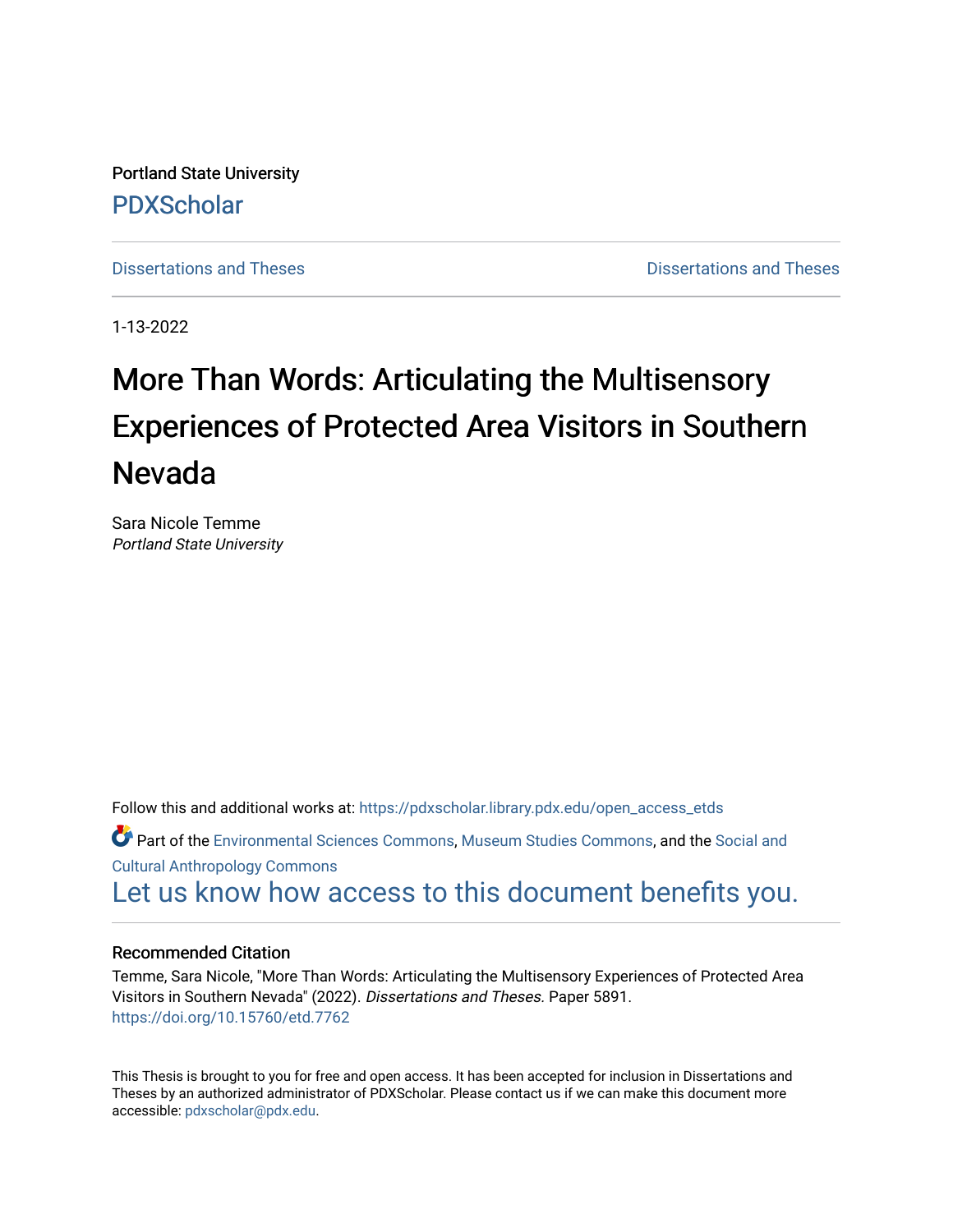Portland State University [PDXScholar](https://pdxscholar.library.pdx.edu/)

[Dissertations and Theses](https://pdxscholar.library.pdx.edu/open_access_etds) **Distributions** and Theses **Distributions** and Theses

1-13-2022

# More Than Words: Articulating the Multisensory Experiences of Protected Area Visitors in Southern Nevada

Sara Nicole Temme Portland State University

Follow this and additional works at: [https://pdxscholar.library.pdx.edu/open\\_access\\_etds](https://pdxscholar.library.pdx.edu/open_access_etds?utm_source=pdxscholar.library.pdx.edu%2Fopen_access_etds%2F5891&utm_medium=PDF&utm_campaign=PDFCoverPages) Part of the [Environmental Sciences Commons](http://network.bepress.com/hgg/discipline/167?utm_source=pdxscholar.library.pdx.edu%2Fopen_access_etds%2F5891&utm_medium=PDF&utm_campaign=PDFCoverPages), [Museum Studies Commons,](http://network.bepress.com/hgg/discipline/1366?utm_source=pdxscholar.library.pdx.edu%2Fopen_access_etds%2F5891&utm_medium=PDF&utm_campaign=PDFCoverPages) and the [Social and](http://network.bepress.com/hgg/discipline/323?utm_source=pdxscholar.library.pdx.edu%2Fopen_access_etds%2F5891&utm_medium=PDF&utm_campaign=PDFCoverPages) [Cultural Anthropology Commons](http://network.bepress.com/hgg/discipline/323?utm_source=pdxscholar.library.pdx.edu%2Fopen_access_etds%2F5891&utm_medium=PDF&utm_campaign=PDFCoverPages)  [Let us know how access to this document benefits you.](http://library.pdx.edu/services/pdxscholar-services/pdxscholar-feedback/) 

#### Recommended Citation

Temme, Sara Nicole, "More Than Words: Articulating the Multisensory Experiences of Protected Area Visitors in Southern Nevada" (2022). Dissertations and Theses. Paper 5891. <https://doi.org/10.15760/etd.7762>

This Thesis is brought to you for free and open access. It has been accepted for inclusion in Dissertations and Theses by an authorized administrator of PDXScholar. Please contact us if we can make this document more accessible: [pdxscholar@pdx.edu.](mailto:pdxscholar@pdx.edu)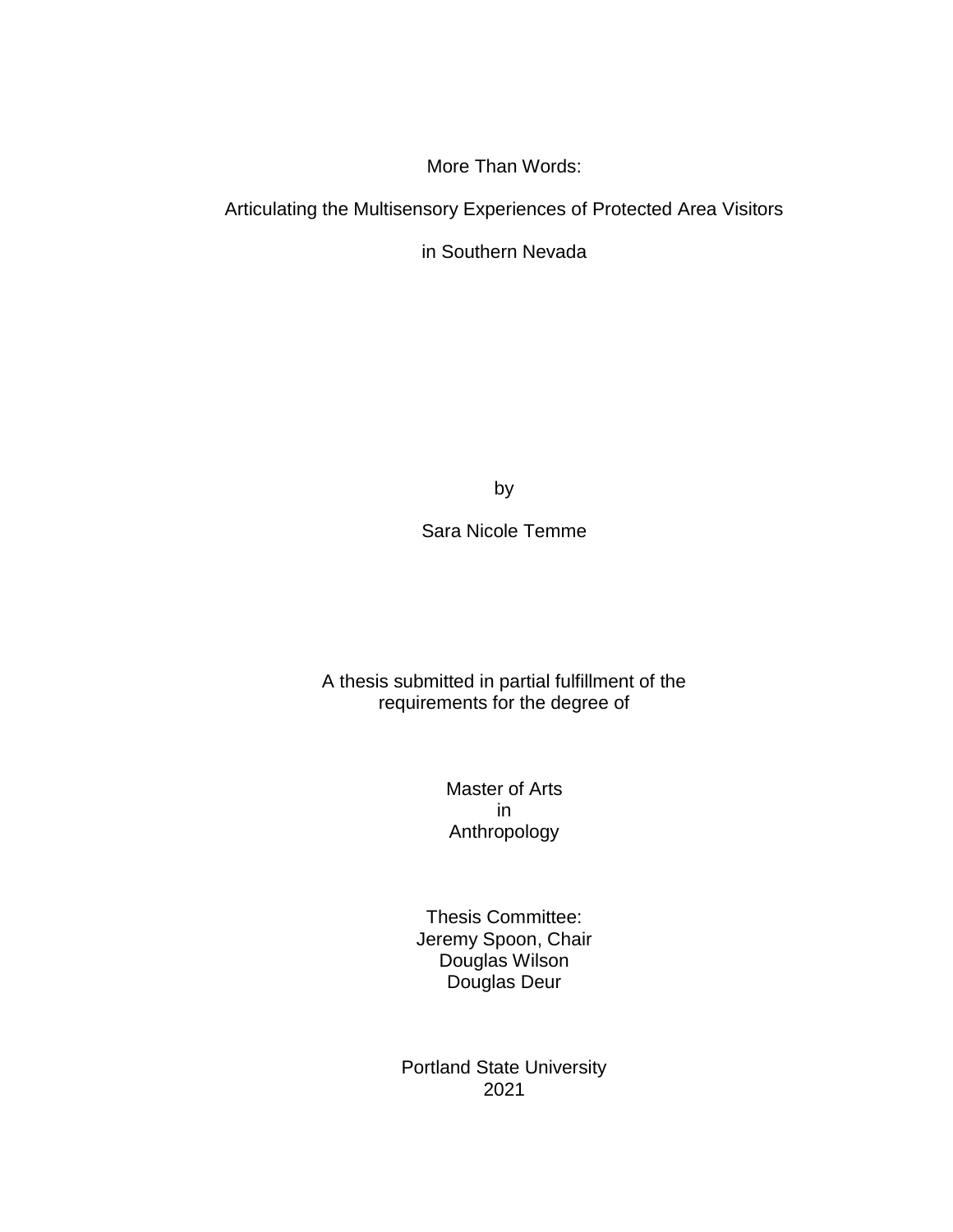More Than Words:

Articulating the Multisensory Experiences of Protected Area Visitors

in Southern Nevada

by

Sara Nicole Temme

A thesis submitted in partial fulfillment of the requirements for the degree of

> Master of Arts in Anthropology

Thesis Committee: Jeremy Spoon, Chair Douglas Wilson Douglas Deur

Portland State University 2021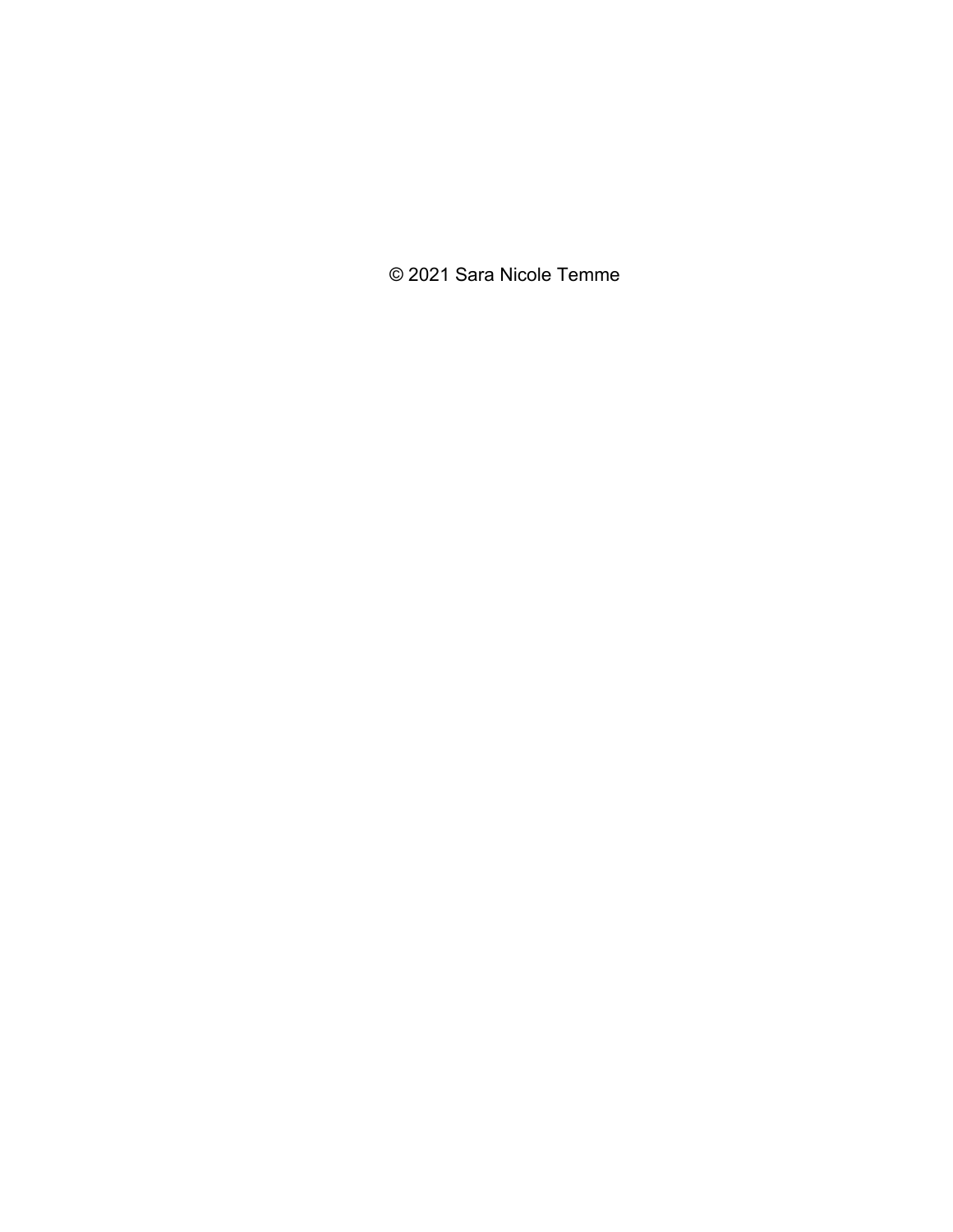© 2021 Sara Nicole Temme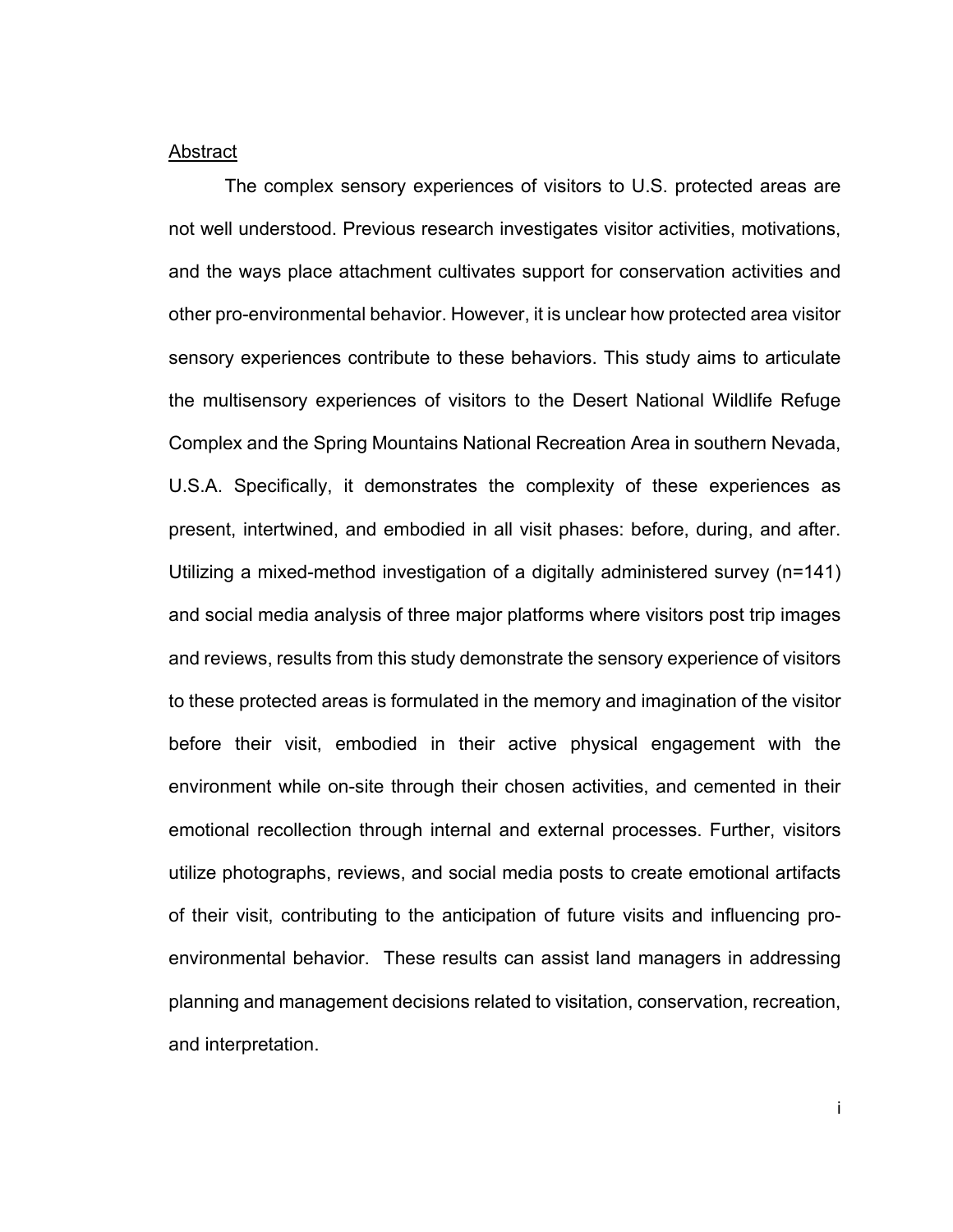#### Abstract

The complex sensory experiences of visitors to U.S. protected areas are not well understood. Previous research investigates visitor activities, motivations, and the ways place attachment cultivates support for conservation activities and other pro-environmental behavior. However, it is unclear how protected area visitor sensory experiences contribute to these behaviors. This study aims to articulate the multisensory experiences of visitors to the Desert National Wildlife Refuge Complex and the Spring Mountains National Recreation Area in southern Nevada, U.S.A. Specifically, it demonstrates the complexity of these experiences as present, intertwined, and embodied in all visit phases: before, during, and after. Utilizing a mixed-method investigation of a digitally administered survey (n=141) and social media analysis of three major platforms where visitors post trip images and reviews, results from this study demonstrate the sensory experience of visitors to these protected areas is formulated in the memory and imagination of the visitor before their visit, embodied in their active physical engagement with the environment while on-site through their chosen activities, and cemented in their emotional recollection through internal and external processes. Further, visitors utilize photographs, reviews, and social media posts to create emotional artifacts of their visit, contributing to the anticipation of future visits and influencing proenvironmental behavior. These results can assist land managers in addressing planning and management decisions related to visitation, conservation, recreation, and interpretation.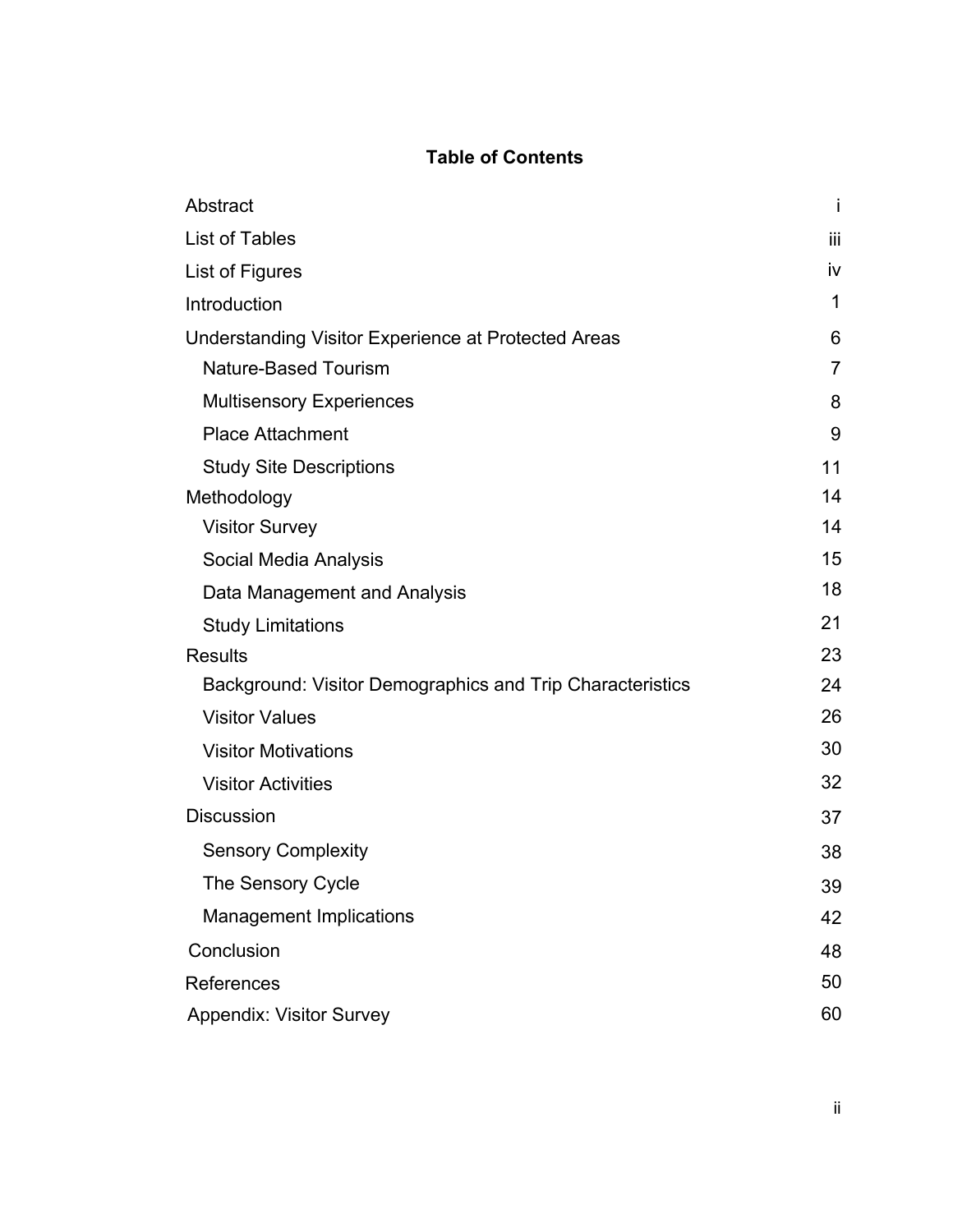# **Table of Contents**

| Abstract                                                  | Ť              |
|-----------------------------------------------------------|----------------|
| <b>List of Tables</b>                                     | iii            |
| List of Figures                                           | iv             |
| Introduction                                              | 1              |
| Understanding Visitor Experience at Protected Areas       | 6              |
| <b>Nature-Based Tourism</b>                               | $\overline{7}$ |
| <b>Multisensory Experiences</b>                           | 8              |
| <b>Place Attachment</b>                                   | 9              |
| <b>Study Site Descriptions</b>                            | 11             |
| Methodology                                               | 14             |
| <b>Visitor Survey</b>                                     | 14             |
| Social Media Analysis                                     | 15             |
| Data Management and Analysis                              | 18             |
| <b>Study Limitations</b>                                  | 21             |
| <b>Results</b>                                            | 23             |
| Background: Visitor Demographics and Trip Characteristics | 24             |
| <b>Visitor Values</b>                                     | 26             |
| <b>Visitor Motivations</b>                                | 30             |
| <b>Visitor Activities</b>                                 | 32             |
| <b>Discussion</b>                                         | 37             |
| <b>Sensory Complexity</b>                                 | 38             |
| The Sensory Cycle                                         | 39             |
| <b>Management Implications</b>                            | 42             |
| Conclusion                                                | 48             |
| References                                                | 50             |
| <b>Appendix: Visitor Survey</b>                           | 60             |
|                                                           |                |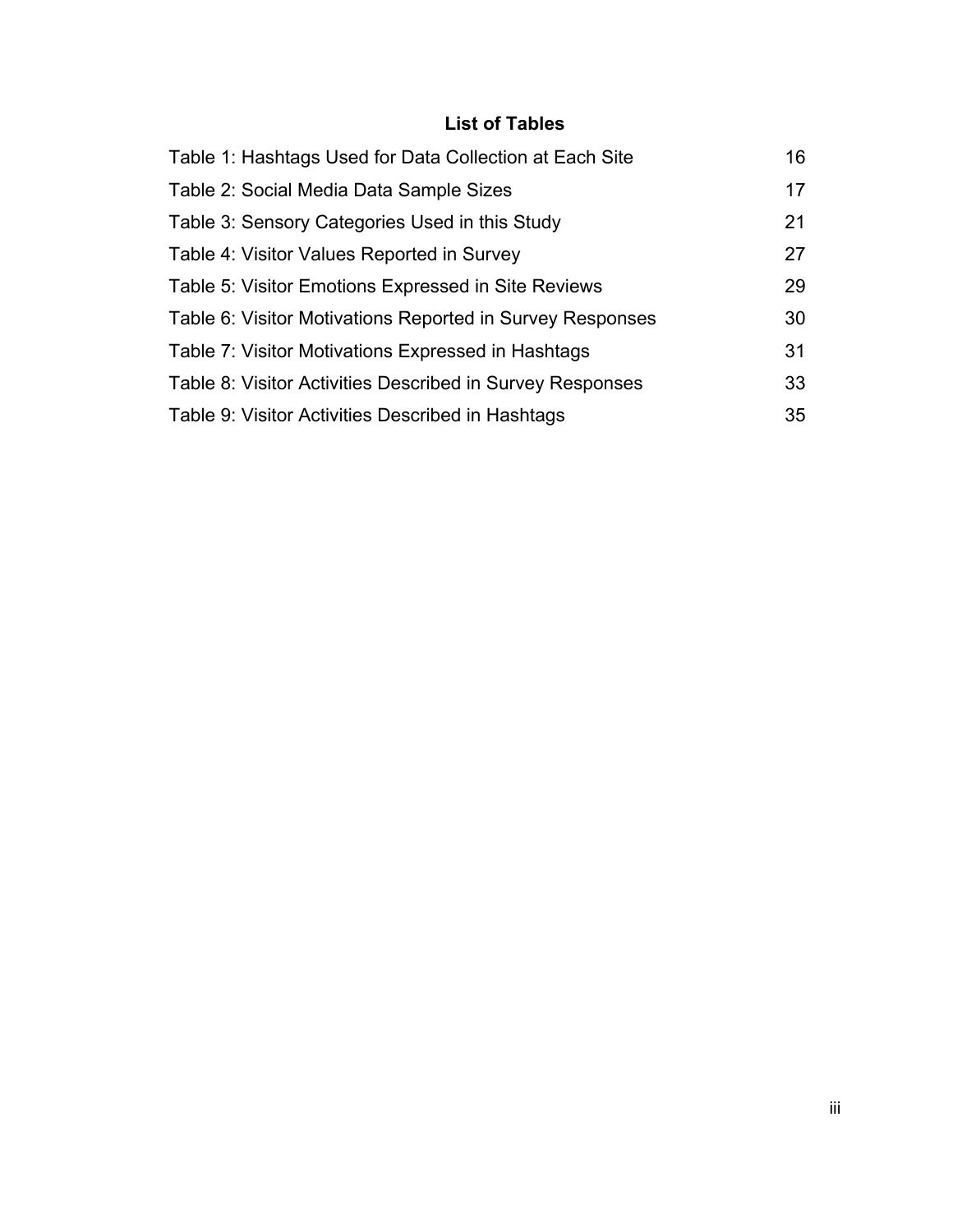# **List of Tables**

| Table 1: Hashtags Used for Data Collection at Each Site   | 16 |
|-----------------------------------------------------------|----|
| Table 2: Social Media Data Sample Sizes                   | 17 |
| Table 3: Sensory Categories Used in this Study            | 21 |
| Table 4: Visitor Values Reported in Survey                | 27 |
| Table 5: Visitor Emotions Expressed in Site Reviews       | 29 |
| Table 6: Visitor Motivations Reported in Survey Responses | 30 |
| Table 7: Visitor Motivations Expressed in Hashtags        | 31 |
| Table 8: Visitor Activities Described in Survey Responses | 33 |
| Table 9: Visitor Activities Described in Hashtags         | 35 |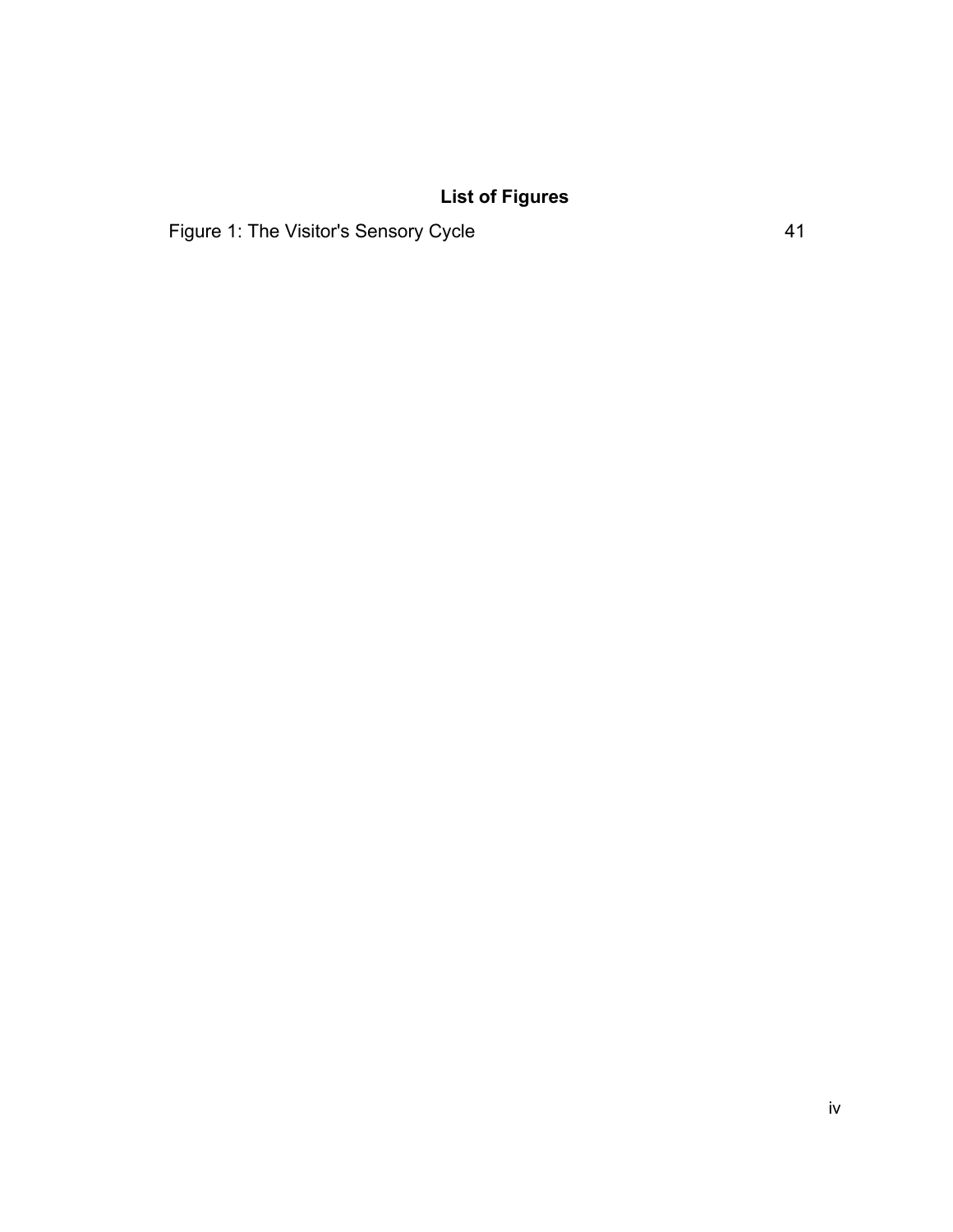# **List of Figures**

Figure 1: The Visitor's Sensory Cycle 41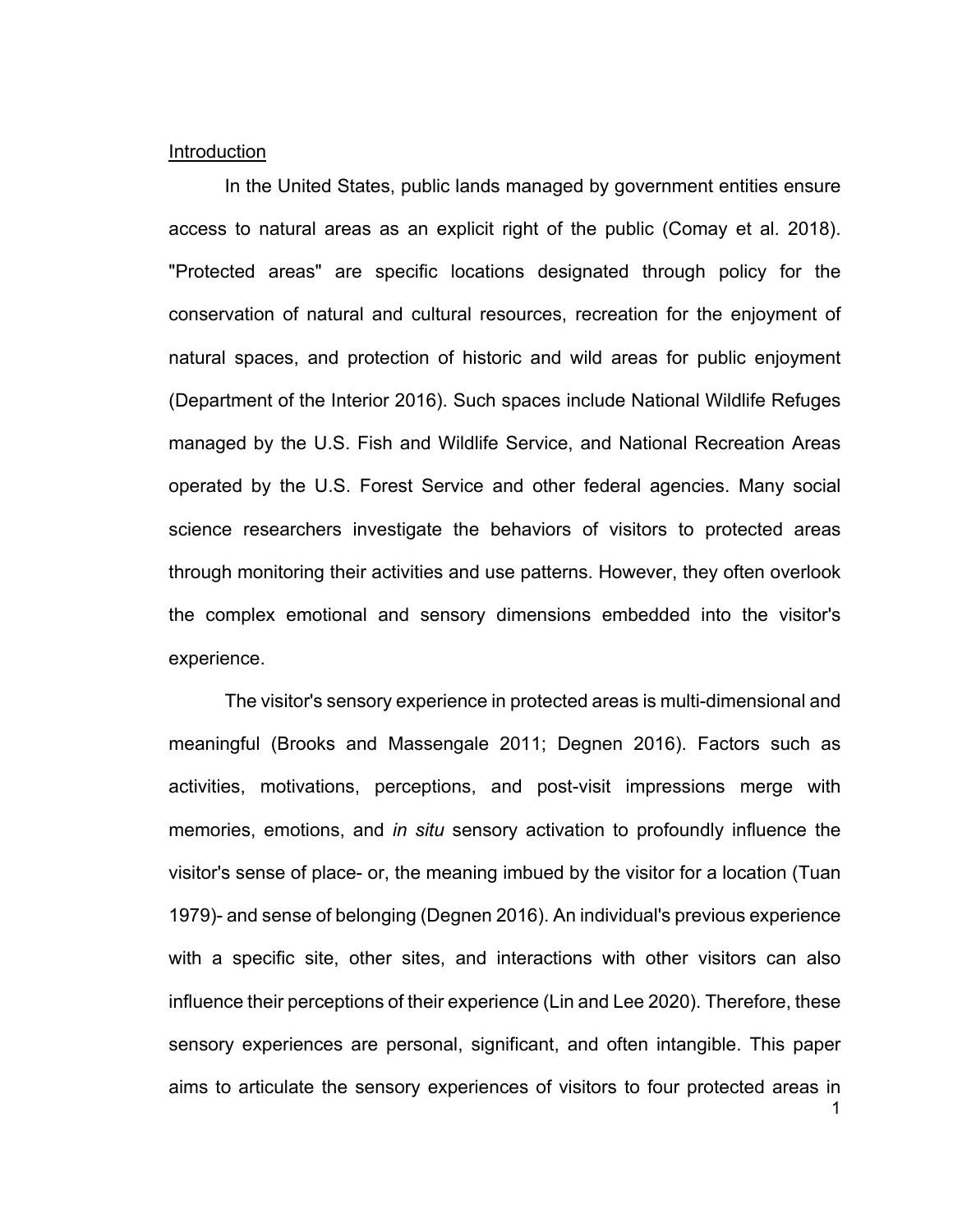#### Introduction

In the United States, public lands managed by government entities ensure access to natural areas as an explicit right of the public (Comay et al. 2018). "Protected areas" are specific locations designated through policy for the conservation of natural and cultural resources, recreation for the enjoyment of natural spaces, and protection of historic and wild areas for public enjoyment (Department of the Interior 2016). Such spaces include National Wildlife Refuges managed by the U.S. Fish and Wildlife Service, and National Recreation Areas operated by the U.S. Forest Service and other federal agencies. Many social science researchers investigate the behaviors of visitors to protected areas through monitoring their activities and use patterns. However, they often overlook the complex emotional and sensory dimensions embedded into the visitor's experience.

The visitor's sensory experience in protected areas is multi-dimensional and meaningful (Brooks and Massengale 2011; Degnen 2016). Factors such as activities, motivations, perceptions, and post-visit impressions merge with memories, emotions, and *in situ* sensory activation to profoundly influence the visitor's sense of place- or, the meaning imbued by the visitor for a location (Tuan 1979)- and sense of belonging (Degnen 2016). An individual's previous experience with a specific site, other sites, and interactions with other visitors can also influence their perceptions of their experience (Lin and Lee 2020). Therefore, these sensory experiences are personal, significant, and often intangible. This paper aims to articulate the sensory experiences of visitors to four protected areas in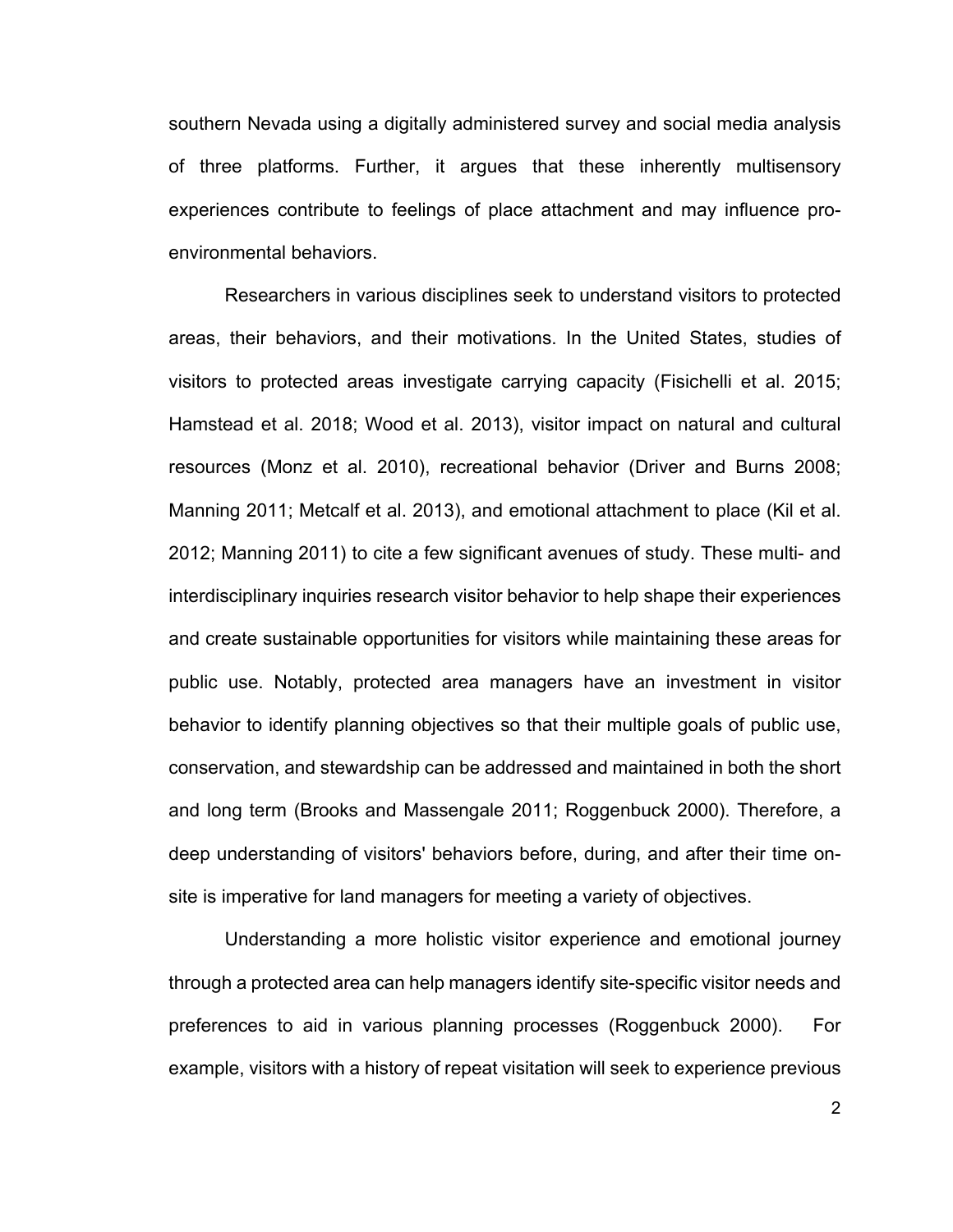southern Nevada using a digitally administered survey and social media analysis of three platforms. Further, it argues that these inherently multisensory experiences contribute to feelings of place attachment and may influence proenvironmental behaviors.

Researchers in various disciplines seek to understand visitors to protected areas, their behaviors, and their motivations. In the United States, studies of visitors to protected areas investigate carrying capacity (Fisichelli et al. 2015; Hamstead et al. 2018; Wood et al. 2013), visitor impact on natural and cultural resources (Monz et al. 2010), recreational behavior (Driver and Burns 2008; Manning 2011; Metcalf et al. 2013), and emotional attachment to place (Kil et al. 2012; Manning 2011) to cite a few significant avenues of study. These multi- and interdisciplinary inquiries research visitor behavior to help shape their experiences and create sustainable opportunities for visitors while maintaining these areas for public use. Notably, protected area managers have an investment in visitor behavior to identify planning objectives so that their multiple goals of public use, conservation, and stewardship can be addressed and maintained in both the short and long term (Brooks and Massengale 2011; Roggenbuck 2000). Therefore, a deep understanding of visitors' behaviors before, during, and after their time onsite is imperative for land managers for meeting a variety of objectives.

Understanding a more holistic visitor experience and emotional journey through a protected area can help managers identify site-specific visitor needs and preferences to aid in various planning processes (Roggenbuck 2000). For example, visitors with a history of repeat visitation will seek to experience previous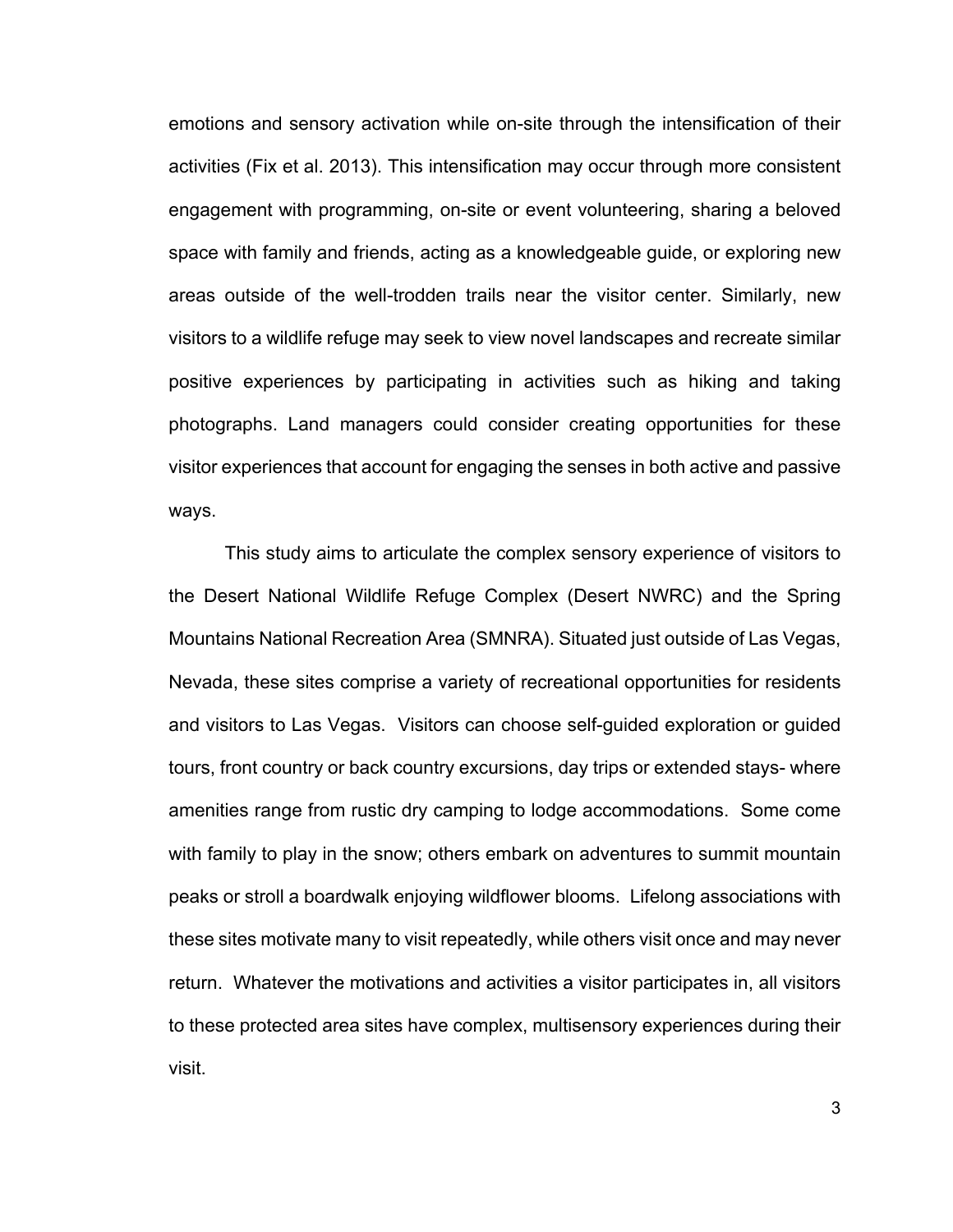emotions and sensory activation while on-site through the intensification of their activities (Fix et al. 2013). This intensification may occur through more consistent engagement with programming, on-site or event volunteering, sharing a beloved space with family and friends, acting as a knowledgeable guide, or exploring new areas outside of the well-trodden trails near the visitor center. Similarly, new visitors to a wildlife refuge may seek to view novel landscapes and recreate similar positive experiences by participating in activities such as hiking and taking photographs. Land managers could consider creating opportunities for these visitor experiences that account for engaging the senses in both active and passive ways.

This study aims to articulate the complex sensory experience of visitors to the Desert National Wildlife Refuge Complex (Desert NWRC) and the Spring Mountains National Recreation Area (SMNRA). Situated just outside of Las Vegas, Nevada, these sites comprise a variety of recreational opportunities for residents and visitors to Las Vegas. Visitors can choose self-guided exploration or guided tours, front country or back country excursions, day trips or extended stays- where amenities range from rustic dry camping to lodge accommodations. Some come with family to play in the snow; others embark on adventures to summit mountain peaks or stroll a boardwalk enjoying wildflower blooms. Lifelong associations with these sites motivate many to visit repeatedly, while others visit once and may never return. Whatever the motivations and activities a visitor participates in, all visitors to these protected area sites have complex, multisensory experiences during their visit.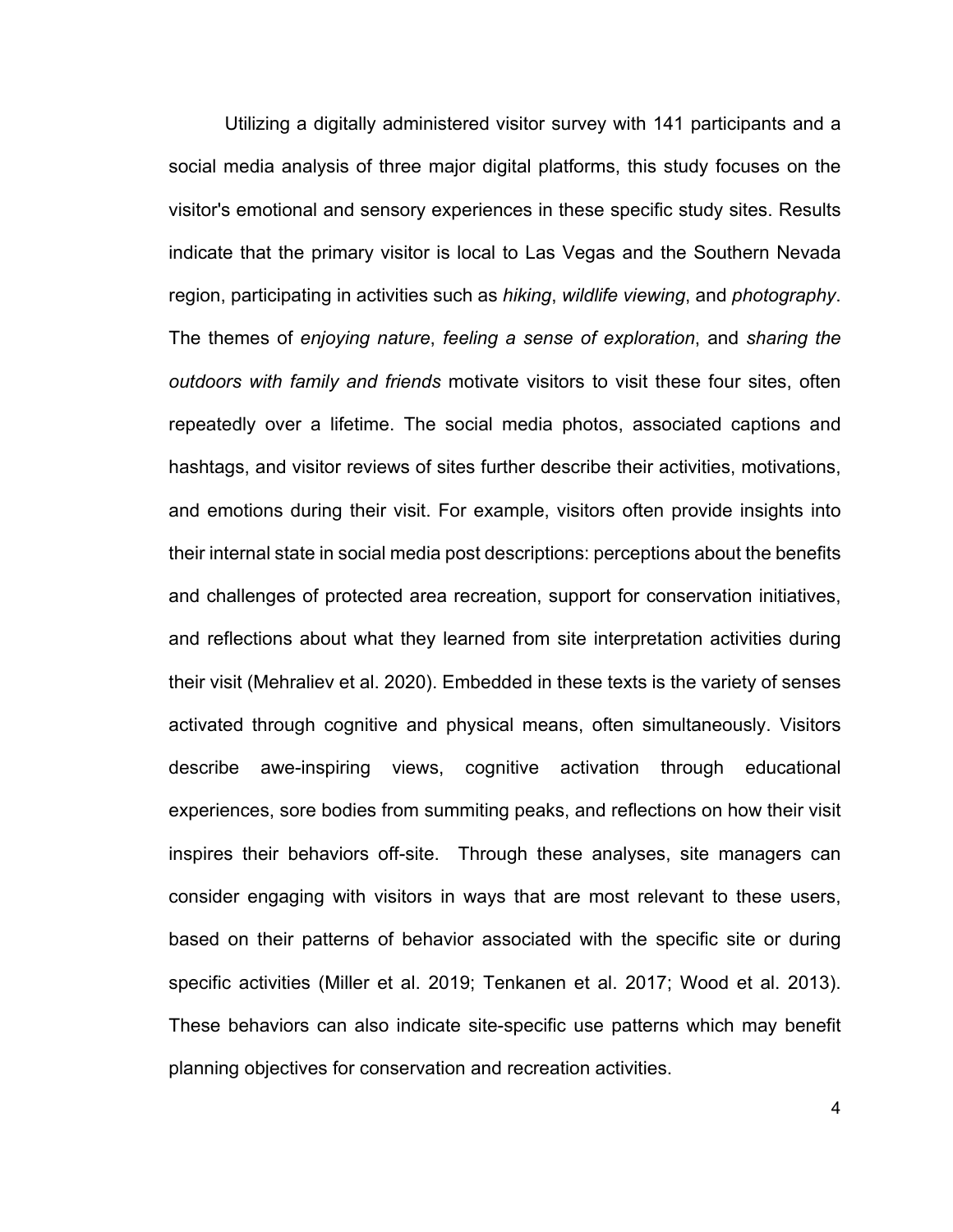Utilizing a digitally administered visitor survey with 141 participants and a social media analysis of three major digital platforms, this study focuses on the visitor's emotional and sensory experiences in these specific study sites. Results indicate that the primary visitor is local to Las Vegas and the Southern Nevada region, participating in activities such as *hiking*, *wildlife viewing*, and *photography*. The themes of *enjoying nature*, *feeling a sense of exploration*, and *sharing the outdoors with family and friends* motivate visitors to visit these four sites, often repeatedly over a lifetime. The social media photos, associated captions and hashtags, and visitor reviews of sites further describe their activities, motivations, and emotions during their visit. For example, visitors often provide insights into their internal state in social media post descriptions: perceptions about the benefits and challenges of protected area recreation, support for conservation initiatives, and reflections about what they learned from site interpretation activities during their visit (Mehraliev et al. 2020). Embedded in these texts is the variety of senses activated through cognitive and physical means, often simultaneously. Visitors describe awe-inspiring views, cognitive activation through educational experiences, sore bodies from summiting peaks, and reflections on how their visit inspires their behaviors off-site. Through these analyses, site managers can consider engaging with visitors in ways that are most relevant to these users, based on their patterns of behavior associated with the specific site or during specific activities (Miller et al. 2019; Tenkanen et al. 2017; Wood et al. 2013). These behaviors can also indicate site-specific use patterns which may benefit planning objectives for conservation and recreation activities.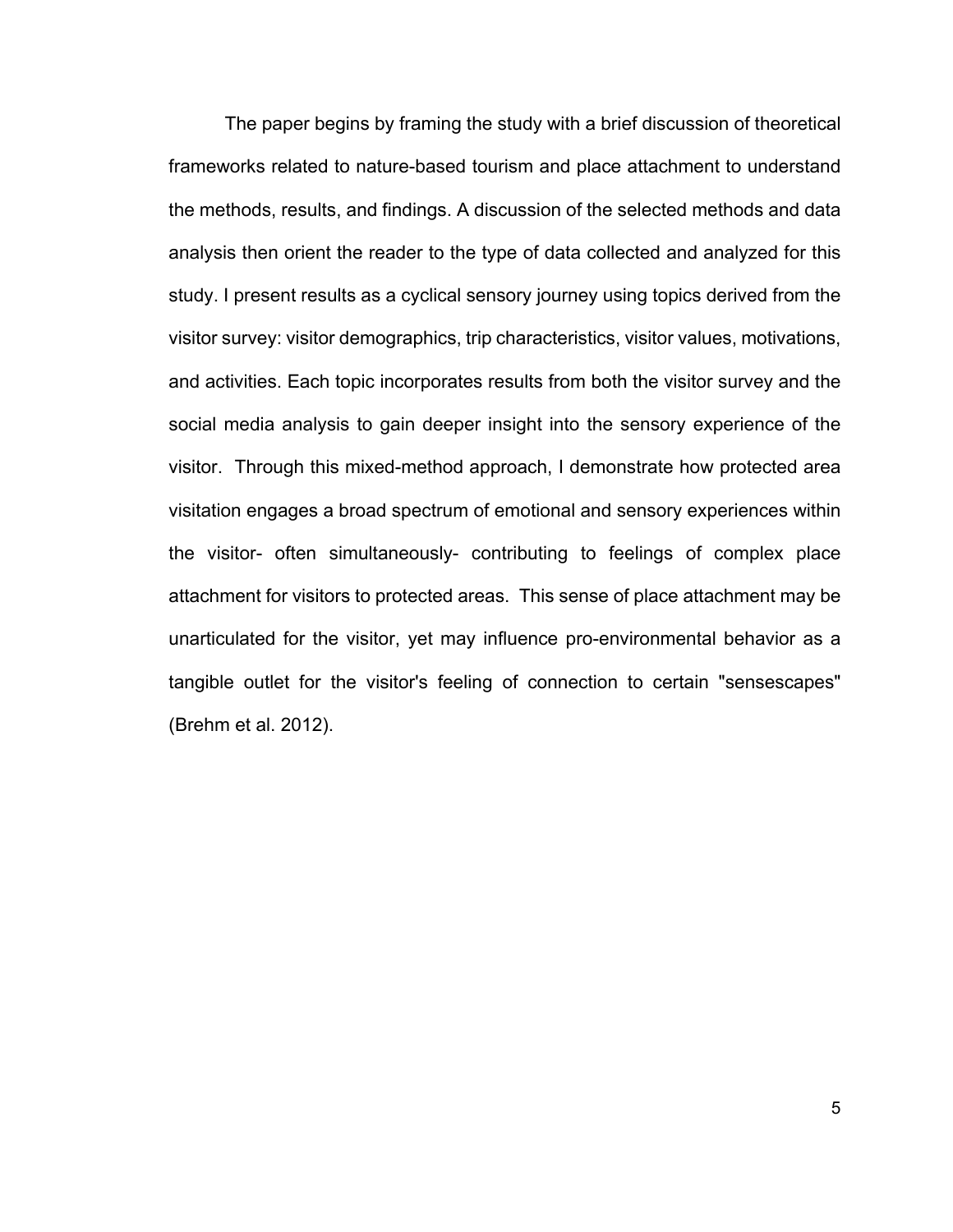The paper begins by framing the study with a brief discussion of theoretical frameworks related to nature-based tourism and place attachment to understand the methods, results, and findings. A discussion of the selected methods and data analysis then orient the reader to the type of data collected and analyzed for this study. I present results as a cyclical sensory journey using topics derived from the visitor survey: visitor demographics, trip characteristics, visitor values, motivations, and activities. Each topic incorporates results from both the visitor survey and the social media analysis to gain deeper insight into the sensory experience of the visitor. Through this mixed-method approach, I demonstrate how protected area visitation engages a broad spectrum of emotional and sensory experiences within the visitor- often simultaneously- contributing to feelings of complex place attachment for visitors to protected areas. This sense of place attachment may be unarticulated for the visitor, yet may influence pro-environmental behavior as a tangible outlet for the visitor's feeling of connection to certain "sensescapes" (Brehm et al. 2012).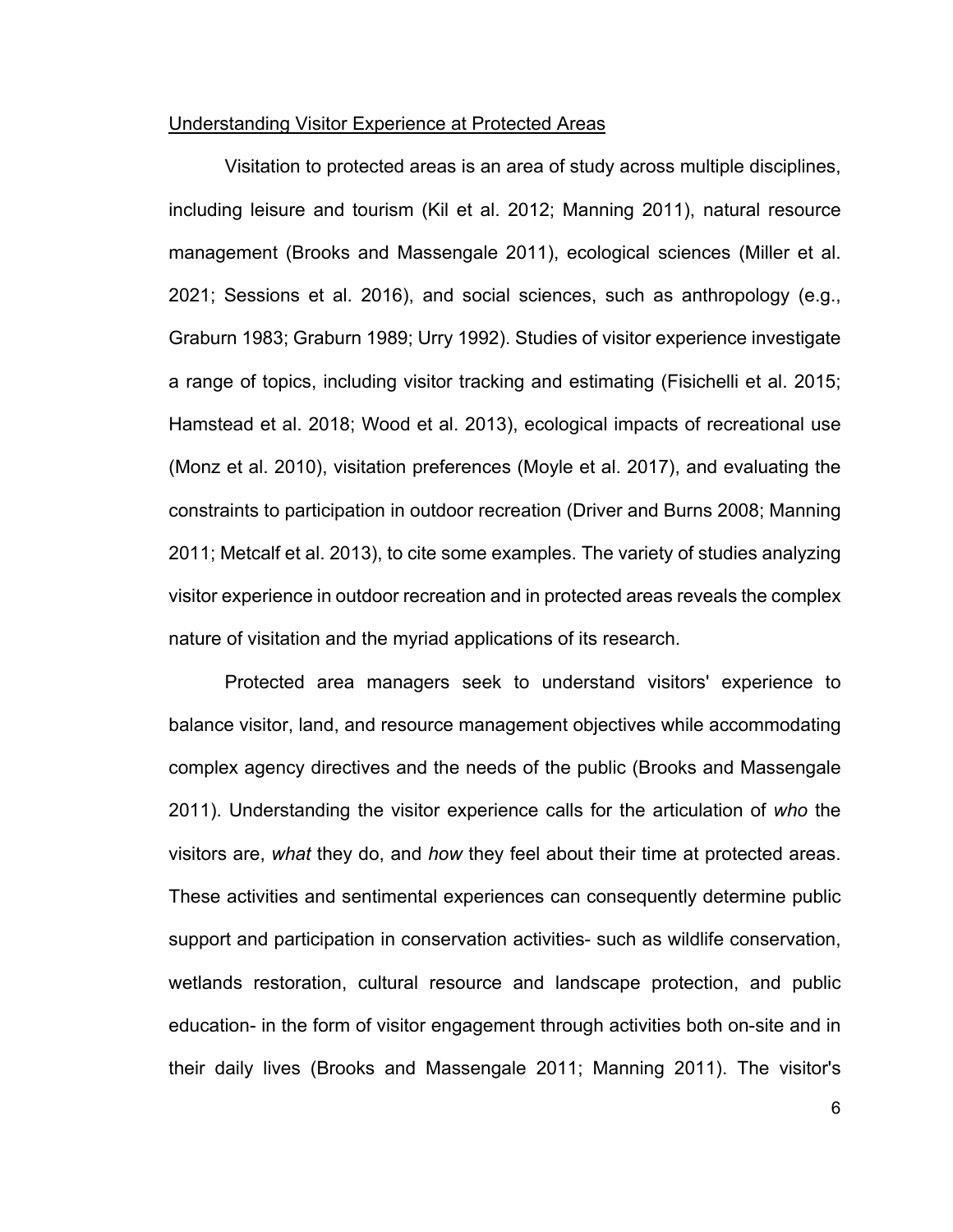#### Understanding Visitor Experience at Protected Areas

Visitation to protected areas is an area of study across multiple disciplines, including leisure and tourism (Kil et al. 2012; Manning 2011), natural resource management (Brooks and Massengale 2011), ecological sciences (Miller et al. 2021; Sessions et al. 2016), and social sciences, such as anthropology (e.g., Graburn 1983; Graburn 1989; Urry 1992). Studies of visitor experience investigate a range of topics, including visitor tracking and estimating (Fisichelli et al. 2015; Hamstead et al. 2018; Wood et al. 2013), ecological impacts of recreational use (Monz et al. 2010), visitation preferences (Moyle et al. 2017), and evaluating the constraints to participation in outdoor recreation (Driver and Burns 2008; Manning 2011; Metcalf et al. 2013), to cite some examples. The variety of studies analyzing visitor experience in outdoor recreation and in protected areas reveals the complex nature of visitation and the myriad applications of its research.

Protected area managers seek to understand visitors' experience to balance visitor, land, and resource management objectives while accommodating complex agency directives and the needs of the public (Brooks and Massengale 2011). Understanding the visitor experience calls for the articulation of *who* the visitors are, *what* they do, and *how* they feel about their time at protected areas. These activities and sentimental experiences can consequently determine public support and participation in conservation activities- such as wildlife conservation, wetlands restoration, cultural resource and landscape protection, and public education- in the form of visitor engagement through activities both on-site and in their daily lives (Brooks and Massengale 2011; Manning 2011). The visitor's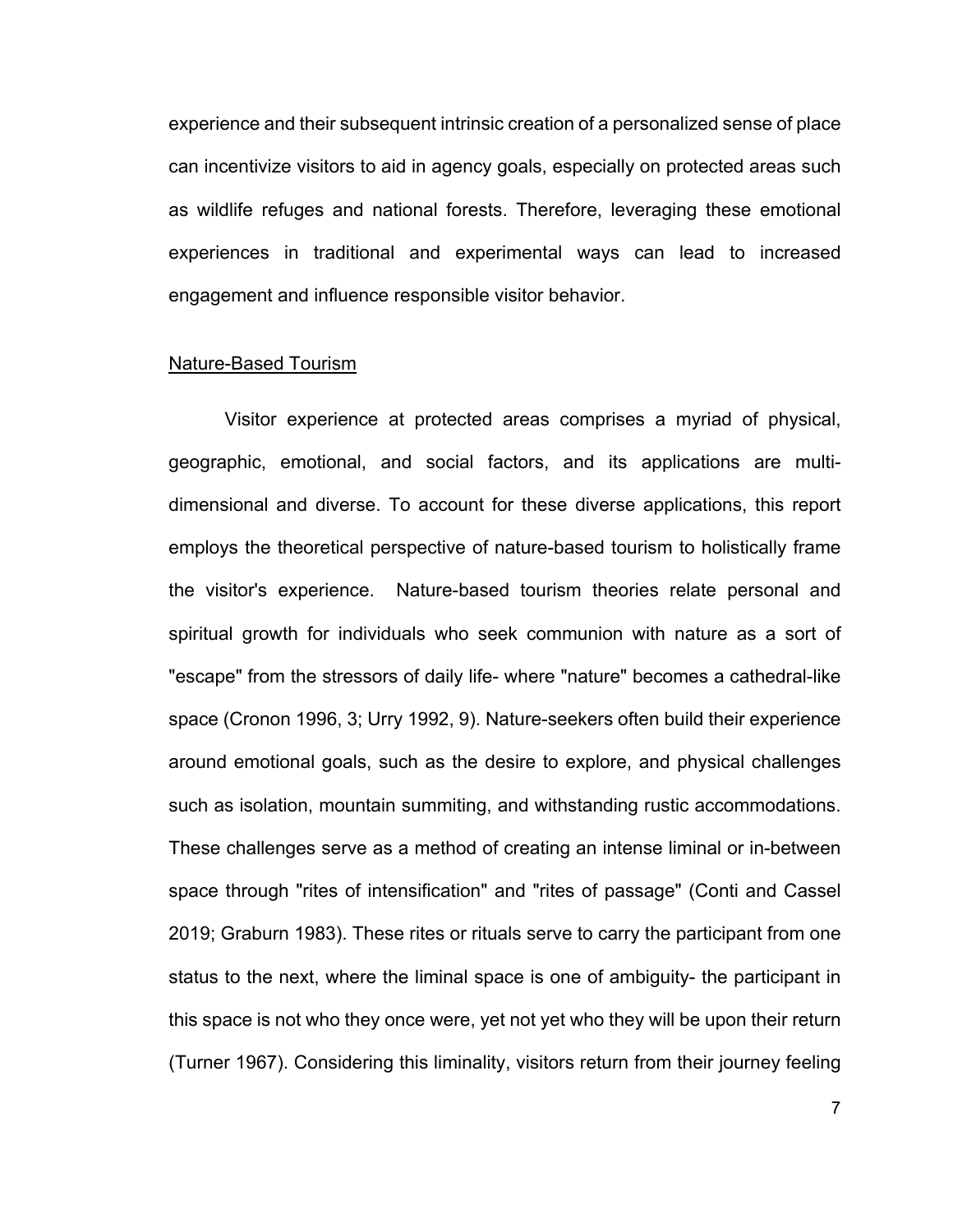experience and their subsequent intrinsic creation of a personalized sense of place can incentivize visitors to aid in agency goals, especially on protected areas such as wildlife refuges and national forests. Therefore, leveraging these emotional experiences in traditional and experimental ways can lead to increased engagement and influence responsible visitor behavior.

#### Nature-Based Tourism

Visitor experience at protected areas comprises a myriad of physical, geographic, emotional, and social factors, and its applications are multidimensional and diverse. To account for these diverse applications, this report employs the theoretical perspective of nature-based tourism to holistically frame the visitor's experience. Nature-based tourism theories relate personal and spiritual growth for individuals who seek communion with nature as a sort of "escape" from the stressors of daily life- where "nature" becomes a cathedral-like space (Cronon 1996, 3; Urry 1992, 9). Nature-seekers often build their experience around emotional goals, such as the desire to explore, and physical challenges such as isolation, mountain summiting, and withstanding rustic accommodations. These challenges serve as a method of creating an intense liminal or in-between space through "rites of intensification" and "rites of passage" (Conti and Cassel 2019; Graburn 1983). These rites or rituals serve to carry the participant from one status to the next, where the liminal space is one of ambiguity- the participant in this space is not who they once were, yet not yet who they will be upon their return (Turner 1967). Considering this liminality, visitors return from their journey feeling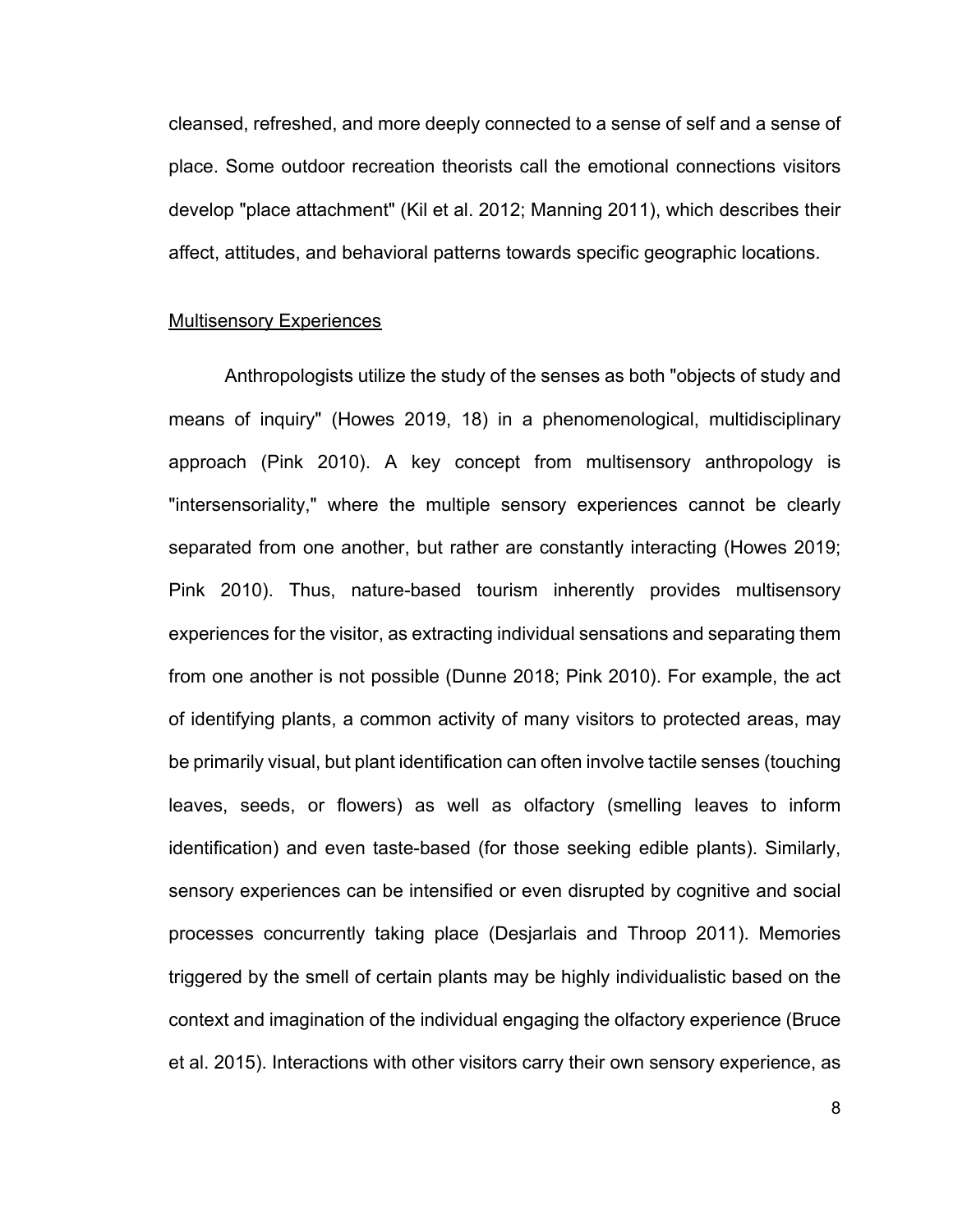cleansed, refreshed, and more deeply connected to a sense of self and a sense of place. Some outdoor recreation theorists call the emotional connections visitors develop "place attachment" (Kil et al. 2012; Manning 2011), which describes their affect, attitudes, and behavioral patterns towards specific geographic locations.

#### Multisensory Experiences

Anthropologists utilize the study of the senses as both "objects of study and means of inquiry" (Howes 2019, 18) in a phenomenological, multidisciplinary approach (Pink 2010). A key concept from multisensory anthropology is "intersensoriality," where the multiple sensory experiences cannot be clearly separated from one another, but rather are constantly interacting (Howes 2019; Pink 2010). Thus, nature-based tourism inherently provides multisensory experiences for the visitor, as extracting individual sensations and separating them from one another is not possible (Dunne 2018; Pink 2010). For example, the act of identifying plants, a common activity of many visitors to protected areas, may be primarily visual, but plant identification can often involve tactile senses (touching leaves, seeds, or flowers) as well as olfactory (smelling leaves to inform identification) and even taste-based (for those seeking edible plants). Similarly, sensory experiences can be intensified or even disrupted by cognitive and social processes concurrently taking place (Desjarlais and Throop 2011). Memories triggered by the smell of certain plants may be highly individualistic based on the context and imagination of the individual engaging the olfactory experience (Bruce et al. 2015). Interactions with other visitors carry their own sensory experience, as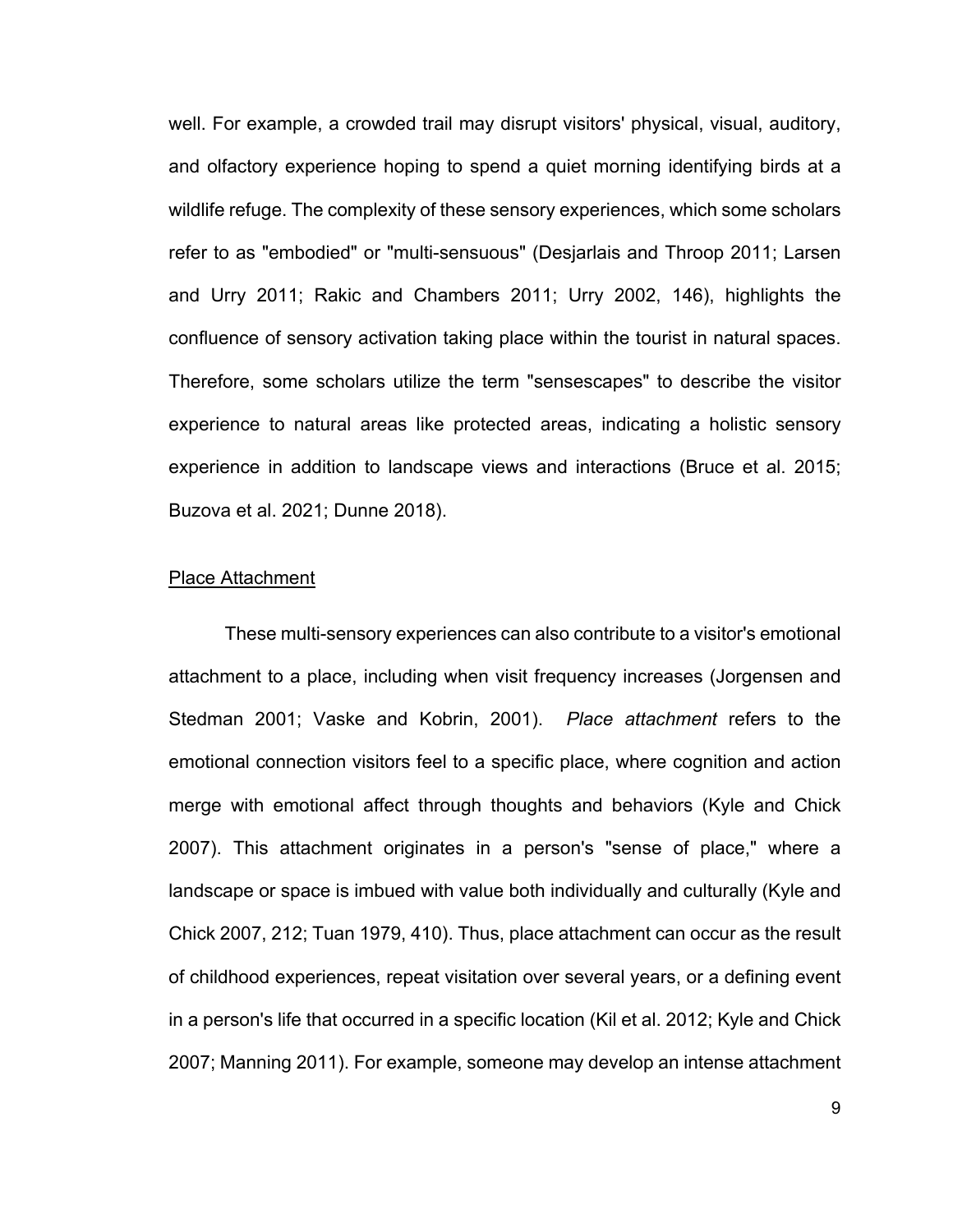well. For example, a crowded trail may disrupt visitors' physical, visual, auditory, and olfactory experience hoping to spend a quiet morning identifying birds at a wildlife refuge. The complexity of these sensory experiences, which some scholars refer to as "embodied" or "multi-sensuous" (Desjarlais and Throop 2011; Larsen and Urry 2011; Rakic and Chambers 2011; Urry 2002, 146), highlights the confluence of sensory activation taking place within the tourist in natural spaces. Therefore, some scholars utilize the term "sensescapes" to describe the visitor experience to natural areas like protected areas, indicating a holistic sensory experience in addition to landscape views and interactions (Bruce et al. 2015; Buzova et al. 2021; Dunne 2018).

#### Place Attachment

These multi-sensory experiences can also contribute to a visitor's emotional attachment to a place, including when visit frequency increases (Jorgensen and Stedman 2001; Vaske and Kobrin, 2001). *Place attachment* refers to the emotional connection visitors feel to a specific place, where cognition and action merge with emotional affect through thoughts and behaviors (Kyle and Chick 2007). This attachment originates in a person's "sense of place," where a landscape or space is imbued with value both individually and culturally (Kyle and Chick 2007, 212; Tuan 1979, 410). Thus, place attachment can occur as the result of childhood experiences, repeat visitation over several years, or a defining event in a person's life that occurred in a specific location (Kil et al. 2012; Kyle and Chick 2007; Manning 2011). For example, someone may develop an intense attachment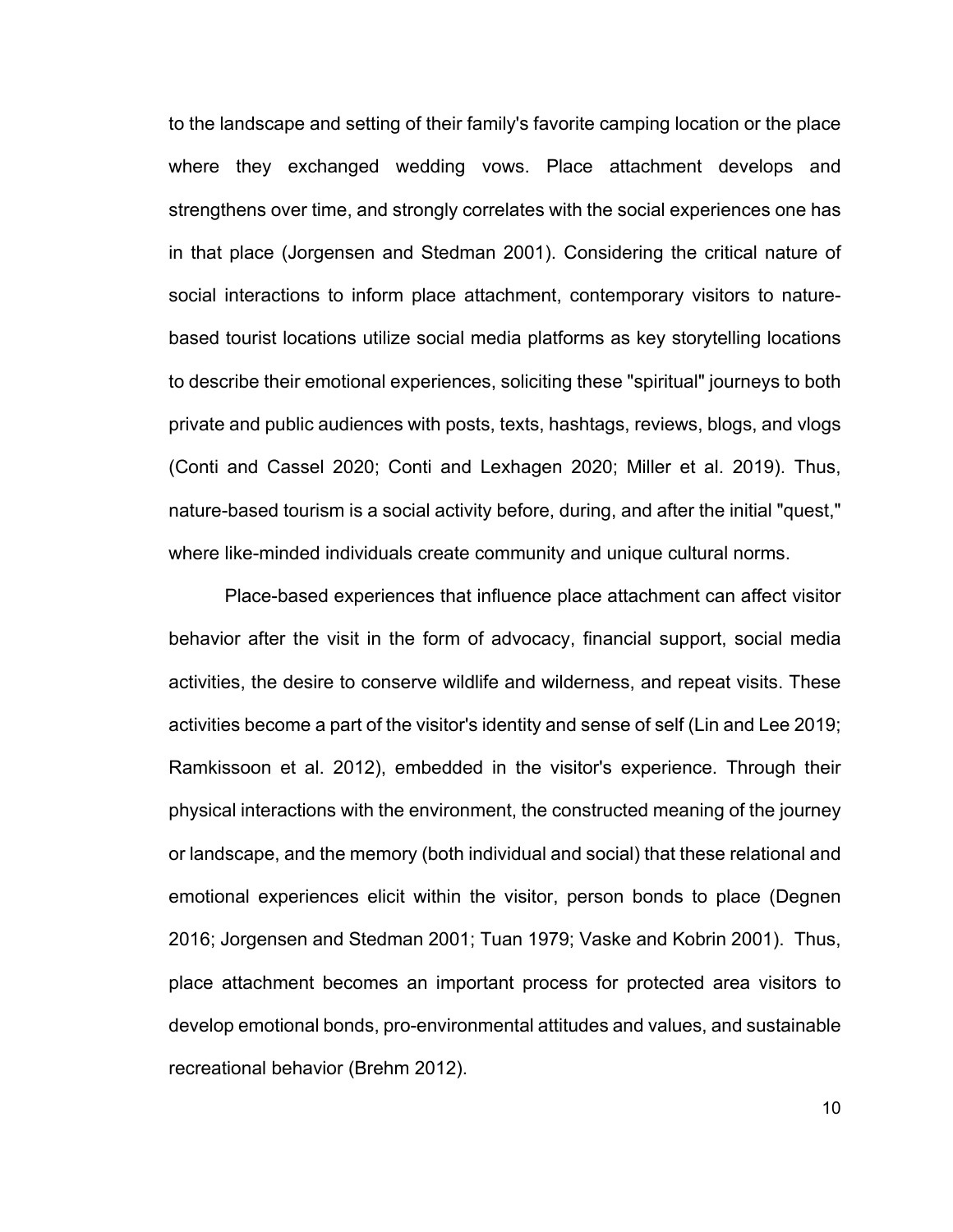to the landscape and setting of their family's favorite camping location or the place where they exchanged wedding vows. Place attachment develops and strengthens over time, and strongly correlates with the social experiences one has in that place (Jorgensen and Stedman 2001). Considering the critical nature of social interactions to inform place attachment, contemporary visitors to naturebased tourist locations utilize social media platforms as key storytelling locations to describe their emotional experiences, soliciting these "spiritual" journeys to both private and public audiences with posts, texts, hashtags, reviews, blogs, and vlogs (Conti and Cassel 2020; Conti and Lexhagen 2020; Miller et al. 2019). Thus, nature-based tourism is a social activity before, during, and after the initial "quest," where like-minded individuals create community and unique cultural norms.

Place-based experiences that influence place attachment can affect visitor behavior after the visit in the form of advocacy, financial support, social media activities, the desire to conserve wildlife and wilderness, and repeat visits. These activities become a part of the visitor's identity and sense of self (Lin and Lee 2019; Ramkissoon et al. 2012), embedded in the visitor's experience. Through their physical interactions with the environment, the constructed meaning of the journey or landscape, and the memory (both individual and social) that these relational and emotional experiences elicit within the visitor, person bonds to place (Degnen 2016; Jorgensen and Stedman 2001; Tuan 1979; Vaske and Kobrin 2001). Thus, place attachment becomes an important process for protected area visitors to develop emotional bonds, pro-environmental attitudes and values, and sustainable recreational behavior (Brehm 2012).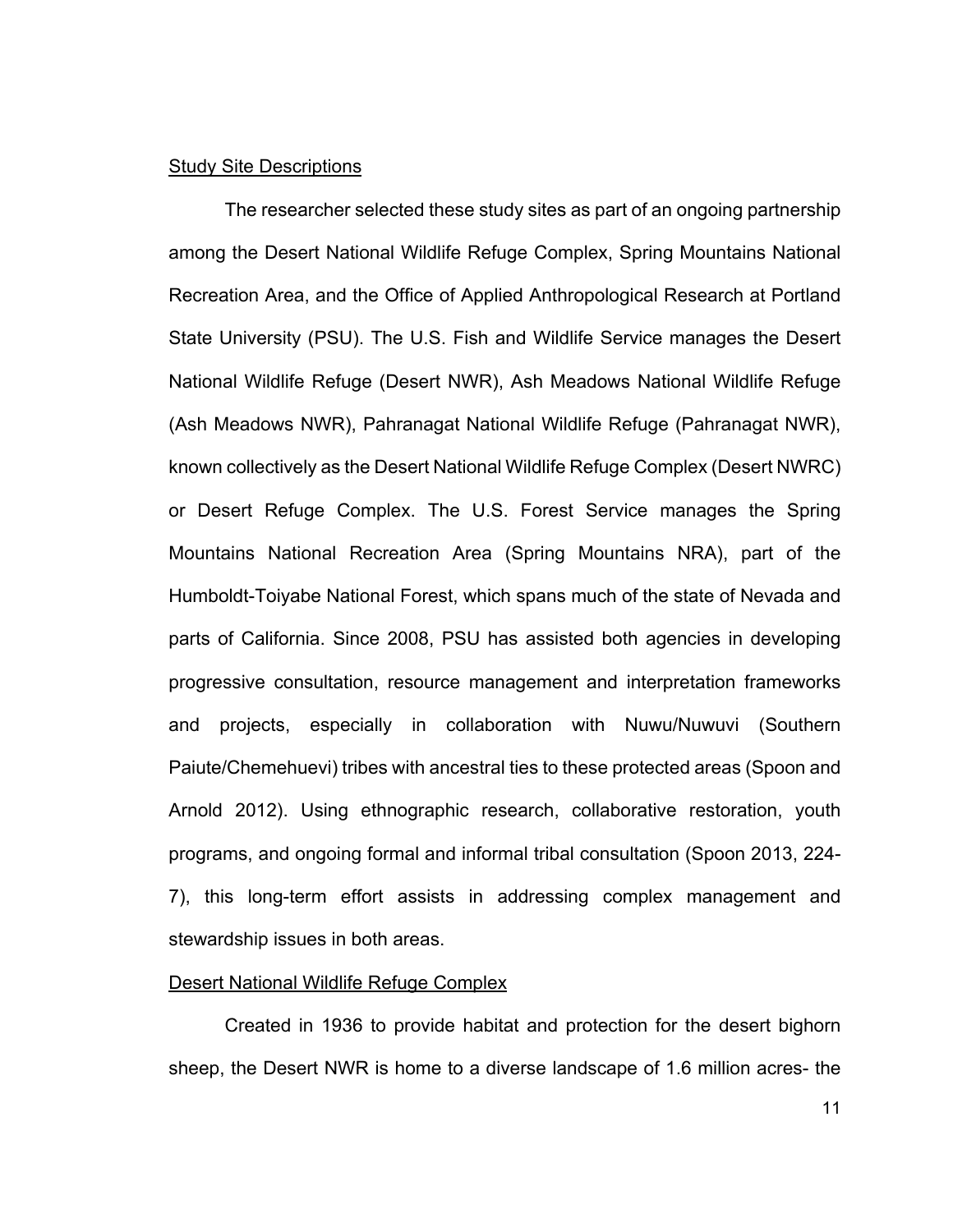#### Study Site Descriptions

The researcher selected these study sites as part of an ongoing partnership among the Desert National Wildlife Refuge Complex, Spring Mountains National Recreation Area, and the Office of Applied Anthropological Research at Portland State University (PSU). The U.S. Fish and Wildlife Service manages the Desert National Wildlife Refuge (Desert NWR), Ash Meadows National Wildlife Refuge (Ash Meadows NWR), Pahranagat National Wildlife Refuge (Pahranagat NWR), known collectively as the Desert National Wildlife Refuge Complex (Desert NWRC) or Desert Refuge Complex. The U.S. Forest Service manages the Spring Mountains National Recreation Area (Spring Mountains NRA), part of the Humboldt-Toiyabe National Forest, which spans much of the state of Nevada and parts of California. Since 2008, PSU has assisted both agencies in developing progressive consultation, resource management and interpretation frameworks and projects, especially in collaboration with Nuwu/Nuwuvi (Southern Paiute/Chemehuevi) tribes with ancestral ties to these protected areas (Spoon and Arnold 2012). Using ethnographic research, collaborative restoration, youth programs, and ongoing formal and informal tribal consultation (Spoon 2013, 224- 7), this long-term effort assists in addressing complex management and stewardship issues in both areas.

#### Desert National Wildlife Refuge Complex

Created in 1936 to provide habitat and protection for the desert bighorn sheep, the Desert NWR is home to a diverse landscape of 1.6 million acres- the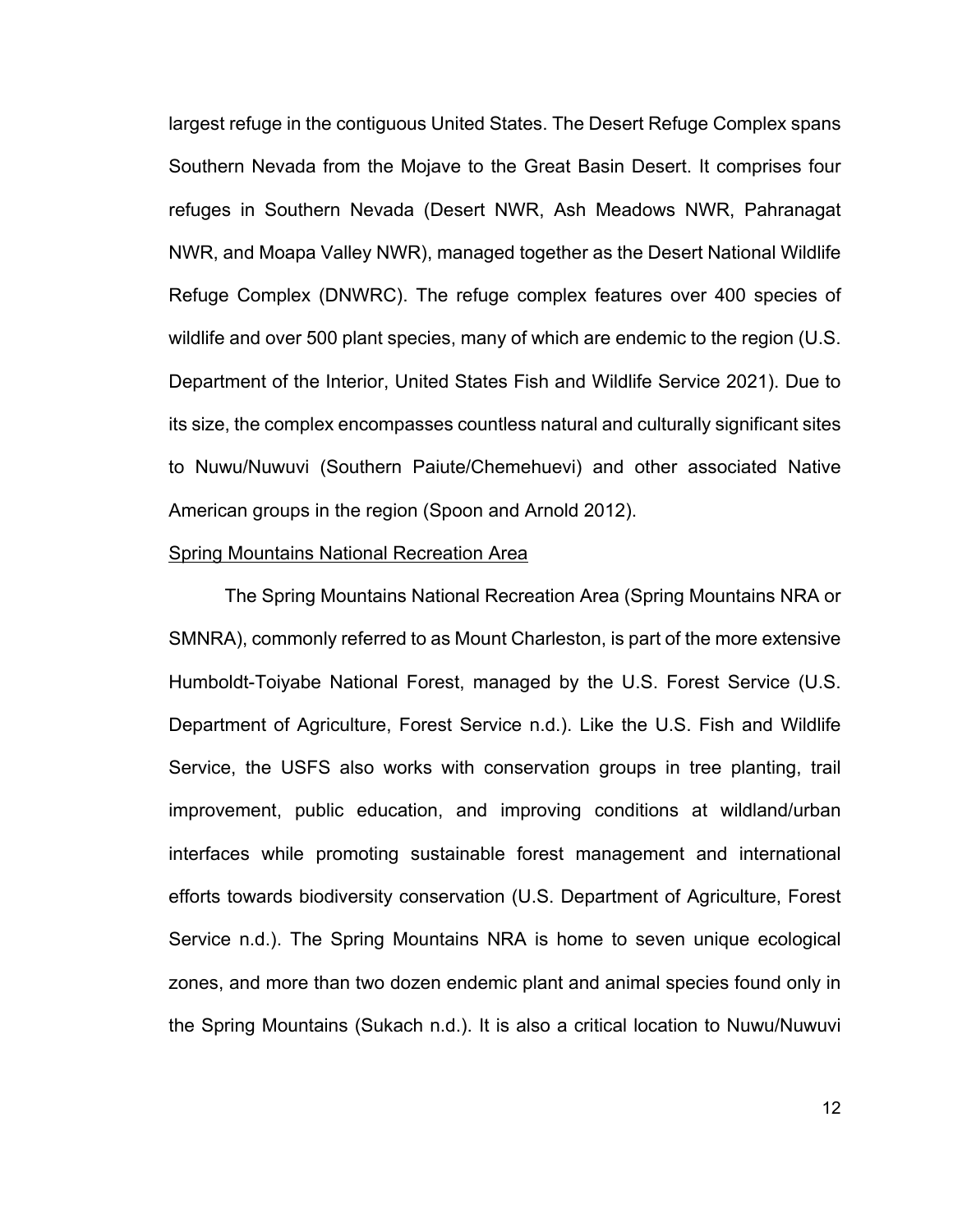largest refuge in the contiguous United States. The Desert Refuge Complex spans Southern Nevada from the Mojave to the Great Basin Desert. It comprises four refuges in Southern Nevada (Desert NWR, Ash Meadows NWR, Pahranagat NWR, and Moapa Valley NWR), managed together as the Desert National Wildlife Refuge Complex (DNWRC). The refuge complex features over 400 species of wildlife and over 500 plant species, many of which are endemic to the region (U.S. Department of the Interior, United States Fish and Wildlife Service 2021). Due to its size, the complex encompasses countless natural and culturally significant sites to Nuwu/Nuwuvi (Southern Paiute/Chemehuevi) and other associated Native American groups in the region (Spoon and Arnold 2012).

#### Spring Mountains National Recreation Area

The Spring Mountains National Recreation Area (Spring Mountains NRA or SMNRA), commonly referred to as Mount Charleston, is part of the more extensive Humboldt-Toiyabe National Forest, managed by the U.S. Forest Service (U.S. Department of Agriculture, Forest Service n.d.). Like the U.S. Fish and Wildlife Service, the USFS also works with conservation groups in tree planting, trail improvement, public education, and improving conditions at wildland/urban interfaces while promoting sustainable forest management and international efforts towards biodiversity conservation (U.S. Department of Agriculture, Forest Service n.d.). The Spring Mountains NRA is home to seven unique ecological zones, and more than two dozen endemic plant and animal species found only in the Spring Mountains (Sukach n.d.). It is also a critical location to Nuwu/Nuwuvi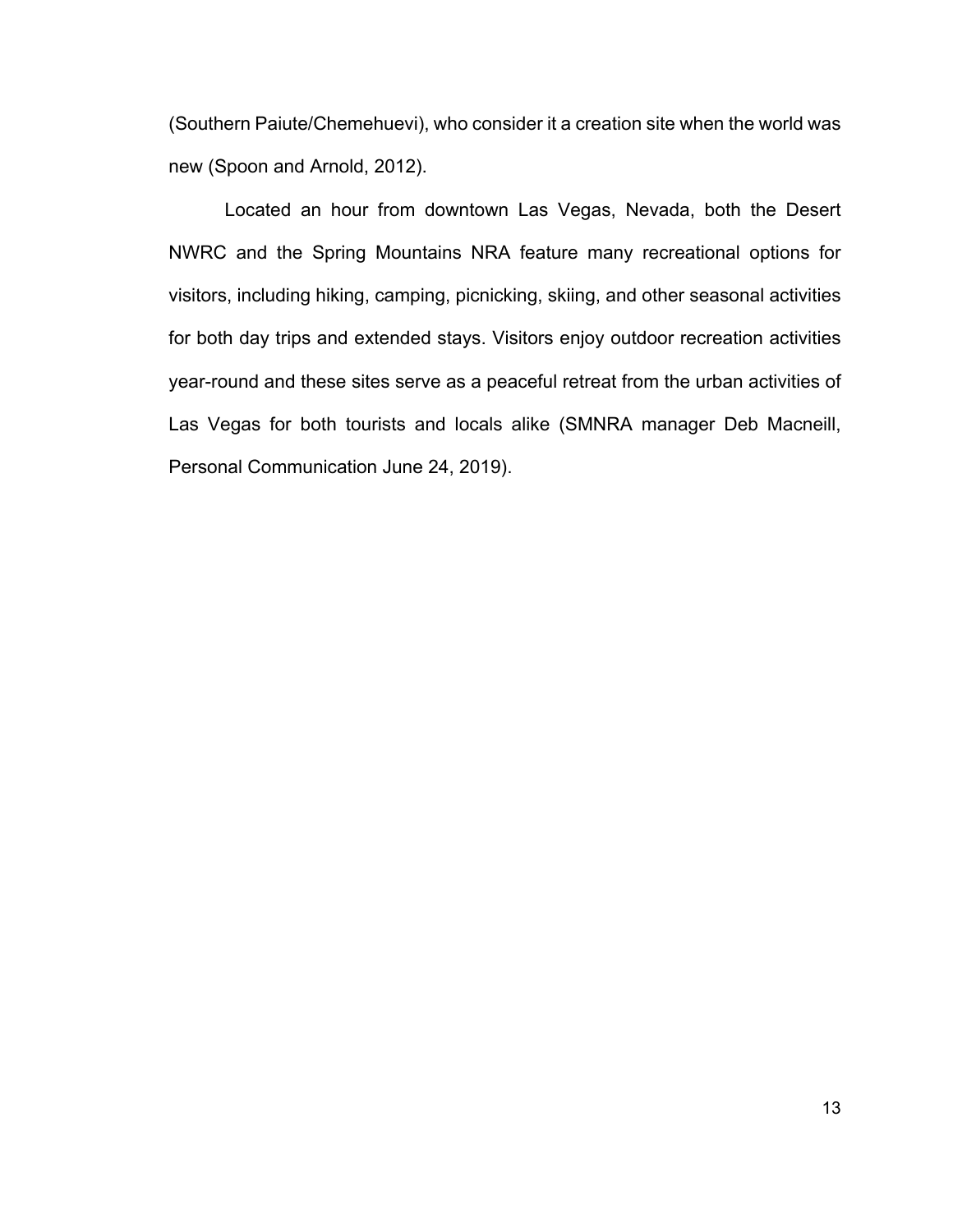(Southern Paiute/Chemehuevi), who consider it a creation site when the world was new (Spoon and Arnold, 2012).

Located an hour from downtown Las Vegas, Nevada, both the Desert NWRC and the Spring Mountains NRA feature many recreational options for visitors, including hiking, camping, picnicking, skiing, and other seasonal activities for both day trips and extended stays. Visitors enjoy outdoor recreation activities year-round and these sites serve as a peaceful retreat from the urban activities of Las Vegas for both tourists and locals alike (SMNRA manager Deb Macneill, Personal Communication June 24, 2019).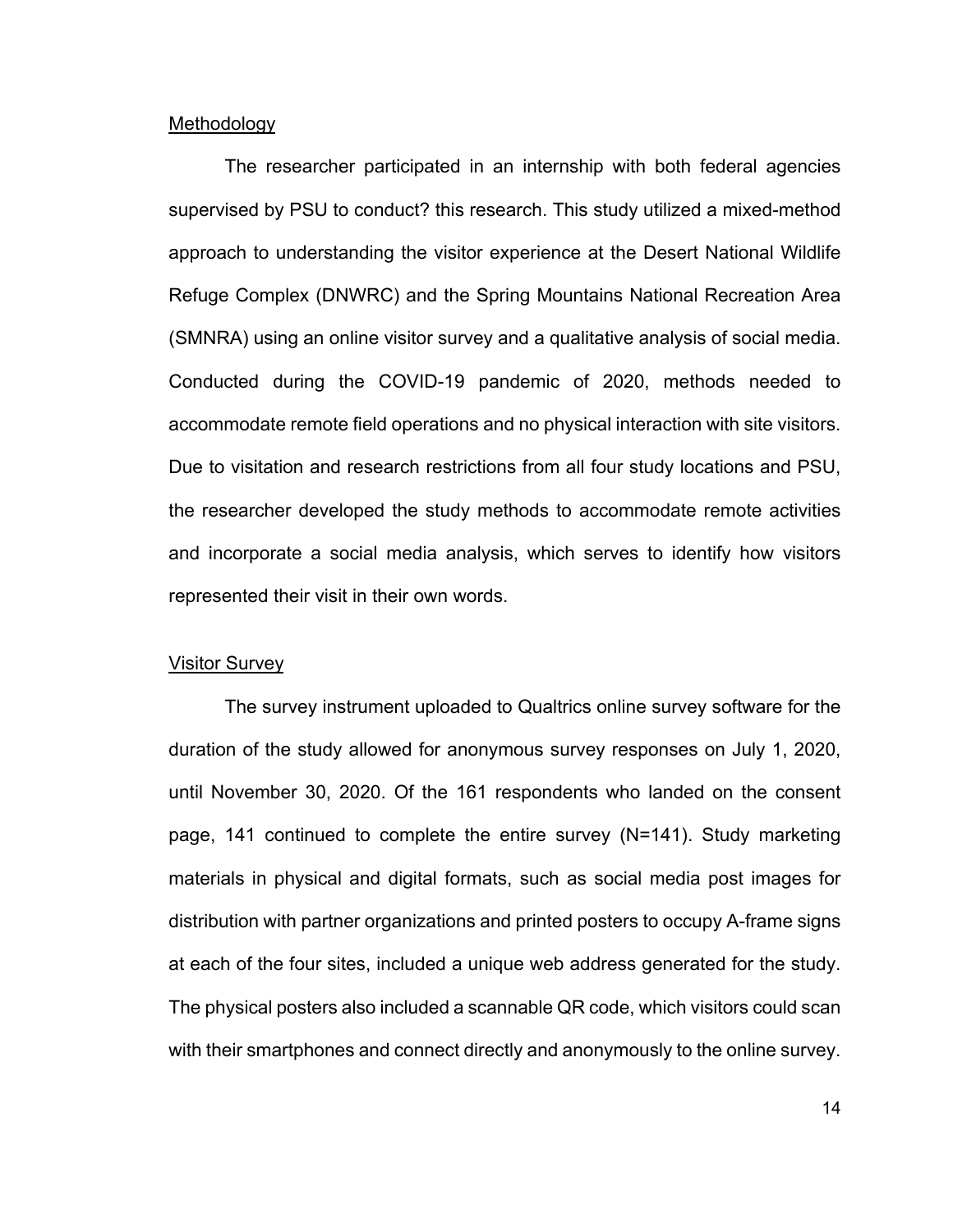#### Methodology

The researcher participated in an internship with both federal agencies supervised by PSU to conduct? this research. This study utilized a mixed-method approach to understanding the visitor experience at the Desert National Wildlife Refuge Complex (DNWRC) and the Spring Mountains National Recreation Area (SMNRA) using an online visitor survey and a qualitative analysis of social media. Conducted during the COVID-19 pandemic of 2020, methods needed to accommodate remote field operations and no physical interaction with site visitors. Due to visitation and research restrictions from all four study locations and PSU, the researcher developed the study methods to accommodate remote activities and incorporate a social media analysis, which serves to identify how visitors represented their visit in their own words.

#### Visitor Survey

The survey instrument uploaded to Qualtrics online survey software for the duration of the study allowed for anonymous survey responses on July 1, 2020, until November 30, 2020. Of the 161 respondents who landed on the consent page, 141 continued to complete the entire survey (N=141). Study marketing materials in physical and digital formats, such as social media post images for distribution with partner organizations and printed posters to occupy A-frame signs at each of the four sites, included a unique web address generated for the study. The physical posters also included a scannable QR code, which visitors could scan with their smartphones and connect directly and anonymously to the online survey.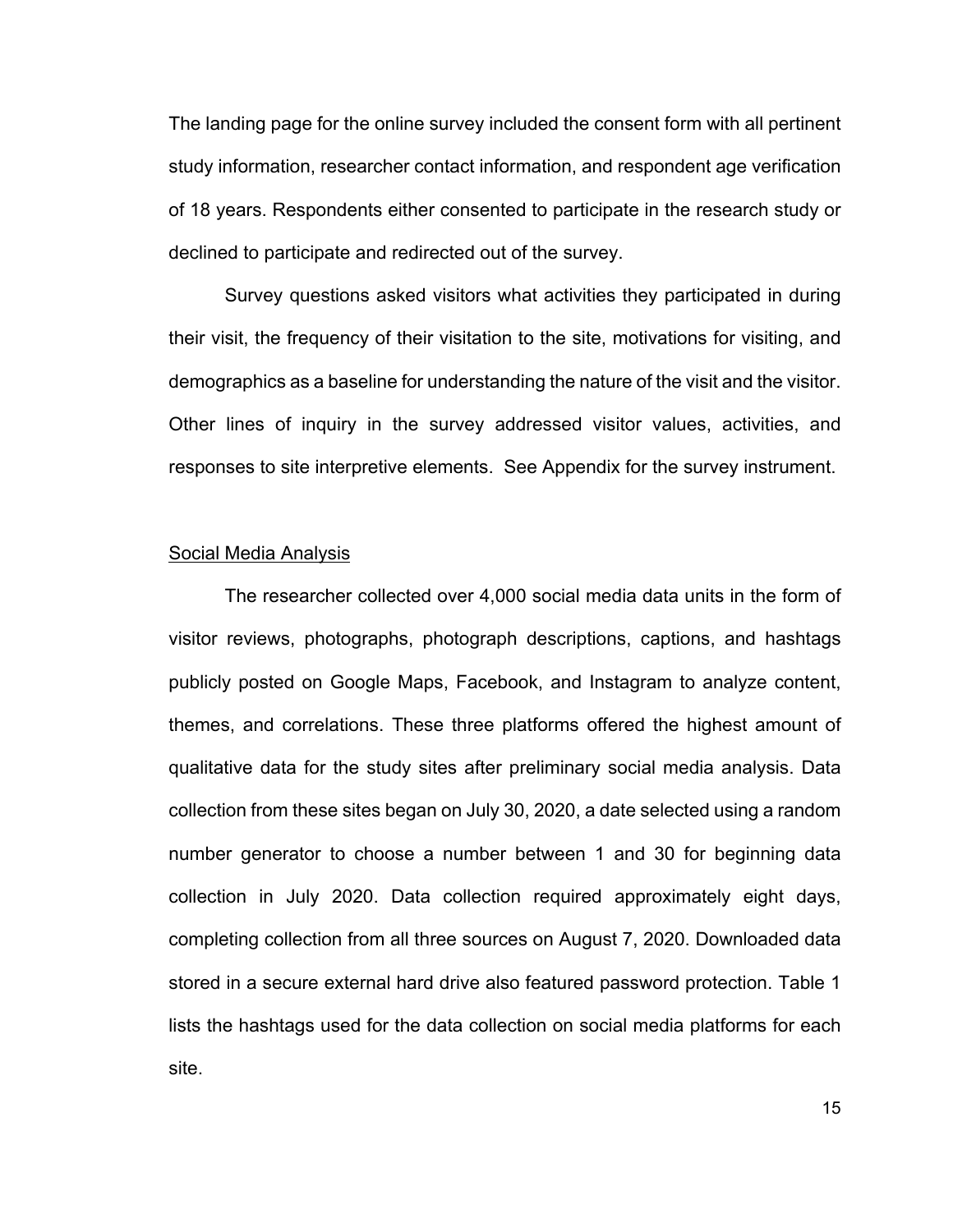The landing page for the online survey included the consent form with all pertinent study information, researcher contact information, and respondent age verification of 18 years. Respondents either consented to participate in the research study or declined to participate and redirected out of the survey.

Survey questions asked visitors what activities they participated in during their visit, the frequency of their visitation to the site, motivations for visiting, and demographics as a baseline for understanding the nature of the visit and the visitor. Other lines of inquiry in the survey addressed visitor values, activities, and responses to site interpretive elements. See Appendix for the survey instrument.

#### Social Media Analysis

The researcher collected over 4,000 social media data units in the form of visitor reviews, photographs, photograph descriptions, captions, and hashtags publicly posted on Google Maps, Facebook, and Instagram to analyze content, themes, and correlations. These three platforms offered the highest amount of qualitative data for the study sites after preliminary social media analysis. Data collection from these sites began on July 30, 2020, a date selected using a random number generator to choose a number between 1 and 30 for beginning data collection in July 2020. Data collection required approximately eight days, completing collection from all three sources on August 7, 2020. Downloaded data stored in a secure external hard drive also featured password protection. Table 1 lists the hashtags used for the data collection on social media platforms for each site.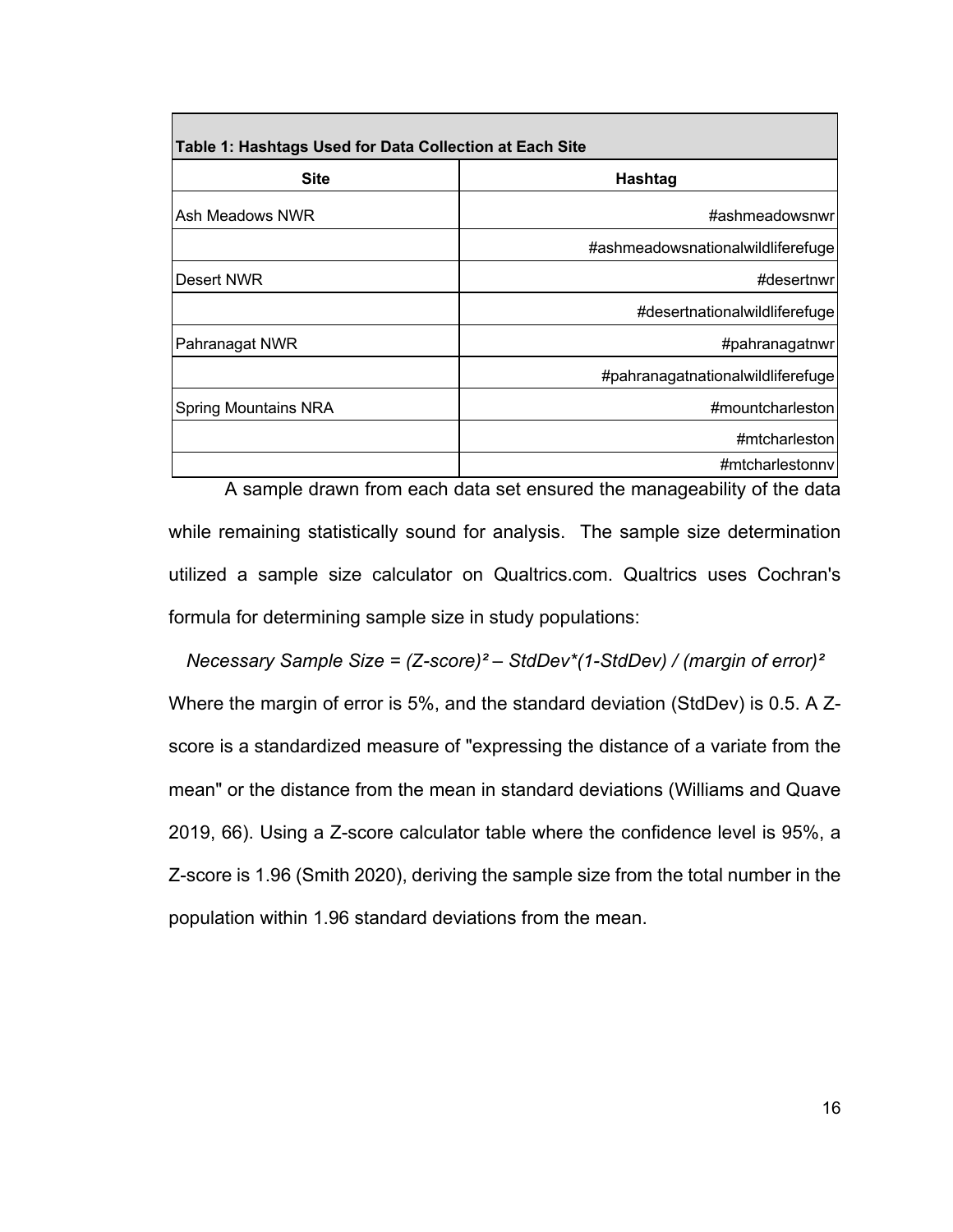| Table 1: Hashtags Used for Data Collection at Each Site |                                   |
|---------------------------------------------------------|-----------------------------------|
| <b>Site</b>                                             | Hashtag                           |
| Ash Meadows NWR                                         | #ashmeadowsnwr                    |
|                                                         | #ashmeadowsnationalwildliferefuge |
| Desert NWR                                              | #desertnwr                        |
|                                                         | #desertnationalwildliferefuge     |
| Pahranagat NWR                                          | #pahranagatnwr                    |
|                                                         | #pahranagatnationalwildliferefuge |
| <b>Spring Mountains NRA</b>                             | #mountcharleston                  |
|                                                         | #mtcharleston                     |
|                                                         | #mtcharlestonny                   |

A sample drawn from each data set ensured the manageability of the data while remaining statistically sound for analysis. The sample size determination utilized a sample size calculator on Qualtrics.com. Qualtrics uses Cochran's formula for determining sample size in study populations:

*Necessary Sample Size = (Z-score)² – StdDev\*(1-StdDev) / (margin of error)²*  Where the margin of error is 5%, and the standard deviation (StdDev) is 0.5. A Zscore is a standardized measure of "expressing the distance of a variate from the mean" or the distance from the mean in standard deviations (Williams and Quave 2019, 66). Using a Z-score calculator table where the confidence level is 95%, a Z-score is 1.96 (Smith 2020), deriving the sample size from the total number in the population within 1.96 standard deviations from the mean.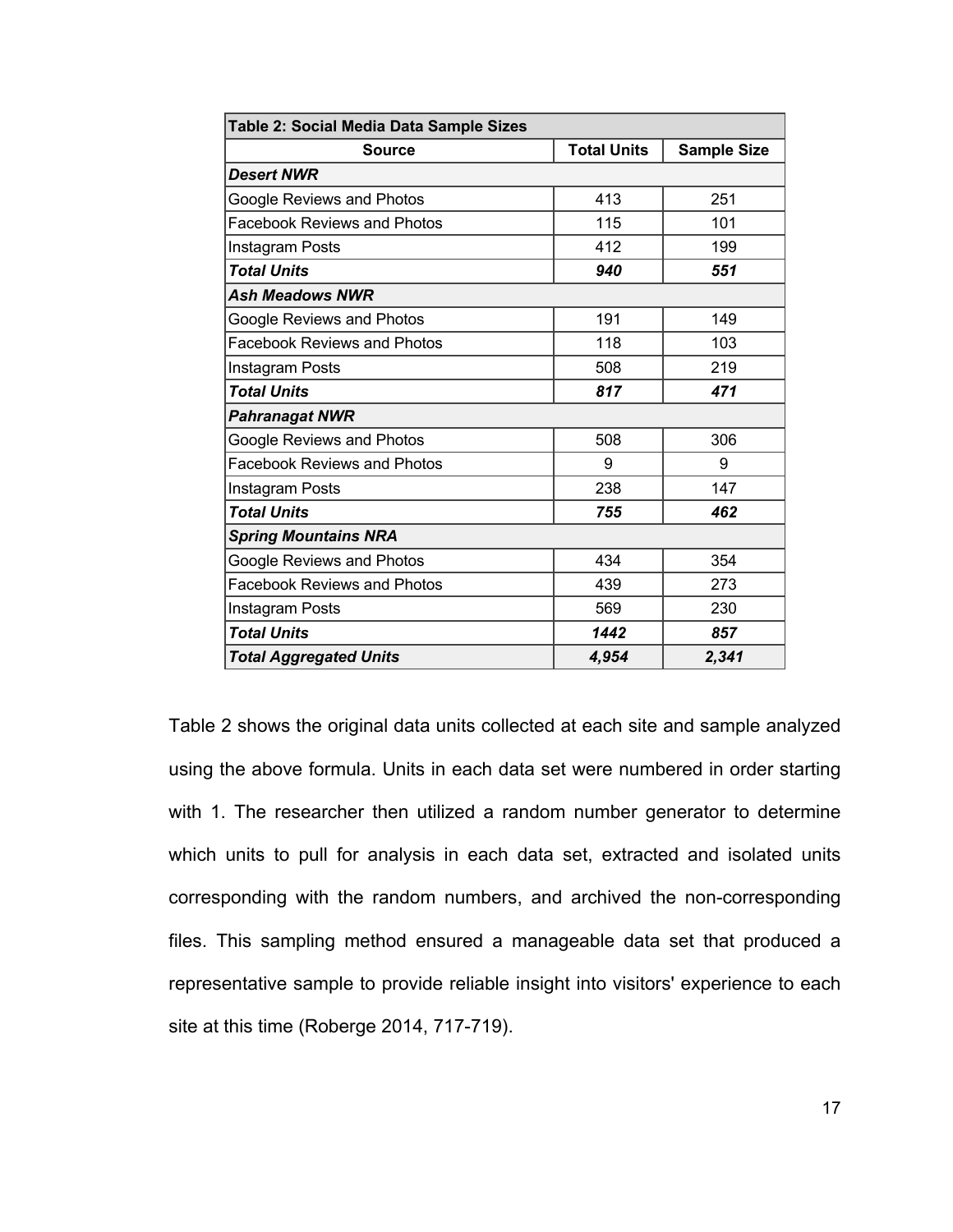| Table 2: Social Media Data Sample Sizes |                    |                    |  |  |
|-----------------------------------------|--------------------|--------------------|--|--|
| <b>Source</b>                           | <b>Total Units</b> | <b>Sample Size</b> |  |  |
| <b>Desert NWR</b>                       |                    |                    |  |  |
| Google Reviews and Photos               | 413                | 251                |  |  |
| <b>Facebook Reviews and Photos</b>      | 115                | 101                |  |  |
| Instagram Posts                         | 412                | 199                |  |  |
| <b>Total Units</b>                      | 940                | 551                |  |  |
| <b>Ash Meadows NWR</b>                  |                    |                    |  |  |
| Google Reviews and Photos               | 191                | 149                |  |  |
| <b>Facebook Reviews and Photos</b>      | 118                | 103                |  |  |
| Instagram Posts                         | 508                | 219                |  |  |
| <b>Total Units</b>                      | 817                | 471                |  |  |
| <b>Pahranagat NWR</b>                   |                    |                    |  |  |
| Google Reviews and Photos               | 508                | 306                |  |  |
| <b>Facebook Reviews and Photos</b>      | 9                  | 9                  |  |  |
| Instagram Posts                         | 238                | 147                |  |  |
| <b>Total Units</b>                      | 755                | 462                |  |  |
| <b>Spring Mountains NRA</b>             |                    |                    |  |  |
| Google Reviews and Photos               | 434                | 354                |  |  |
| <b>Facebook Reviews and Photos</b>      | 439                | 273                |  |  |
| Instagram Posts                         | 569                | 230                |  |  |
| <b>Total Units</b>                      | 1442               | 857                |  |  |
| <b>Total Aggregated Units</b>           | 4,954              | 2,341              |  |  |

Table 2 shows the original data units collected at each site and sample analyzed using the above formula. Units in each data set were numbered in order starting with 1. The researcher then utilized a random number generator to determine which units to pull for analysis in each data set, extracted and isolated units corresponding with the random numbers, and archived the non-corresponding files. This sampling method ensured a manageable data set that produced a representative sample to provide reliable insight into visitors' experience to each site at this time (Roberge 2014, 717-719).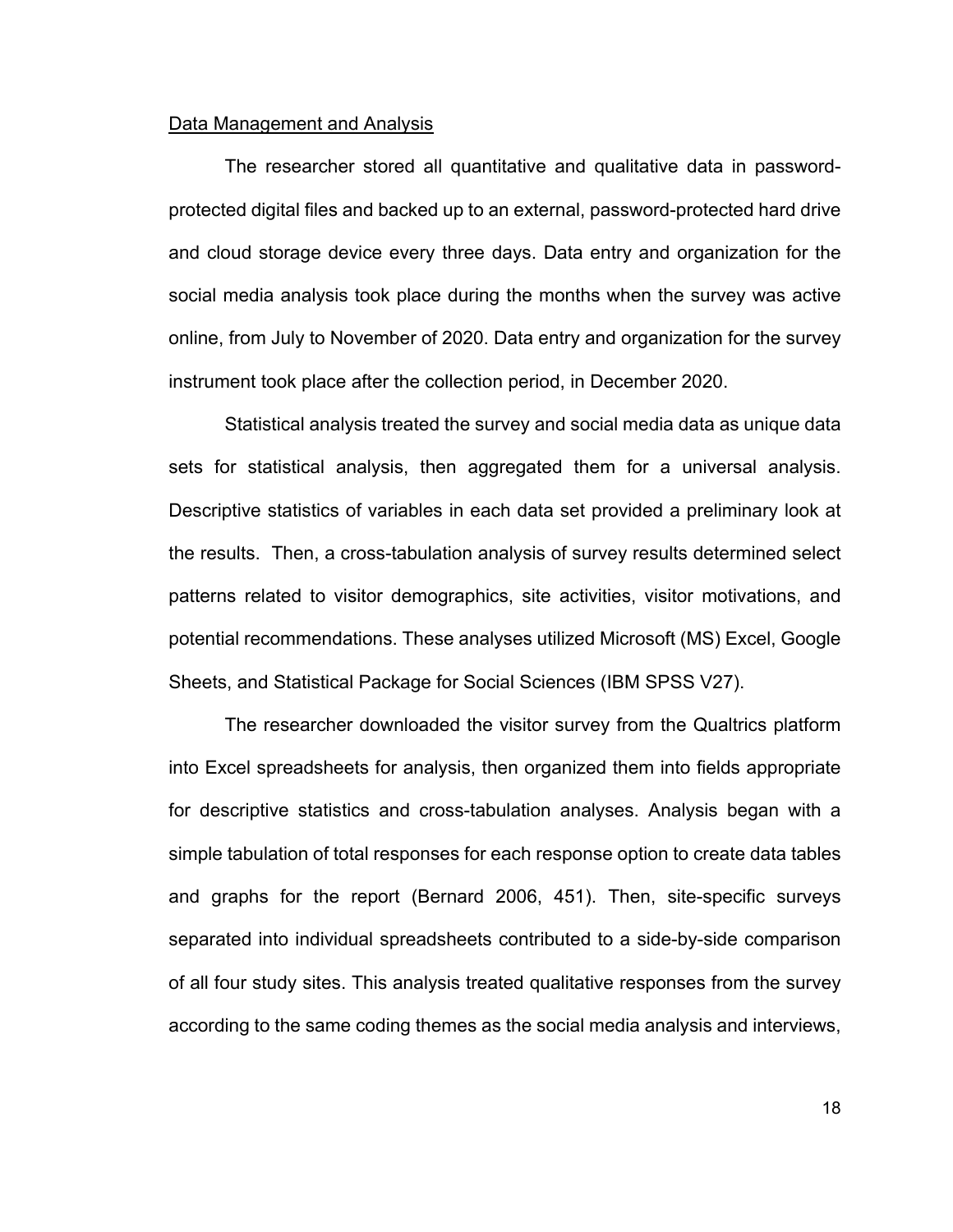#### Data Management and Analysis

The researcher stored all quantitative and qualitative data in passwordprotected digital files and backed up to an external, password-protected hard drive and cloud storage device every three days. Data entry and organization for the social media analysis took place during the months when the survey was active online, from July to November of 2020. Data entry and organization for the survey instrument took place after the collection period, in December 2020.

Statistical analysis treated the survey and social media data as unique data sets for statistical analysis, then aggregated them for a universal analysis. Descriptive statistics of variables in each data set provided a preliminary look at the results. Then, a cross-tabulation analysis of survey results determined select patterns related to visitor demographics, site activities, visitor motivations, and potential recommendations. These analyses utilized Microsoft (MS) Excel, Google Sheets, and Statistical Package for Social Sciences (IBM SPSS V27).

The researcher downloaded the visitor survey from the Qualtrics platform into Excel spreadsheets for analysis, then organized them into fields appropriate for descriptive statistics and cross-tabulation analyses. Analysis began with a simple tabulation of total responses for each response option to create data tables and graphs for the report (Bernard 2006, 451). Then, site-specific surveys separated into individual spreadsheets contributed to a side-by-side comparison of all four study sites. This analysis treated qualitative responses from the survey according to the same coding themes as the social media analysis and interviews,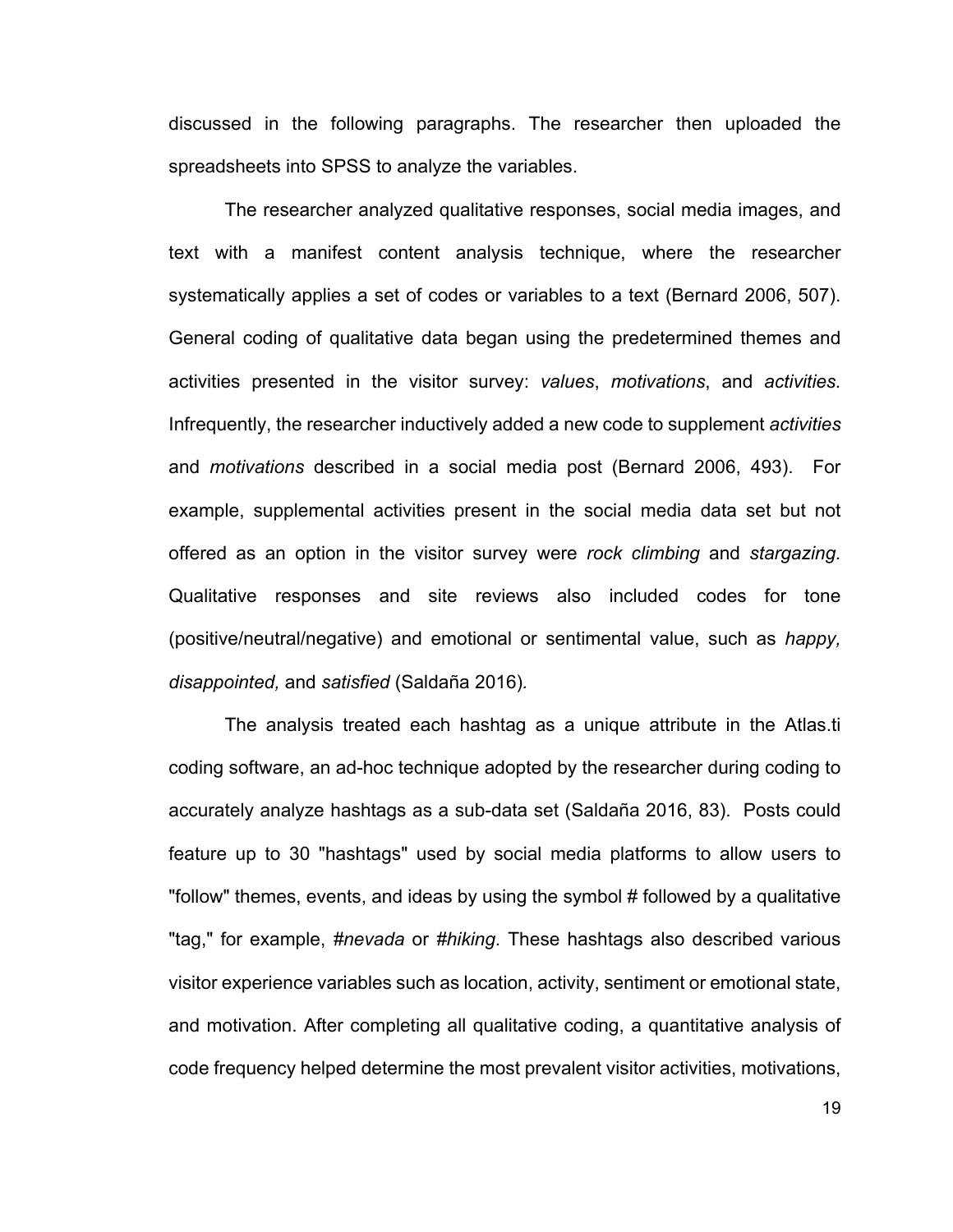discussed in the following paragraphs. The researcher then uploaded the spreadsheets into SPSS to analyze the variables.

The researcher analyzed qualitative responses, social media images, and text with a manifest content analysis technique, where the researcher systematically applies a set of codes or variables to a text (Bernard 2006, 507). General coding of qualitative data began using the predetermined themes and activities presented in the visitor survey: *values*, *motivations*, and *activities.*  Infrequently, the researcher inductively added a new code to supplement *activities* and *motivations* described in a social media post (Bernard 2006, 493). For example, supplemental activities present in the social media data set but not offered as an option in the visitor survey were *rock climbing* and *stargazing.*  Qualitative responses and site reviews also included codes for tone (positive/neutral/negative) and emotional or sentimental value, such as *happy, disappointed,* and *satisfied* (Saldaña 2016)*.* 

The analysis treated each hashtag as a unique attribute in the Atlas.ti coding software, an ad-hoc technique adopted by the researcher during coding to accurately analyze hashtags as a sub-data set (Saldaña 2016, 83). Posts could feature up to 30 "hashtags" used by social media platforms to allow users to "follow" themes, events, and ideas by using the symbol # followed by a qualitative "tag," for example, *#nevada* or *#hiking*. These hashtags also described various visitor experience variables such as location, activity, sentiment or emotional state, and motivation. After completing all qualitative coding, a quantitative analysis of code frequency helped determine the most prevalent visitor activities, motivations,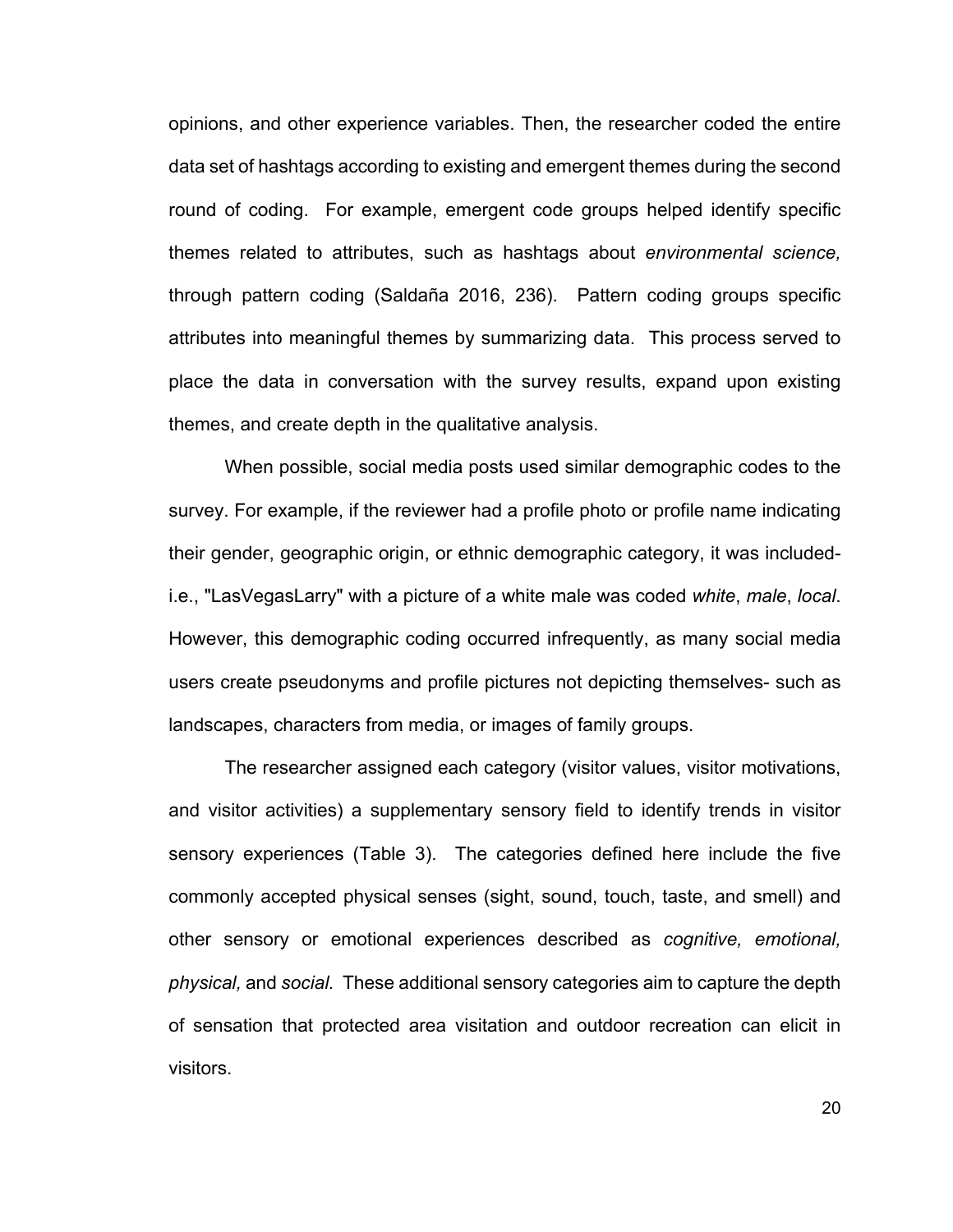opinions, and other experience variables. Then, the researcher coded the entire data set of hashtags according to existing and emergent themes during the second round of coding. For example, emergent code groups helped identify specific themes related to attributes, such as hashtags about *environmental science,* through pattern coding (Saldaña 2016, 236). Pattern coding groups specific attributes into meaningful themes by summarizing data. This process served to place the data in conversation with the survey results, expand upon existing themes, and create depth in the qualitative analysis.

When possible, social media posts used similar demographic codes to the survey. For example, if the reviewer had a profile photo or profile name indicating their gender, geographic origin, or ethnic demographic category, it was includedi.e., "LasVegasLarry" with a picture of a white male was coded *white*, *male*, *local*. However, this demographic coding occurred infrequently, as many social media users create pseudonyms and profile pictures not depicting themselves- such as landscapes, characters from media, or images of family groups.

The researcher assigned each category (visitor values, visitor motivations, and visitor activities) a supplementary sensory field to identify trends in visitor sensory experiences (Table 3). The categories defined here include the five commonly accepted physical senses (sight, sound, touch, taste, and smell) and other sensory or emotional experiences described as *cognitive, emotional, physical,* and *social.* These additional sensory categories aim to capture the depth of sensation that protected area visitation and outdoor recreation can elicit in visitors.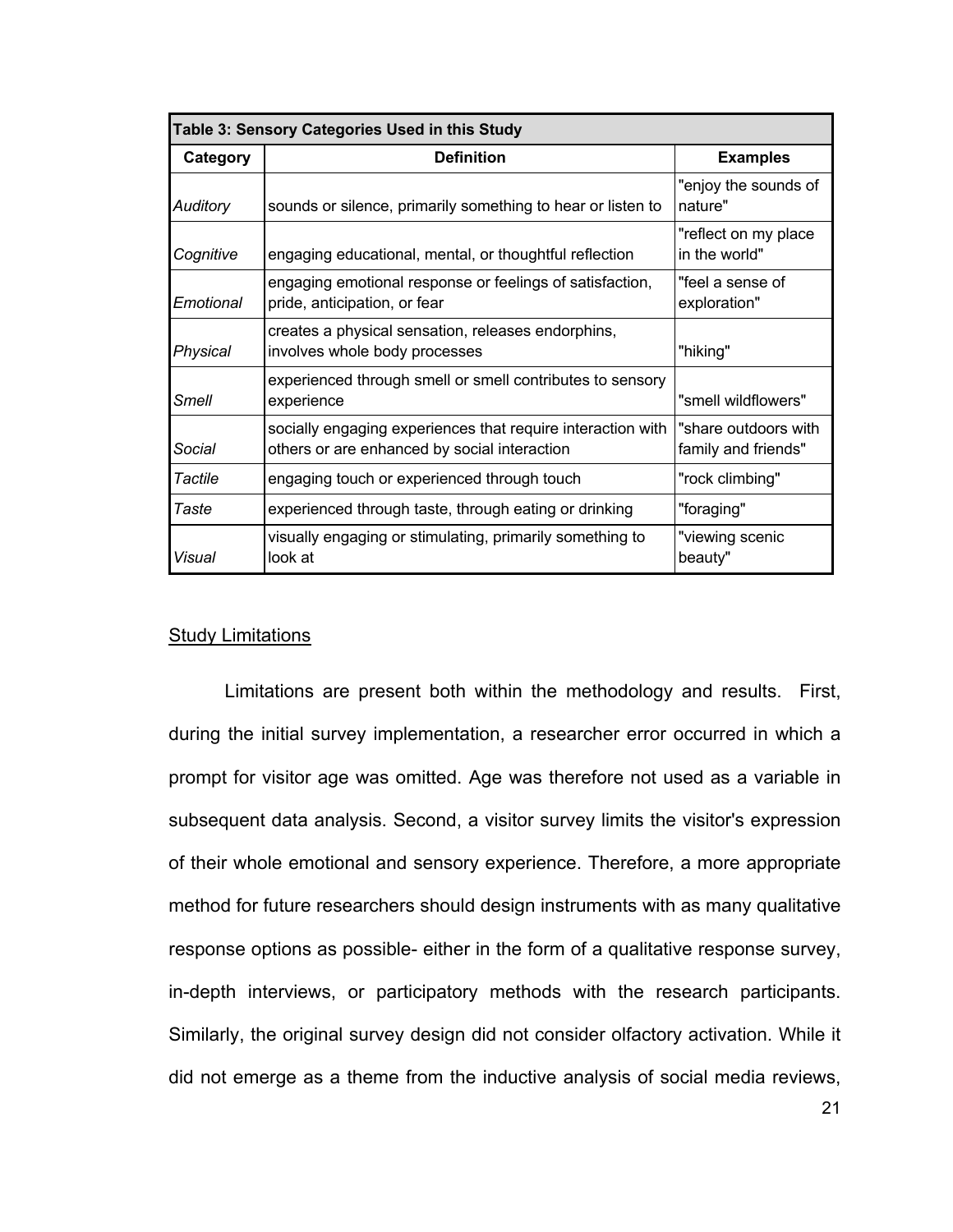|                 | Table 3: Sensory Categories Used in this Study                                                              |                                             |
|-----------------|-------------------------------------------------------------------------------------------------------------|---------------------------------------------|
| <b>Category</b> | <b>Definition</b>                                                                                           | <b>Examples</b>                             |
| <b>Auditory</b> | sounds or silence, primarily something to hear or listen to                                                 | "enjoy the sounds of<br>nature"             |
| Cognitive       | engaging educational, mental, or thoughtful reflection                                                      | "reflect on my place<br>in the world"       |
| Emotional       | engaging emotional response or feelings of satisfaction,<br>pride, anticipation, or fear                    | "feel a sense of<br>exploration"            |
| Physical        | creates a physical sensation, releases endorphins,<br>involves whole body processes                         | "hiking"                                    |
| Smell           | experienced through smell or smell contributes to sensory<br>experience                                     | "smell wildflowers"                         |
| Social          | socially engaging experiences that require interaction with<br>others or are enhanced by social interaction | "share outdoors with<br>family and friends" |
| Tactile         | engaging touch or experienced through touch                                                                 | "rock climbing"                             |
| <b>Taste</b>    | experienced through taste, through eating or drinking                                                       | "foraging"                                  |
| Visual          | visually engaging or stimulating, primarily something to<br>look at                                         | "viewing scenic<br>beauty"                  |

#### Study Limitations

Limitations are present both within the methodology and results. First, during the initial survey implementation, a researcher error occurred in which a prompt for visitor age was omitted. Age was therefore not used as a variable in subsequent data analysis. Second, a visitor survey limits the visitor's expression of their whole emotional and sensory experience. Therefore, a more appropriate method for future researchers should design instruments with as many qualitative response options as possible- either in the form of a qualitative response survey, in-depth interviews, or participatory methods with the research participants. Similarly, the original survey design did not consider olfactory activation. While it did not emerge as a theme from the inductive analysis of social media reviews,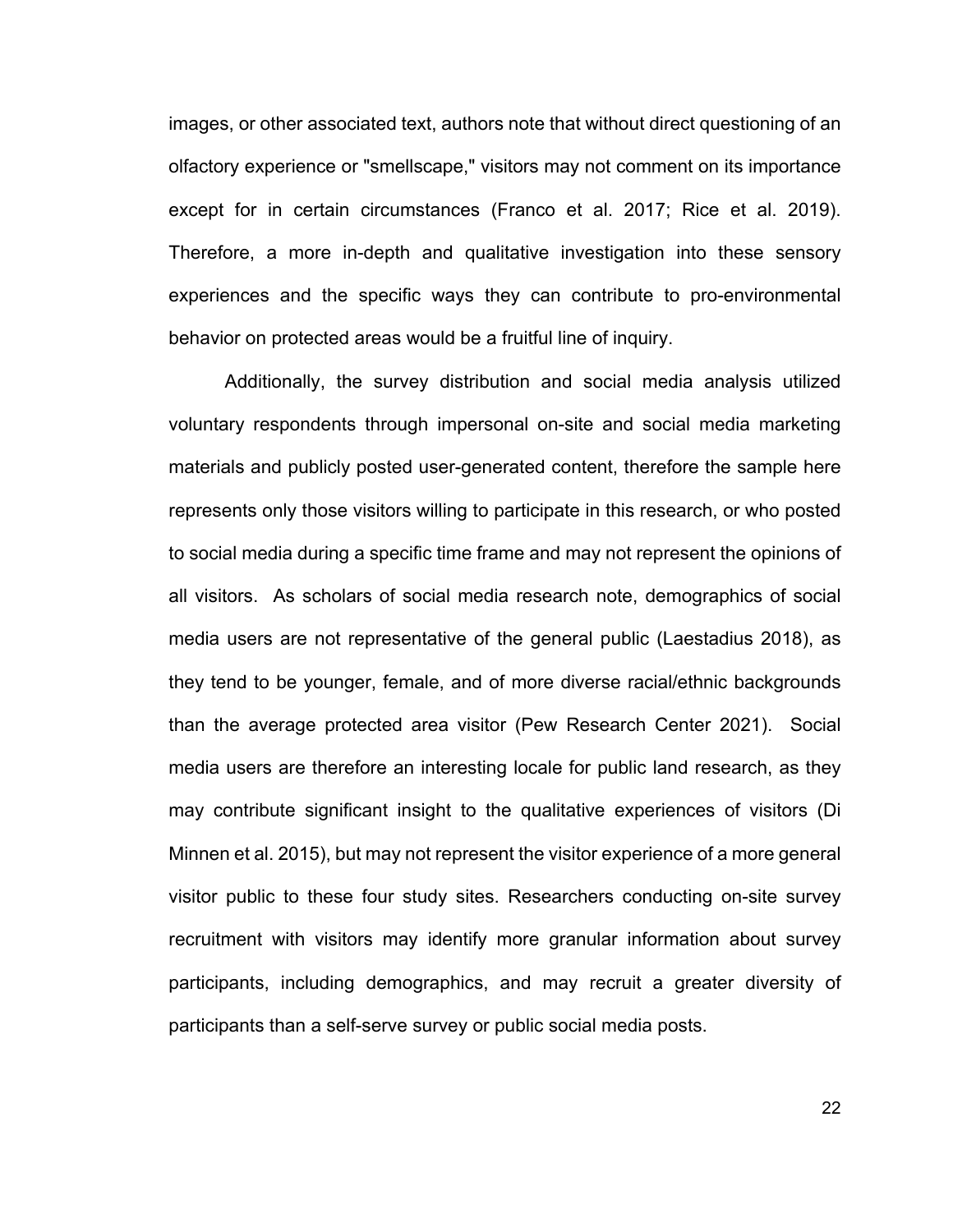images, or other associated text, authors note that without direct questioning of an olfactory experience or "smellscape," visitors may not comment on its importance except for in certain circumstances (Franco et al. 2017; Rice et al. 2019). Therefore, a more in-depth and qualitative investigation into these sensory experiences and the specific ways they can contribute to pro-environmental behavior on protected areas would be a fruitful line of inquiry.

Additionally, the survey distribution and social media analysis utilized voluntary respondents through impersonal on-site and social media marketing materials and publicly posted user-generated content, therefore the sample here represents only those visitors willing to participate in this research, or who posted to social media during a specific time frame and may not represent the opinions of all visitors. As scholars of social media research note, demographics of social media users are not representative of the general public (Laestadius 2018), as they tend to be younger, female, and of more diverse racial/ethnic backgrounds than the average protected area visitor (Pew Research Center 2021). Social media users are therefore an interesting locale for public land research, as they may contribute significant insight to the qualitative experiences of visitors (Di Minnen et al. 2015), but may not represent the visitor experience of a more general visitor public to these four study sites. Researchers conducting on-site survey recruitment with visitors may identify more granular information about survey participants, including demographics, and may recruit a greater diversity of participants than a self-serve survey or public social media posts.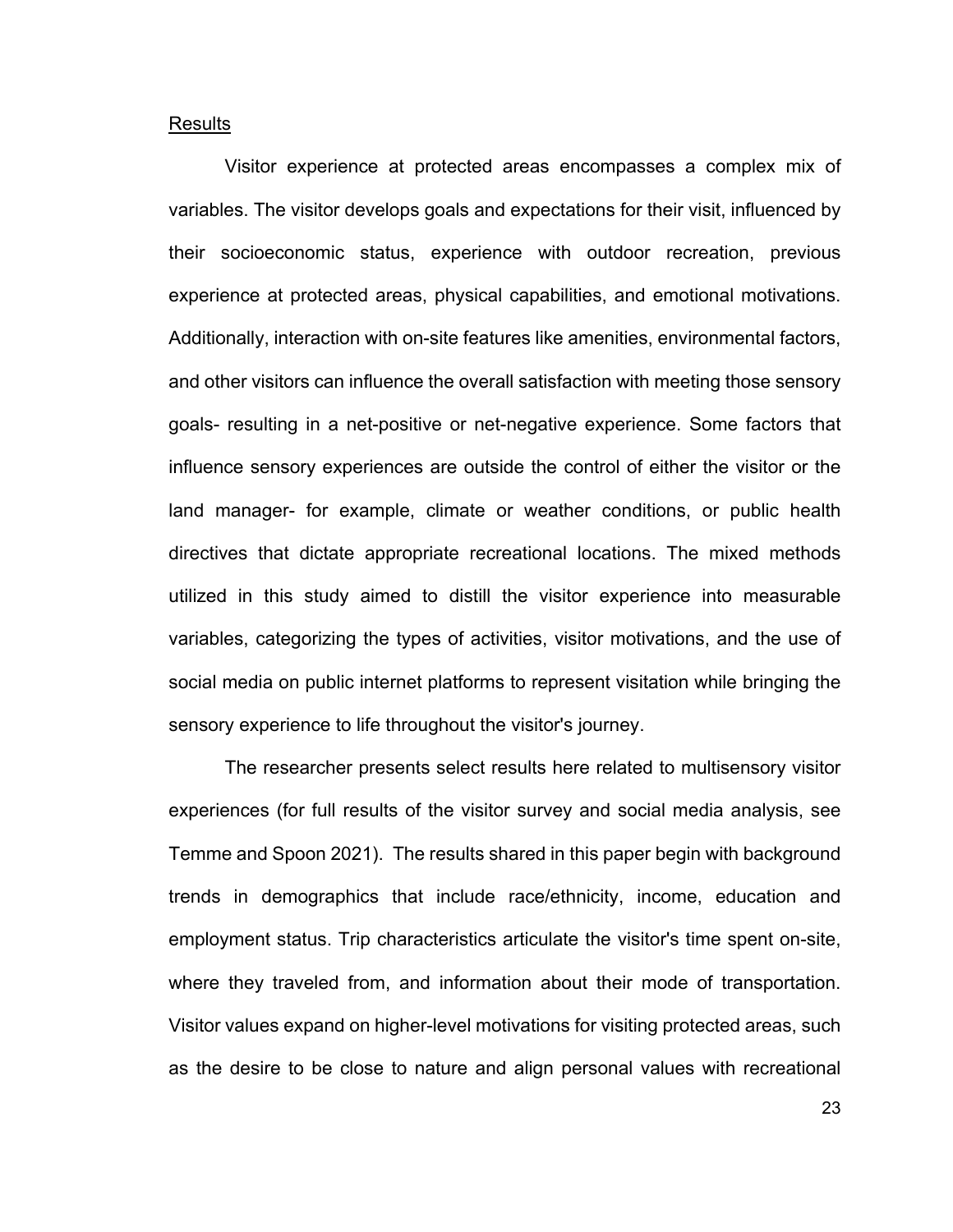#### Results

Visitor experience at protected areas encompasses a complex mix of variables. The visitor develops goals and expectations for their visit, influenced by their socioeconomic status, experience with outdoor recreation, previous experience at protected areas, physical capabilities, and emotional motivations. Additionally, interaction with on-site features like amenities, environmental factors, and other visitors can influence the overall satisfaction with meeting those sensory goals- resulting in a net-positive or net-negative experience. Some factors that influence sensory experiences are outside the control of either the visitor or the land manager- for example, climate or weather conditions, or public health directives that dictate appropriate recreational locations. The mixed methods utilized in this study aimed to distill the visitor experience into measurable variables, categorizing the types of activities, visitor motivations, and the use of social media on public internet platforms to represent visitation while bringing the sensory experience to life throughout the visitor's journey.

The researcher presents select results here related to multisensory visitor experiences (for full results of the visitor survey and social media analysis, see Temme and Spoon 2021). The results shared in this paper begin with background trends in demographics that include race/ethnicity, income, education and employment status. Trip characteristics articulate the visitor's time spent on-site, where they traveled from, and information about their mode of transportation. Visitor values expand on higher-level motivations for visiting protected areas, such as the desire to be close to nature and align personal values with recreational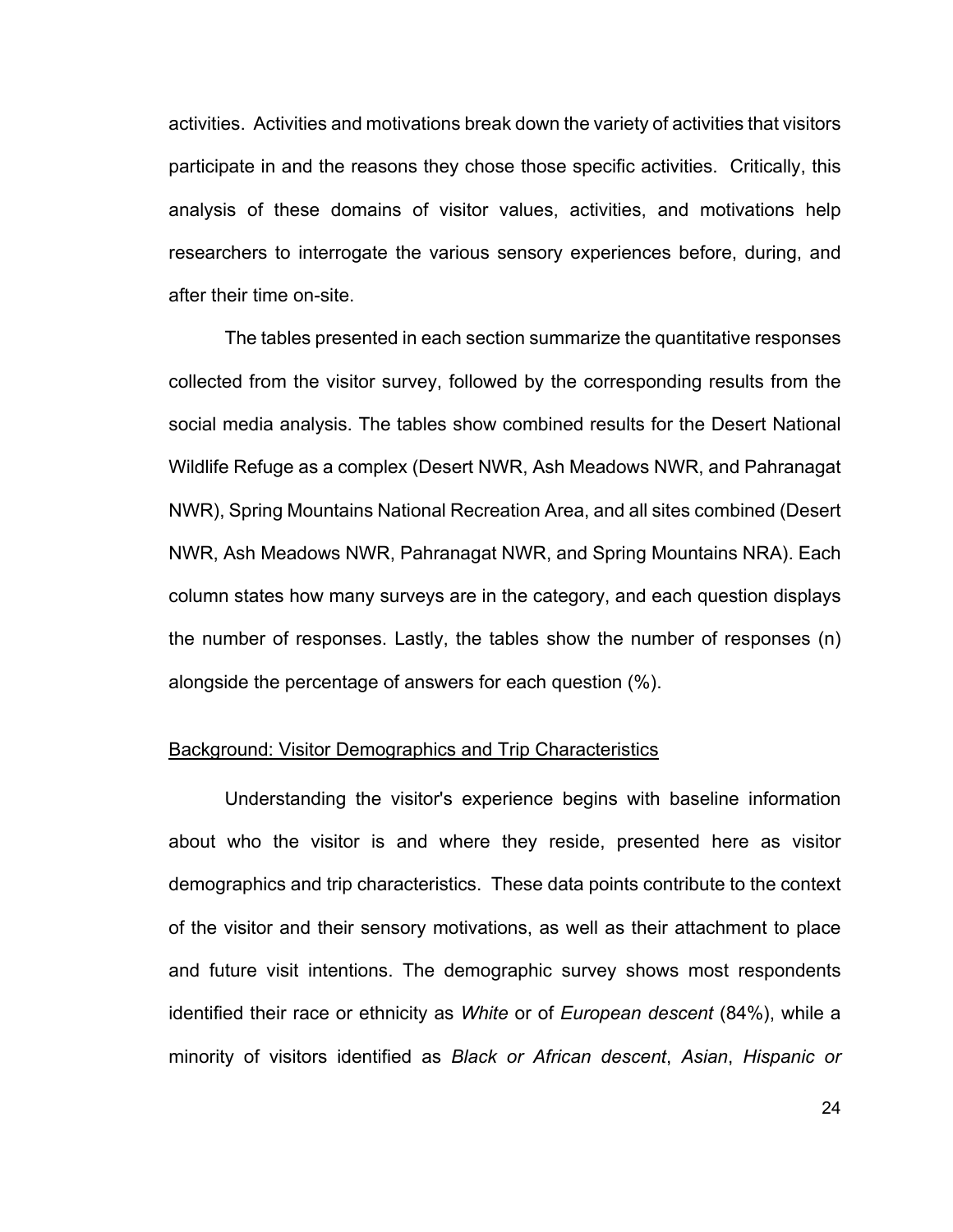activities. Activities and motivations break down the variety of activities that visitors participate in and the reasons they chose those specific activities. Critically, this analysis of these domains of visitor values, activities, and motivations help researchers to interrogate the various sensory experiences before, during, and after their time on-site.

The tables presented in each section summarize the quantitative responses collected from the visitor survey, followed by the corresponding results from the social media analysis. The tables show combined results for the Desert National Wildlife Refuge as a complex (Desert NWR, Ash Meadows NWR, and Pahranagat NWR), Spring Mountains National Recreation Area, and all sites combined (Desert NWR, Ash Meadows NWR, Pahranagat NWR, and Spring Mountains NRA). Each column states how many surveys are in the category, and each question displays the number of responses. Lastly, the tables show the number of responses (n) alongside the percentage of answers for each question (%).

#### Background: Visitor Demographics and Trip Characteristics

Understanding the visitor's experience begins with baseline information about who the visitor is and where they reside, presented here as visitor demographics and trip characteristics. These data points contribute to the context of the visitor and their sensory motivations, as well as their attachment to place and future visit intentions. The demographic survey shows most respondents identified their race or ethnicity as *White* or of *European descent* (84%), while a minority of visitors identified as *Black or African descent*, *Asian*, *Hispanic or*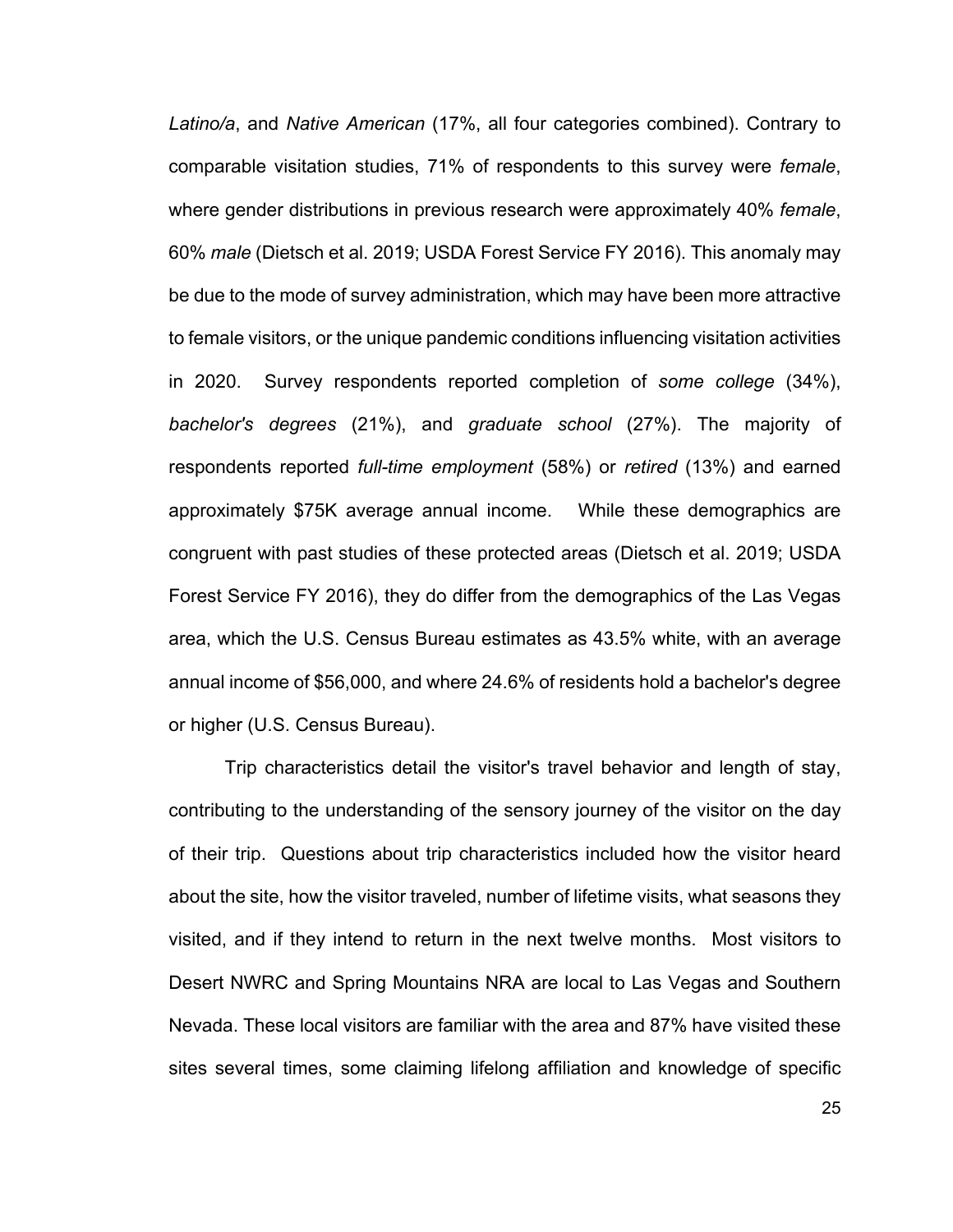*Latino/a*, and *Native American* (17%, all four categories combined). Contrary to comparable visitation studies, 71% of respondents to this survey were *female*, where gender distributions in previous research were approximately 40% *female*, 60% *male* (Dietsch et al. 2019; USDA Forest Service FY 2016). This anomaly may be due to the mode of survey administration, which may have been more attractive to female visitors, or the unique pandemic conditions influencing visitation activities in 2020. Survey respondents reported completion of *some college* (34%), *bachelor's degrees* (21%), and *graduate school* (27%). The majority of respondents reported *full-time employment* (58%) or *retired* (13%) and earned approximately \$75K average annual income. While these demographics are congruent with past studies of these protected areas (Dietsch et al. 2019; USDA Forest Service FY 2016), they do differ from the demographics of the Las Vegas area, which the U.S. Census Bureau estimates as 43.5% white, with an average annual income of \$56,000, and where 24.6% of residents hold a bachelor's degree or higher (U.S. Census Bureau).

Trip characteristics detail the visitor's travel behavior and length of stay, contributing to the understanding of the sensory journey of the visitor on the day of their trip. Questions about trip characteristics included how the visitor heard about the site, how the visitor traveled, number of lifetime visits, what seasons they visited, and if they intend to return in the next twelve months. Most visitors to Desert NWRC and Spring Mountains NRA are local to Las Vegas and Southern Nevada. These local visitors are familiar with the area and 87% have visited these sites several times, some claiming lifelong affiliation and knowledge of specific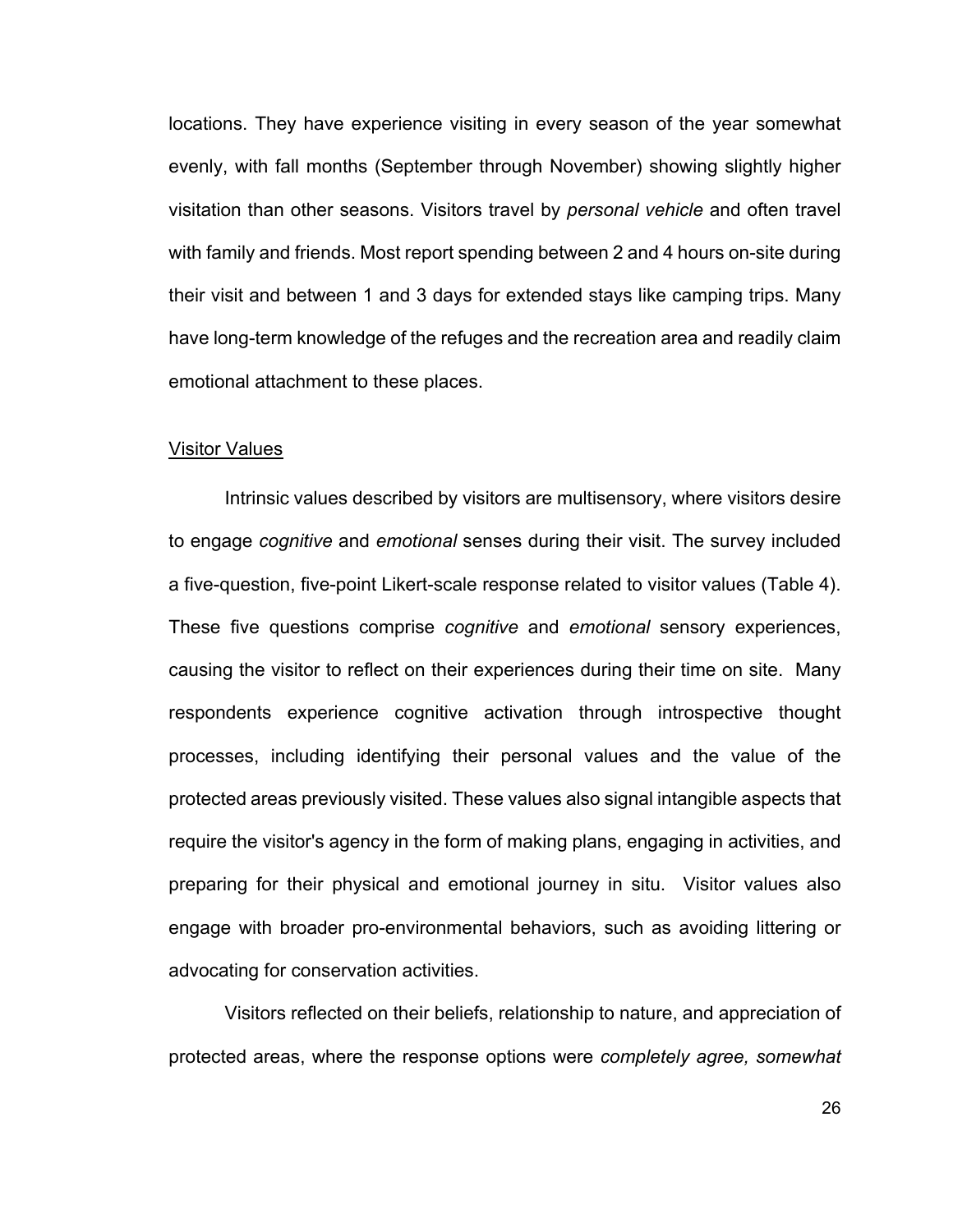locations. They have experience visiting in every season of the year somewhat evenly, with fall months (September through November) showing slightly higher visitation than other seasons. Visitors travel by *personal vehicle* and often travel with family and friends. Most report spending between 2 and 4 hours on-site during their visit and between 1 and 3 days for extended stays like camping trips. Many have long-term knowledge of the refuges and the recreation area and readily claim emotional attachment to these places.

#### Visitor Values

Intrinsic values described by visitors are multisensory, where visitors desire to engage *cognitive* and *emotional* senses during their visit. The survey included a five-question, five-point Likert-scale response related to visitor values (Table 4). These five questions comprise *cognitive* and *emotional* sensory experiences, causing the visitor to reflect on their experiences during their time on site. Many respondents experience cognitive activation through introspective thought processes, including identifying their personal values and the value of the protected areas previously visited. These values also signal intangible aspects that require the visitor's agency in the form of making plans, engaging in activities, and preparing for their physical and emotional journey in situ. Visitor values also engage with broader pro-environmental behaviors, such as avoiding littering or advocating for conservation activities.

Visitors reflected on their beliefs, relationship to nature, and appreciation of protected areas, where the response options were *completely agree, somewhat*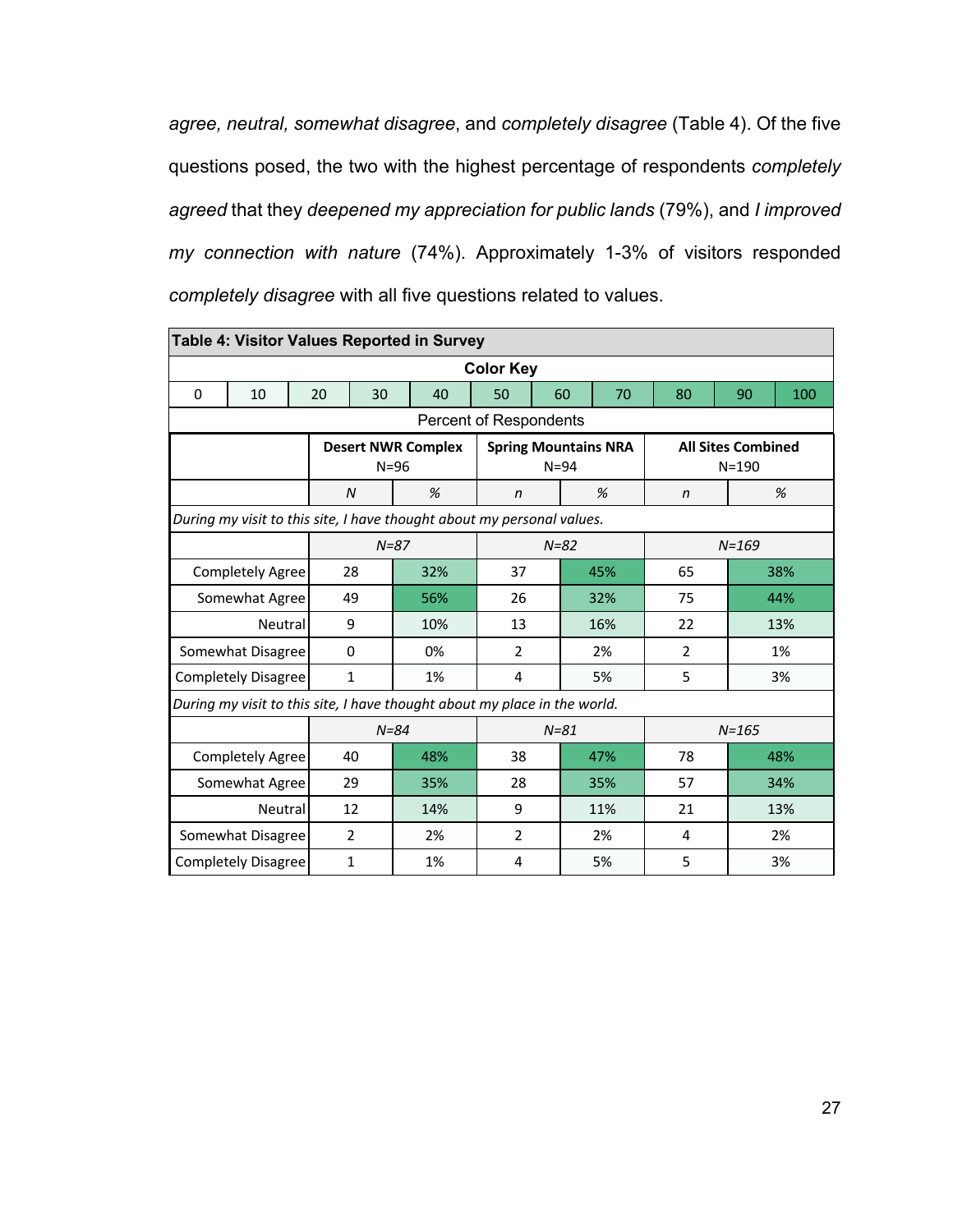*agree, neutral, somewhat disagree*, and *completely disagree* (Table 4). Of the five questions posed, the two with the highest percentage of respondents *completely agreed* that they *deepened my appreciation for public lands* (79%), and *I improved my connection with nature* (74%). Approximately 1-3% of visitors responded *completely disagree* with all five questions related to values.

|          | <b>Table 4: Visitor Values Reported in Survey</b>                         |  |    |              |          |                           |                |    |          |                             |    |                |  |                                        |     |    |     |     |  |
|----------|---------------------------------------------------------------------------|--|----|--------------|----------|---------------------------|----------------|----|----------|-----------------------------|----|----------------|--|----------------------------------------|-----|----|-----|-----|--|
|          | <b>Color Key</b>                                                          |  |    |              |          |                           |                |    |          |                             |    |                |  |                                        |     |    |     |     |  |
| $\Omega$ | 10                                                                        |  | 20 | 30           |          | 40                        | 50             |    | 60       | 70                          |    | 80             |  | 90                                     | 100 |    |     |     |  |
|          | Percent of Respondents                                                    |  |    |              |          |                           |                |    |          |                             |    |                |  |                                        |     |    |     |     |  |
|          |                                                                           |  |    |              | $N = 96$ | <b>Desert NWR Complex</b> |                |    | $N = 94$ | <b>Spring Mountains NRA</b> |    |                |  | <b>All Sites Combined</b><br>$N = 190$ |     |    |     |     |  |
|          |                                                                           |  |    | N            |          | %                         | n              |    |          | %                           |    | n              |  |                                        | %   |    |     |     |  |
|          | During my visit to this site, I have thought about my personal values.    |  |    |              |          |                           |                |    |          |                             |    |                |  |                                        |     |    |     |     |  |
|          | $N=87$<br>$N = 82$<br>$N = 169$                                           |  |    |              |          |                           |                |    |          |                             |    |                |  |                                        |     |    |     |     |  |
|          | <b>Completely Agree</b>                                                   |  |    | 28           |          | 32%                       | 37             |    |          | 45%                         |    | 65             |  |                                        | 38% |    |     |     |  |
|          | Somewhat Agree                                                            |  |    | 49           |          | 56%                       | 26             |    |          | 32%                         | 75 |                |  | 44%                                    |     |    |     |     |  |
|          | Neutral                                                                   |  | 9  |              |          | 10%                       | 13             |    |          | 16%                         |    | 22             |  |                                        | 13% |    |     |     |  |
|          | Somewhat Disagree                                                         |  |    | 0            |          | 0%                        | $\overline{2}$ |    |          | 2%                          |    | $\overline{2}$ |  |                                        | 1%  |    |     |     |  |
|          | <b>Completely Disagree</b>                                                |  |    | $\mathbf{1}$ |          | 1%                        | 4              |    |          | 5%                          |    | 5              |  |                                        | 3%  |    |     |     |  |
|          | During my visit to this site, I have thought about my place in the world. |  |    |              |          |                           |                |    |          |                             |    |                |  |                                        |     |    |     |     |  |
|          |                                                                           |  |    |              | $N = 84$ |                           |                |    | $N = 81$ |                             |    |                |  | $N = 165$                              |     |    |     |     |  |
|          | <b>Completely Agree</b>                                                   |  |    | 40           |          | 48%                       | 38             |    |          | 47%                         |    | 78             |  |                                        | 48% |    |     |     |  |
|          | Somewhat Agree                                                            |  |    | 29           |          | 35%                       | 28             |    | 35%      |                             |    |                |  | 57                                     |     |    | 34% |     |  |
| Neutral  |                                                                           |  |    | 12           |          | 14%                       | 9              |    |          | 11%                         |    |                |  |                                        |     | 21 |     | 13% |  |
|          | Somewhat Disagree                                                         |  |    | 2            |          | 2%                        | 2              | 2% |          |                             |    | 4              |  |                                        | 2%  |    |     |     |  |
|          | <b>Completely Disagree</b>                                                |  |    | $\mathbf{1}$ |          | 1%                        | 4              |    |          | 5%                          |    | 5              |  |                                        | 3%  |    |     |     |  |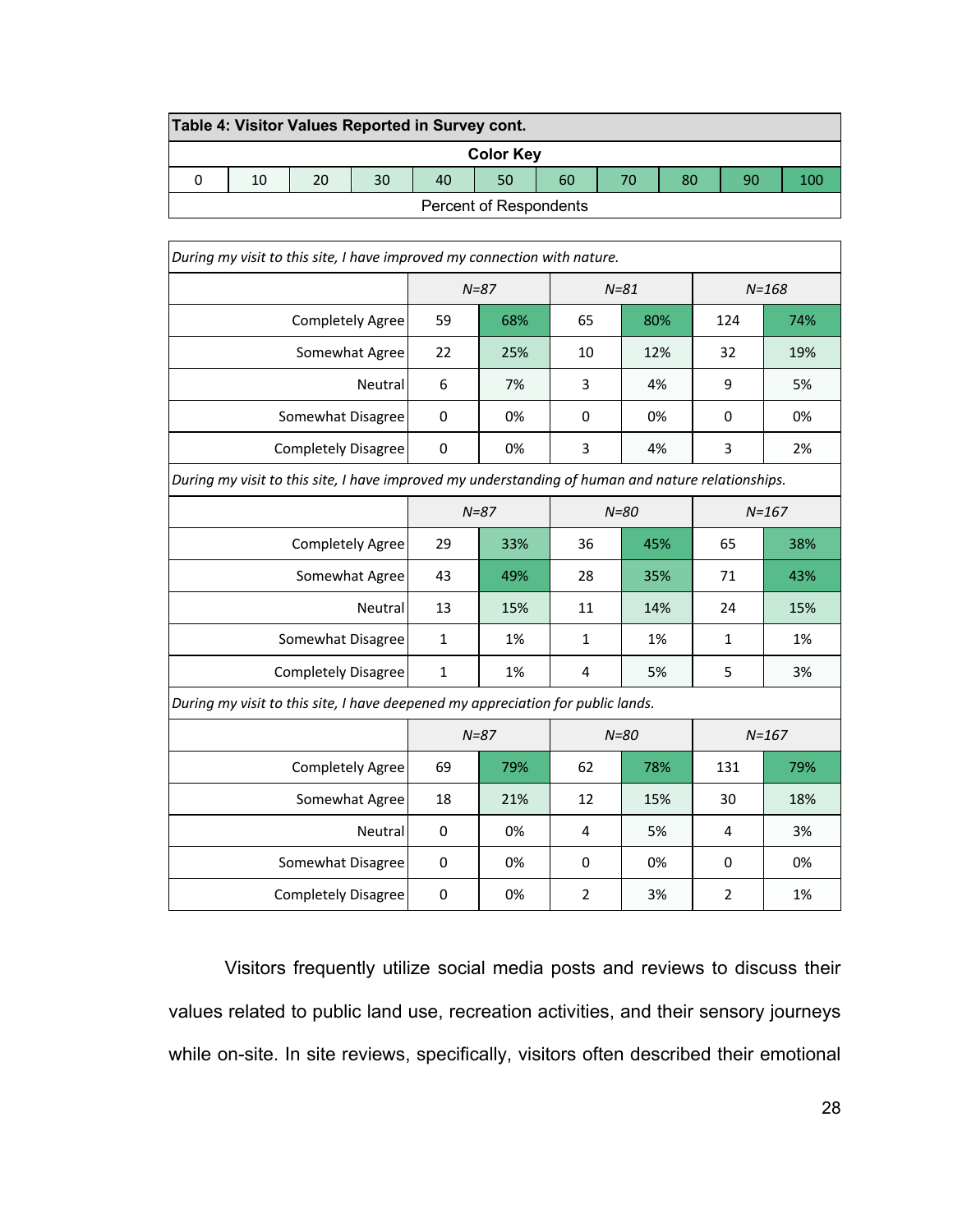|                        | Table 4: Visitor Values Reported in Survey cont. |    |    |    |    |    |    |    |  |  |  |
|------------------------|--------------------------------------------------|----|----|----|----|----|----|----|--|--|--|
| <b>Color Key</b>       |                                                  |    |    |    |    |    |    |    |  |  |  |
| 10                     | 20                                               | 30 | 40 | 50 | 60 | 70 | 80 | 90 |  |  |  |
| Percent of Respondents |                                                  |    |    |    |    |    |    |    |  |  |  |

| During my visit to this site, I have improved my connection with nature.                          |              |           |                |           |                |           |  |  |  |
|---------------------------------------------------------------------------------------------------|--------------|-----------|----------------|-----------|----------------|-----------|--|--|--|
|                                                                                                   |              | $N = 87$  |                | $N = 168$ |                |           |  |  |  |
| <b>Completely Agree</b>                                                                           | 59           | 68%       | 65             | 80%       | 124            | 74%       |  |  |  |
| Somewhat Agree                                                                                    | 22           | 25%       | 10             | 12%       | 32             | 19%       |  |  |  |
| Neutral                                                                                           | 6            | 7%        | 3              | 4%        | 9              | 5%        |  |  |  |
| Somewhat Disagree                                                                                 | 0            | 0%        | 0              | 0%        | $\mathbf 0$    | 0%        |  |  |  |
| <b>Completely Disagree</b>                                                                        | 0            | 0%        | 3              | 4%        | 3              | 2%        |  |  |  |
| During my visit to this site, I have improved my understanding of human and nature relationships. |              |           |                |           |                |           |  |  |  |
|                                                                                                   |              | $N = 87$  |                | $N = 80$  | $N = 167$      |           |  |  |  |
| <b>Completely Agree</b>                                                                           | 29           | 33%       | 36             | 45%       | 65             | 38%       |  |  |  |
| Somewhat Agree                                                                                    | 43           | 49%       | 28             | 35%       | 71             | 43%       |  |  |  |
| Neutral                                                                                           | 13           | 15%       | 11             | 14%       |                | 15%       |  |  |  |
| Somewhat Disagree                                                                                 | $\mathbf{1}$ | 1%        | 1              | 1%        | $\mathbf{1}$   | 1%        |  |  |  |
| Completely Disagree                                                                               | $\mathbf{1}$ | 1%        | 4              | 5%        | 5              | 3%        |  |  |  |
| During my visit to this site, I have deepened my appreciation for public lands.                   |              |           |                |           |                |           |  |  |  |
|                                                                                                   |              | $N = 87$  |                | $N = 80$  |                | $N = 167$ |  |  |  |
| <b>Completely Agree</b>                                                                           | 69           | 79%       | 62             | 78%       | 131            | 79%       |  |  |  |
| Somewhat Agree                                                                                    | 18           | 21%<br>12 |                | 15%       | 30             | 18%       |  |  |  |
| Neutral                                                                                           | $\mathbf 0$  | 0%        | 5%<br>4        |           | 4              | 3%        |  |  |  |
| Somewhat Disagree                                                                                 | 0            | 0%        | 0              | 0%        | 0              | 0%        |  |  |  |
| <b>Completely Disagree</b>                                                                        | 0            | 0%        | $\overline{2}$ | 3%        | $\overline{2}$ | 1%        |  |  |  |

Visitors frequently utilize social media posts and reviews to discuss their values related to public land use, recreation activities, and their sensory journeys while on-site. In site reviews, specifically, visitors often described their emotional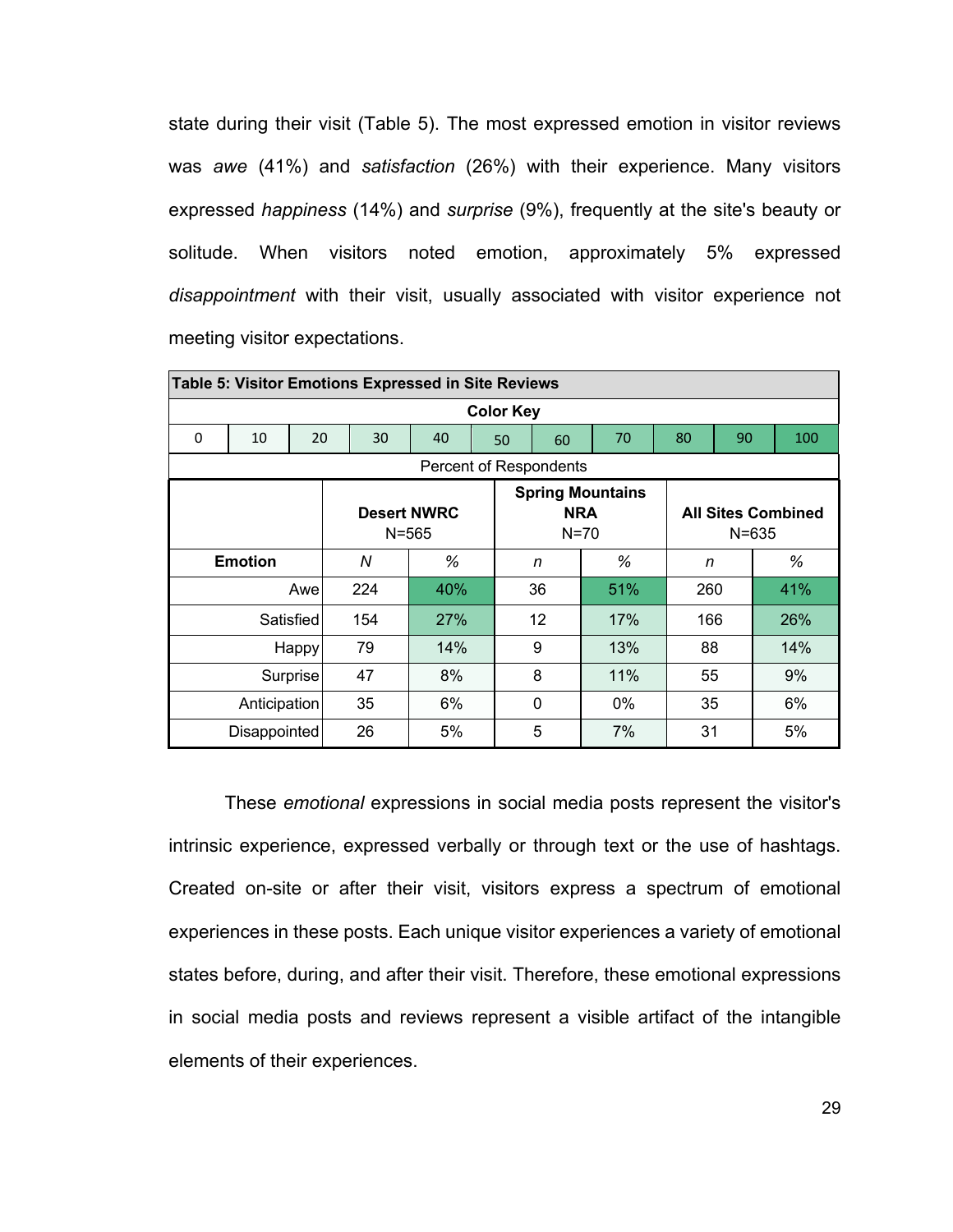state during their visit (Table 5). The most expressed emotion in visitor reviews was *awe* (41%) and *satisfaction* (26%) with their experience. Many visitors expressed *happiness* (14%) and *surprise* (9%), frequently at the site's beauty or solitude. When visitors noted emotion, approximately 5% expressed *disappointment* with their visit, usually associated with visitor experience not meeting visitor expectations.

|   | Table 5: Visitor Emotions Expressed in Site Reviews                                                                          |       |     |            |    |    |       |     |    |     |  |  |  |  |
|---|------------------------------------------------------------------------------------------------------------------------------|-------|-----|------------|----|----|-------|-----|----|-----|--|--|--|--|
|   | <b>Color Key</b>                                                                                                             |       |     |            |    |    |       |     |    |     |  |  |  |  |
| 0 | 10                                                                                                                           | 20    | 30  | 40         | 50 | 60 | 70    | 80  | 90 | 100 |  |  |  |  |
|   | Percent of Respondents                                                                                                       |       |     |            |    |    |       |     |    |     |  |  |  |  |
|   | <b>Spring Mountains</b><br><b>Desert NWRC</b><br><b>NRA</b><br><b>All Sites Combined</b><br>$N=70$<br>$N = 565$<br>$N = 635$ |       |     |            |    |    |       |     |    |     |  |  |  |  |
|   | <b>Emotion</b>                                                                                                               |       | N   | %          | n  |    | %     | n   |    | %   |  |  |  |  |
|   |                                                                                                                              | Awe   | 224 | 40%        | 36 |    | 51%   | 260 |    | 41% |  |  |  |  |
|   | Satisfied                                                                                                                    |       | 154 | <b>27%</b> | 12 |    | 17%   | 166 |    | 26% |  |  |  |  |
|   |                                                                                                                              | Happy | 79  | 14%        | 9  |    | 13%   | 88  |    | 14% |  |  |  |  |
|   | Surprise                                                                                                                     |       | 47  | 8%         | 8  |    | 11%   | 55  |    | 9%  |  |  |  |  |
|   | Anticipation                                                                                                                 |       | 35  | 6%         | 0  |    | $0\%$ | 35  |    | 6%  |  |  |  |  |
|   | <b>Disappointed</b>                                                                                                          |       | 26  | 5%         | 5  |    | 7%    | 31  |    | 5%  |  |  |  |  |

These *emotional* expressions in social media posts represent the visitor's intrinsic experience, expressed verbally or through text or the use of hashtags. Created on-site or after their visit, visitors express a spectrum of emotional experiences in these posts. Each unique visitor experiences a variety of emotional states before, during, and after their visit. Therefore, these emotional expressions in social media posts and reviews represent a visible artifact of the intangible elements of their experiences.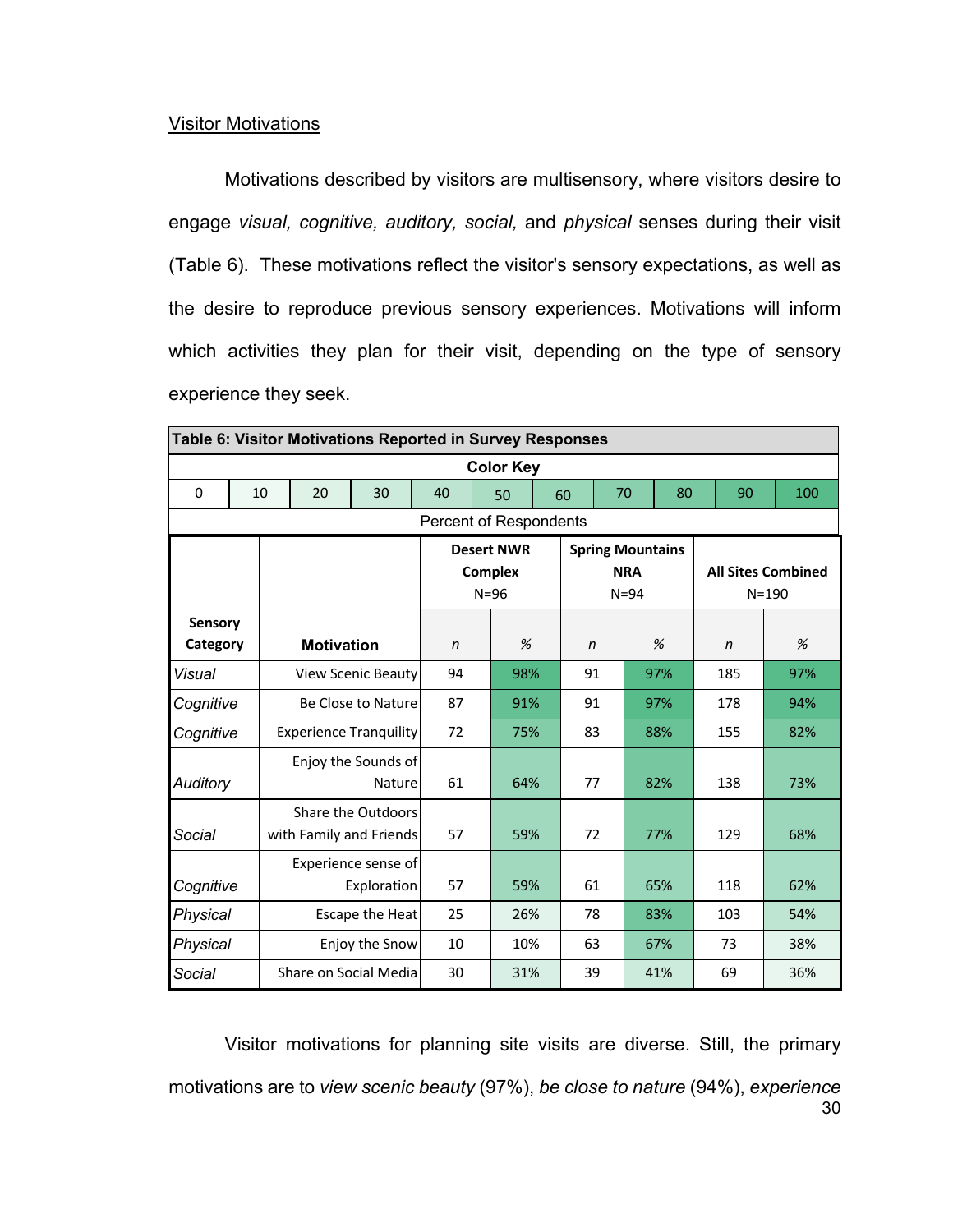#### **Visitor Motivations**

Motivations described by visitors are multisensory, where visitors desire to engage *visual, cognitive, auditory, social,* and *physical* senses during their visit (Table 6). These motivations reflect the visitor's sensory expectations, as well as the desire to reproduce previous sensory experiences. Motivations will inform which activities they plan for their visit, depending on the type of sensory experience they seek.

|                        | Table 6: Visitor Motivations Reported in Survey Responses |  |                   |                               |              |                |                   |    |                         |            |     |              |     |                           |
|------------------------|-----------------------------------------------------------|--|-------------------|-------------------------------|--------------|----------------|-------------------|----|-------------------------|------------|-----|--------------|-----|---------------------------|
|                        | <b>Color Key</b>                                          |  |                   |                               |              |                |                   |    |                         |            |     |              |     |                           |
| $\Omega$               | 10                                                        |  | 20                | 30                            | 40           |                | 50                | 60 | 70                      |            |     | 80<br>90     |     | 100                       |
| Percent of Respondents |                                                           |  |                   |                               |              |                |                   |    |                         |            |     |              |     |                           |
|                        |                                                           |  |                   |                               |              |                | <b>Desert NWR</b> |    | <b>Spring Mountains</b> |            |     |              |     |                           |
|                        |                                                           |  |                   |                               |              | <b>Complex</b> |                   |    |                         | <b>NRA</b> |     |              |     | <b>All Sites Combined</b> |
|                        |                                                           |  |                   |                               |              | $N=96$         |                   |    |                         | $N = 94$   |     |              |     | $N = 190$                 |
| Sensory                |                                                           |  |                   |                               |              |                |                   |    |                         |            |     |              |     |                           |
| Category               |                                                           |  | <b>Motivation</b> |                               | $\mathsf{n}$ |                | %                 |    | $\mathsf{n}$            |            | %   | $\mathsf{n}$ |     | %                         |
| Visual                 |                                                           |  |                   | <b>View Scenic Beauty</b>     | 94           |                | 98%               |    | 91                      |            | 97% |              | 185 | 97%                       |
| Cognitive              |                                                           |  |                   | Be Close to Nature            | 87           |                | 91%               |    | 91                      |            | 97% |              | 178 | 94%                       |
| Cognitive              |                                                           |  |                   | <b>Experience Tranquility</b> | 72           |                | 75%               |    | 83                      |            | 88% | 155          |     | 82%                       |
|                        |                                                           |  |                   | Enjoy the Sounds of           |              |                |                   |    |                         |            |     |              |     |                           |
| Auditory               |                                                           |  |                   | Nature                        | 61           |                | 64%               |    | 77                      |            | 82% | 138          |     | 73%                       |
|                        |                                                           |  |                   | Share the Outdoors            |              |                |                   |    |                         |            |     |              |     |                           |
| Social                 |                                                           |  |                   | with Family and Friends       | 57           |                | 59%               |    | 72                      |            | 77% | 129          |     | 68%                       |
|                        |                                                           |  |                   | Experience sense of           |              |                |                   |    |                         |            |     |              |     |                           |
| Cognitive              |                                                           |  |                   | Exploration                   | 57           |                | 59%               |    | 61                      |            | 65% | 118          |     | 62%                       |
| Physical               |                                                           |  |                   | Escape the Heat               | 25           |                | 26%               |    | 78<br>83%               |            |     | 103          |     | 54%                       |
| Physical               |                                                           |  |                   | Enjoy the Snow                | 10           |                | 10%               |    | 63<br>67%               |            |     | 73           |     | 38%                       |
| Social                 |                                                           |  |                   | Share on Social Media         | 30           |                | 31%               |    | 39                      |            | 41% | 69           |     | 36%                       |

30 Visitor motivations for planning site visits are diverse. Still, the primary motivations are to *view scenic beauty* (97%), *be close to nature* (94%), *experience*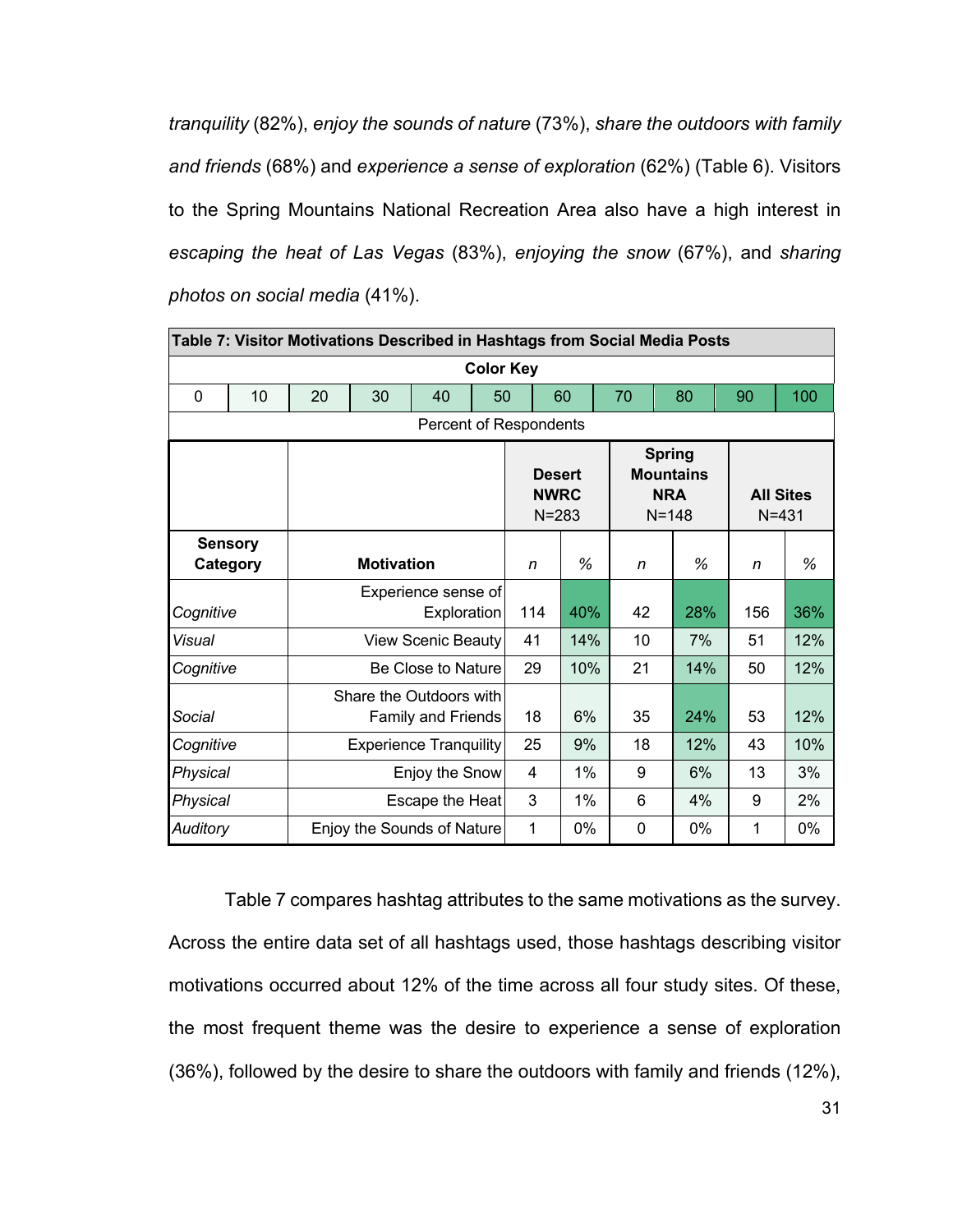*tranquility* (82%), *enjoy the sounds of nature* (73%), *share the outdoors with family and friends* (68%) and *experience a sense of exploration* (62%) (Table 6). Visitors to the Spring Mountains National Recreation Area also have a high interest in *escaping the heat of Las Vegas* (83%), *enjoying the snow* (67%), and *sharing photos on social media* (41%).

|                                            | Table 7: Visitor Motivations Described in Hashtags from Social Media Posts |    |                                                      |                            |    |                                                                                                           |       |          |     |       |                               |       |  |
|--------------------------------------------|----------------------------------------------------------------------------|----|------------------------------------------------------|----------------------------|----|-----------------------------------------------------------------------------------------------------------|-------|----------|-----|-------|-------------------------------|-------|--|
|                                            | <b>Color Key</b>                                                           |    |                                                      |                            |    |                                                                                                           |       |          |     |       |                               |       |  |
| $\Omega$                                   | 10                                                                         | 20 | 30                                                   | 40                         | 50 |                                                                                                           | 60    | 70       |     | 80    | 90                            | 100   |  |
|                                            | Percent of Respondents                                                     |    |                                                      |                            |    |                                                                                                           |       |          |     |       |                               |       |  |
|                                            |                                                                            |    |                                                      |                            |    | <b>Spring</b><br><b>Mountains</b><br><b>Desert</b><br><b>NRA</b><br><b>NWRC</b><br>$N = 283$<br>$N = 148$ |       |          |     |       | <b>All Sites</b><br>$N = 431$ |       |  |
|                                            | <b>Sensory</b><br><b>Category</b>                                          |    | <b>Motivation</b>                                    |                            | n  | %                                                                                                         | n     |          | %   | n     | %                             |       |  |
| Cognitive                                  |                                                                            |    | Experience sense of<br>114                           | 40%                        | 42 |                                                                                                           | 28%   | 156      | 36% |       |                               |       |  |
| Visual                                     |                                                                            |    |                                                      | View Scenic Beauty         |    | 41                                                                                                        | 14%   | 10       |     | 7%    | 51                            | 12%   |  |
| Cognitive                                  |                                                                            |    |                                                      | Be Close to Nature         |    | 29                                                                                                        | 10%   | 21       |     | 14%   | 50                            | 12%   |  |
| Social                                     |                                                                            |    | Share the Outdoors with<br><b>Family and Friends</b> |                            |    | 18                                                                                                        | 6%    | 35       |     | 24%   | 53                            | 12%   |  |
| Cognitive<br><b>Experience Tranquility</b> |                                                                            |    |                                                      |                            | 25 | 9%                                                                                                        | 18    |          | 12% | 43    | 10%                           |       |  |
| Physical<br>Enjoy the Snow                 |                                                                            |    |                                                      |                            |    | 4                                                                                                         | 1%    | 9        |     | 6%    | 13                            | 3%    |  |
| Physical<br>Escape the Heat                |                                                                            |    |                                                      | 3                          | 1% | 6                                                                                                         |       | 4%       | 9   | 2%    |                               |       |  |
| <b>Auditory</b>                            |                                                                            |    |                                                      | Enjoy the Sounds of Nature |    | 1                                                                                                         | $0\%$ | $\Omega$ |     | $0\%$ | 1                             | $0\%$ |  |

Table 7 compares hashtag attributes to the same motivations as the survey. Across the entire data set of all hashtags used, those hashtags describing visitor motivations occurred about 12% of the time across all four study sites. Of these, the most frequent theme was the desire to experience a sense of exploration (36%), followed by the desire to share the outdoors with family and friends (12%),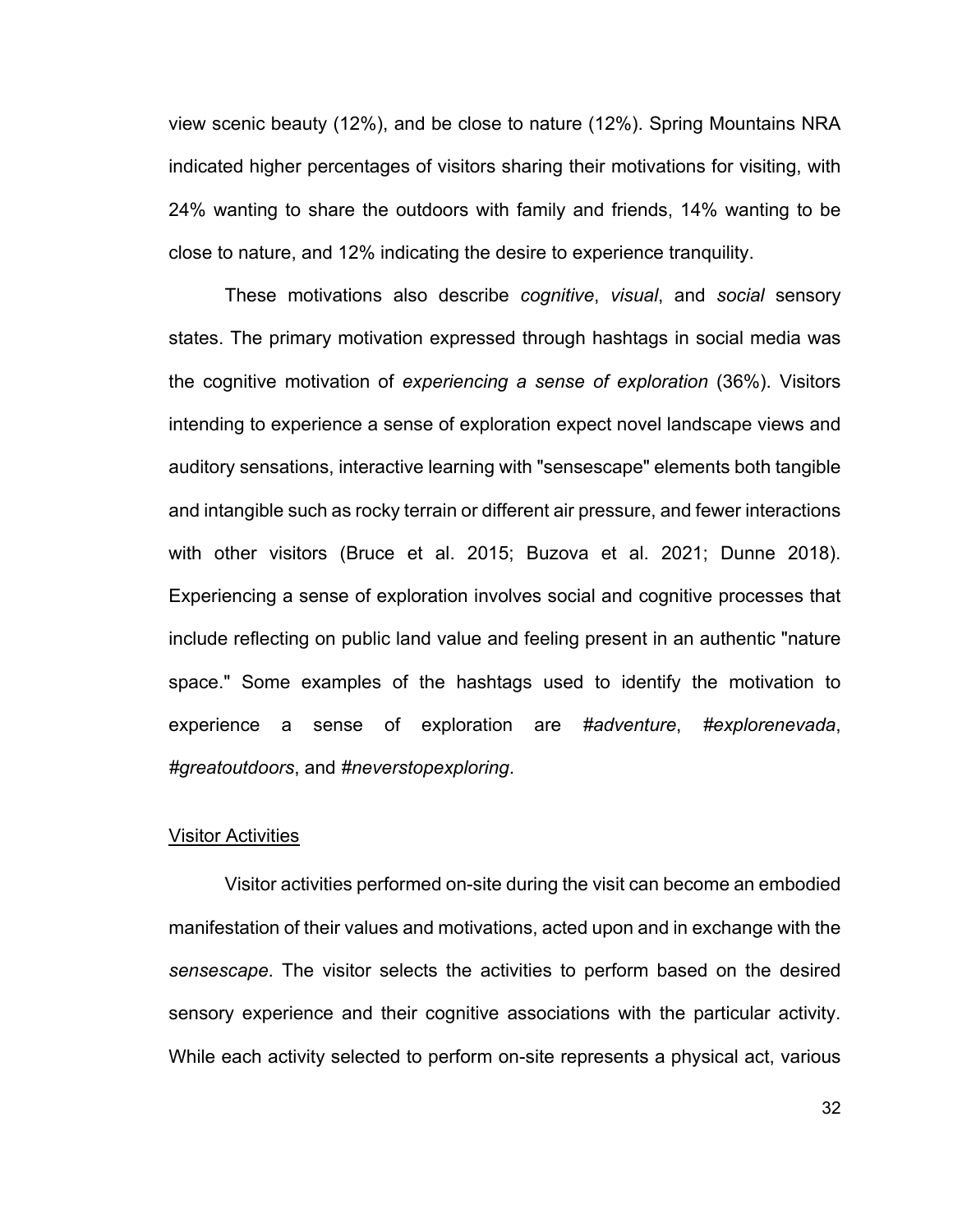view scenic beauty (12%), and be close to nature (12%). Spring Mountains NRA indicated higher percentages of visitors sharing their motivations for visiting, with 24% wanting to share the outdoors with family and friends, 14% wanting to be close to nature, and 12% indicating the desire to experience tranquility.

These motivations also describe *cognitive*, *visual*, and *social* sensory states. The primary motivation expressed through hashtags in social media was the cognitive motivation of *experiencing a sense of exploration* (36%). Visitors intending to experience a sense of exploration expect novel landscape views and auditory sensations, interactive learning with "sensescape" elements both tangible and intangible such as rocky terrain or different air pressure, and fewer interactions with other visitors (Bruce et al. 2015; Buzova et al. 2021; Dunne 2018). Experiencing a sense of exploration involves social and cognitive processes that include reflecting on public land value and feeling present in an authentic "nature space." Some examples of the hashtags used to identify the motivation to experience a sense of exploration are *#adventure*, *#explorenevada*, *#greatoutdoors*, and *#neverstopexploring*.

#### Visitor Activities

Visitor activities performed on-site during the visit can become an embodied manifestation of their values and motivations, acted upon and in exchange with the *sensescape*. The visitor selects the activities to perform based on the desired sensory experience and their cognitive associations with the particular activity. While each activity selected to perform on-site represents a physical act, various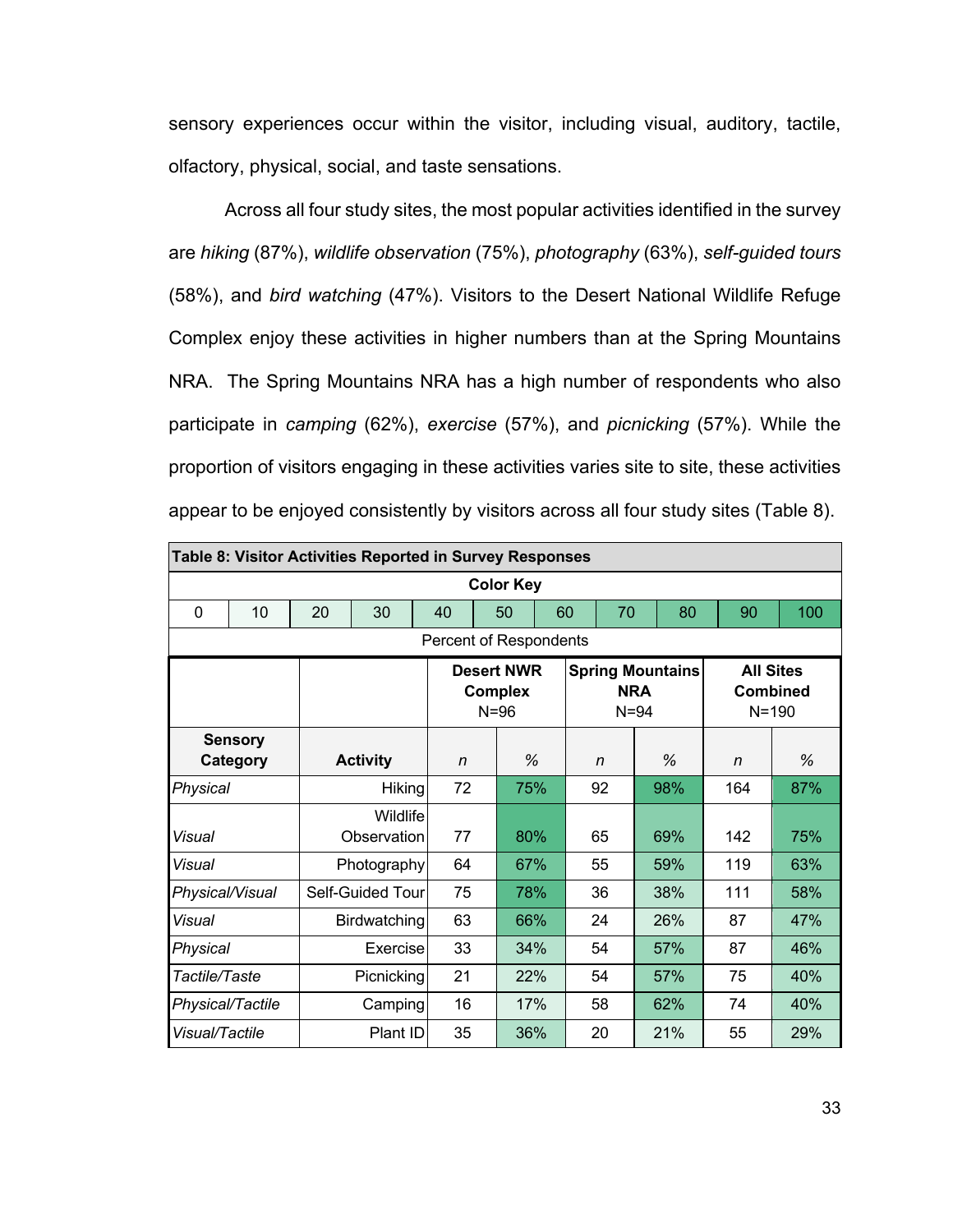sensory experiences occur within the visitor, including visual, auditory, tactile, olfactory, physical, social, and taste sensations.

Across all four study sites, the most popular activities identified in the survey are *hiking* (87%), *wildlife observation* (75%), *photography* (63%), *self-guided tours* (58%), and *bird watching* (47%). Visitors to the Desert National Wildlife Refuge Complex enjoy these activities in higher numbers than at the Spring Mountains NRA. The Spring Mountains NRA has a high number of respondents who also participate in *camping* (62%), *exercise* (57%), and *picnicking* (57%). While the proportion of visitors engaging in these activities varies site to site, these activities appear to be enjoyed consistently by visitors across all four study sites (Table 8).

|                             | Table 8: Visitor Activities Reported in Survey Responses |    |                         |     |                                                 |                |  |                        |                         |    |                                           |     |  |  |
|-----------------------------|----------------------------------------------------------|----|-------------------------|-----|-------------------------------------------------|----------------|--|------------------------|-------------------------|----|-------------------------------------------|-----|--|--|
|                             | <b>Color Key</b>                                         |    |                         |     |                                                 |                |  |                        |                         |    |                                           |     |  |  |
| $\mathbf 0$                 | 10                                                       | 20 | 30                      | 40  | 50                                              | 60<br>70<br>80 |  |                        |                         |    | 90                                        | 100 |  |  |
|                             | Percent of Respondents                                   |    |                         |     |                                                 |                |  |                        |                         |    |                                           |     |  |  |
|                             |                                                          |    |                         |     | <b>Desert NWR</b><br><b>Complex</b><br>$N = 96$ |                |  | <b>NRA</b><br>$N = 94$ | <b>Spring Mountains</b> |    | <b>All Sites</b><br>Combined<br>$N = 190$ |     |  |  |
|                             | <b>Sensory</b><br>Category                               |    | <b>Activity</b>         | n   | $\frac{0}{2}$                                   |                |  | n                      | %                       |    | n                                         | %   |  |  |
| Physical                    |                                                          |    | <b>Hiking</b>           | 72  | 75%                                             |                |  | 92                     | 98%                     |    | 164                                       | 87% |  |  |
| Visual                      |                                                          |    | Wildlife<br>Observation | 77  | 80%                                             |                |  | 65                     | 69%                     |    | 142                                       | 75% |  |  |
| Visual                      |                                                          |    | Photography             | 64  | 67%                                             |                |  | 55<br>59%              |                         |    | 119                                       | 63% |  |  |
| Physical/Visual             |                                                          |    | Self-Guided Tour        | 75  | 78%                                             |                |  | 36                     | 38%                     |    | 111                                       | 58% |  |  |
| Visual                      |                                                          |    | <b>Birdwatching</b>     | 63  |                                                 | 66%<br>24      |  |                        | 26%                     |    | 87                                        | 47% |  |  |
| Physical                    |                                                          |    | Exercise                | 33  |                                                 | 34%            |  | 54                     | 57%                     |    | 87                                        | 46% |  |  |
| Tactile/Taste<br>Picnicking |                                                          |    | 21                      | 22% |                                                 | 54             |  | 57%                    |                         | 75 | 40%                                       |     |  |  |
| Physical/Tactile            |                                                          |    | Camping                 | 16  |                                                 | 17%            |  | 58                     | 62%                     |    | 74                                        | 40% |  |  |
| Visual/Tactile              |                                                          |    | Plant ID                | 35  | 36%                                             |                |  | 20                     | 21%                     |    | 55                                        | 29% |  |  |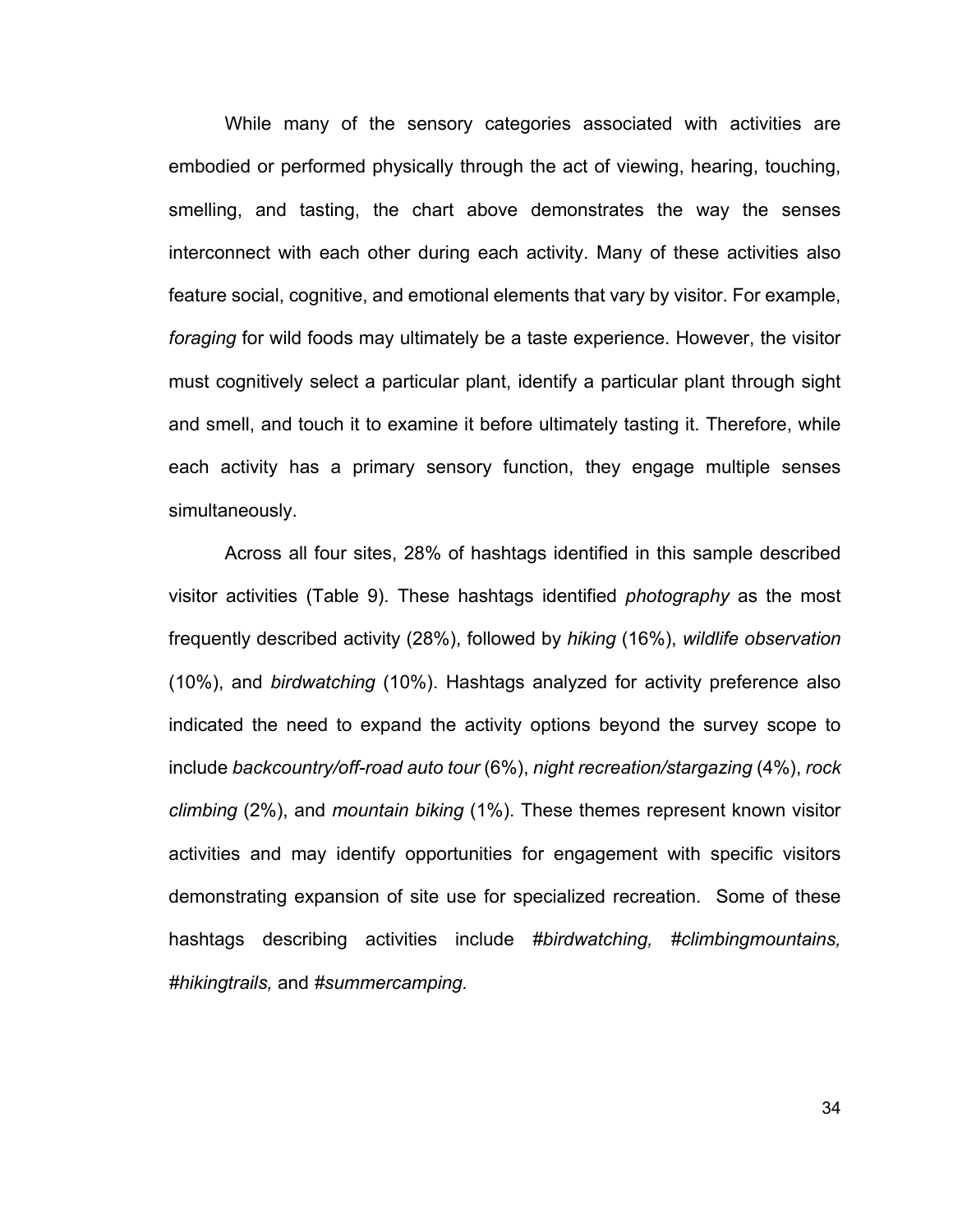While many of the sensory categories associated with activities are embodied or performed physically through the act of viewing, hearing, touching, smelling, and tasting, the chart above demonstrates the way the senses interconnect with each other during each activity. Many of these activities also feature social, cognitive, and emotional elements that vary by visitor. For example, *foraging* for wild foods may ultimately be a taste experience. However, the visitor must cognitively select a particular plant, identify a particular plant through sight and smell, and touch it to examine it before ultimately tasting it. Therefore, while each activity has a primary sensory function, they engage multiple senses simultaneously.

Across all four sites, 28% of hashtags identified in this sample described visitor activities (Table 9). These hashtags identified *photography* as the most frequently described activity (28%), followed by *hiking* (16%), *wildlife observation* (10%), and *birdwatching* (10%). Hashtags analyzed for activity preference also indicated the need to expand the activity options beyond the survey scope to include *backcountry/off-road auto tour* (6%), *night recreation/stargazing* (4%), *rock climbing* (2%), and *mountain biking* (1%). These themes represent known visitor activities and may identify opportunities for engagement with specific visitors demonstrating expansion of site use for specialized recreation. Some of these hashtags describing activities include *#birdwatching, #climbingmountains, #hikingtrails,* and *#summercamping.*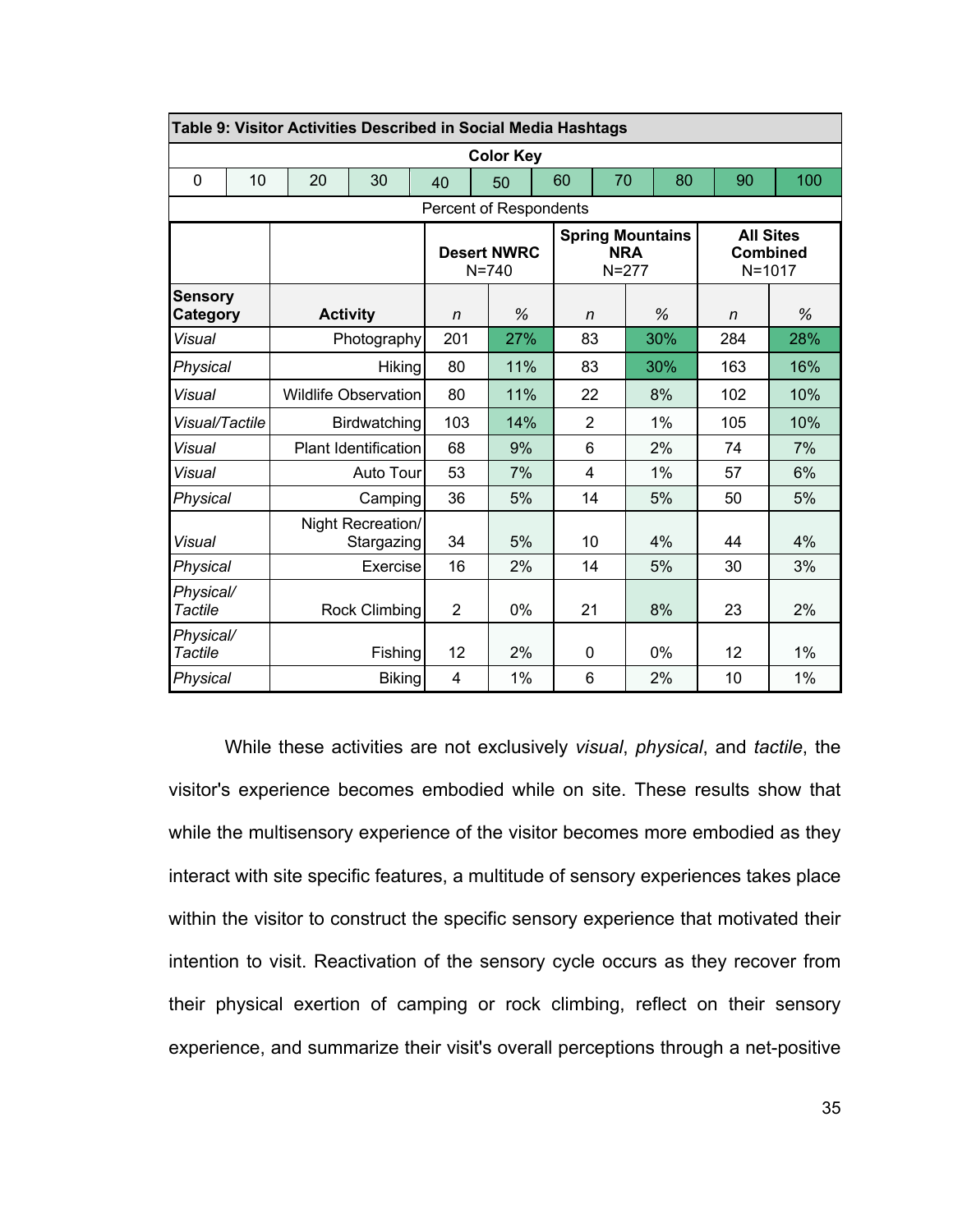|                                   | Table 9: Visitor Activities Described in Social Media Hashtags |                             |    |                                 |                                 |     |    |                                                    |             |                                                   |       |    |     |     |
|-----------------------------------|----------------------------------------------------------------|-----------------------------|----|---------------------------------|---------------------------------|-----|----|----------------------------------------------------|-------------|---------------------------------------------------|-------|----|-----|-----|
| <b>Color Key</b>                  |                                                                |                             |    |                                 |                                 |     |    |                                                    |             |                                                   |       |    |     |     |
| $\mathbf 0$                       | 10                                                             |                             | 20 | 30                              | 40                              |     | 50 | 60                                                 | 70          |                                                   | 80    | 90 |     | 100 |
|                                   | Percent of Respondents                                         |                             |    |                                 |                                 |     |    |                                                    |             |                                                   |       |    |     |     |
|                                   |                                                                |                             |    |                                 | <b>Desert NWRC</b><br>$N = 740$ |     |    | <b>Spring Mountains</b><br><b>NRA</b><br>$N = 277$ |             | <b>All Sites</b><br><b>Combined</b><br>$N = 1017$ |       |    |     |     |
| <b>Sensory</b><br><b>Category</b> |                                                                | <b>Activity</b>             |    | n                               |                                 | %   |    | n                                                  |             | %                                                 | n     |    | %   |     |
| Visual                            |                                                                | Photography                 |    | 201                             |                                 | 27% |    | 83                                                 |             | 30%                                               | 284   |    | 28% |     |
| Physical                          |                                                                | Hiking                      |    | 80                              |                                 | 11% |    | 83                                                 |             | 30%                                               | 163   |    | 16% |     |
| Visual                            |                                                                | <b>Wildlife Observation</b> |    | 80                              |                                 | 11% |    | 22                                                 |             | 8%                                                | 102   |    | 10% |     |
| Visual/Tactile                    |                                                                | Birdwatching                |    | 103                             |                                 | 14% |    | $\overline{2}$                                     |             | 1%                                                | 105   |    | 10% |     |
| Visual                            |                                                                | Plant Identification        |    | 68                              |                                 | 9%  |    | 6                                                  |             | 2%                                                | 74    |    | 7%  |     |
| Visual                            |                                                                | Auto Tour                   |    | 53                              |                                 | 7%  |    | $\overline{4}$                                     |             | $1\%$                                             | 57    |    | 6%  |     |
| Physical                          |                                                                | Camping                     |    | 36                              |                                 | 5%  |    | 14                                                 |             | 5%                                                | 50    |    | 5%  |     |
| Visual                            |                                                                |                             |    | Night Recreation/<br>Stargazing | 34                              |     | 5% |                                                    | 10          |                                                   | 4%    | 44 |     | 4%  |
|                                   | Physical<br>Exercise                                           |                             | 16 |                                 | 2%                              |     | 14 |                                                    | 5%          | 30                                                |       | 3% |     |     |
| Physical/<br><b>Tactile</b>       |                                                                | <b>Rock Climbing</b>        |    | 2                               |                                 | 0%  |    | 21                                                 |             | 8%                                                | 23    |    | 2%  |     |
| Physical/<br><b>Tactile</b>       |                                                                |                             |    | Fishing                         | 12                              |     | 2% |                                                    | $\mathbf 0$ |                                                   | $0\%$ | 12 |     | 1%  |
| Physical                          |                                                                |                             |    | <b>Biking</b>                   | 4                               |     | 1% |                                                    | 6           |                                                   | 2%    | 10 |     | 1%  |

While these activities are not exclusively *visual*, *physical*, and *tactile*, the visitor's experience becomes embodied while on site. These results show that while the multisensory experience of the visitor becomes more embodied as they interact with site specific features, a multitude of sensory experiences takes place within the visitor to construct the specific sensory experience that motivated their intention to visit. Reactivation of the sensory cycle occurs as they recover from their physical exertion of camping or rock climbing, reflect on their sensory experience, and summarize their visit's overall perceptions through a net-positive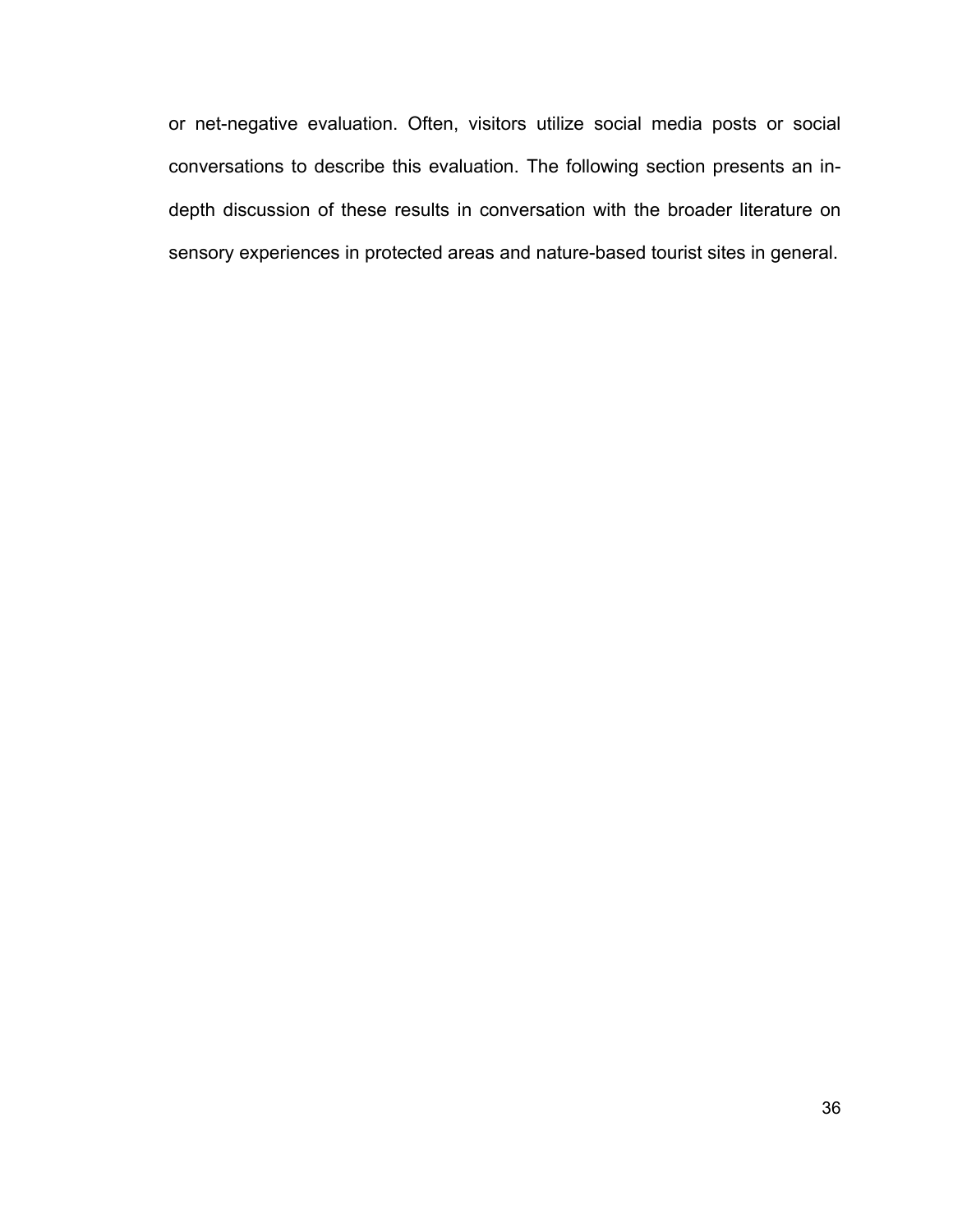or net-negative evaluation. Often, visitors utilize social media posts or social conversations to describe this evaluation. The following section presents an indepth discussion of these results in conversation with the broader literature on sensory experiences in protected areas and nature-based tourist sites in general.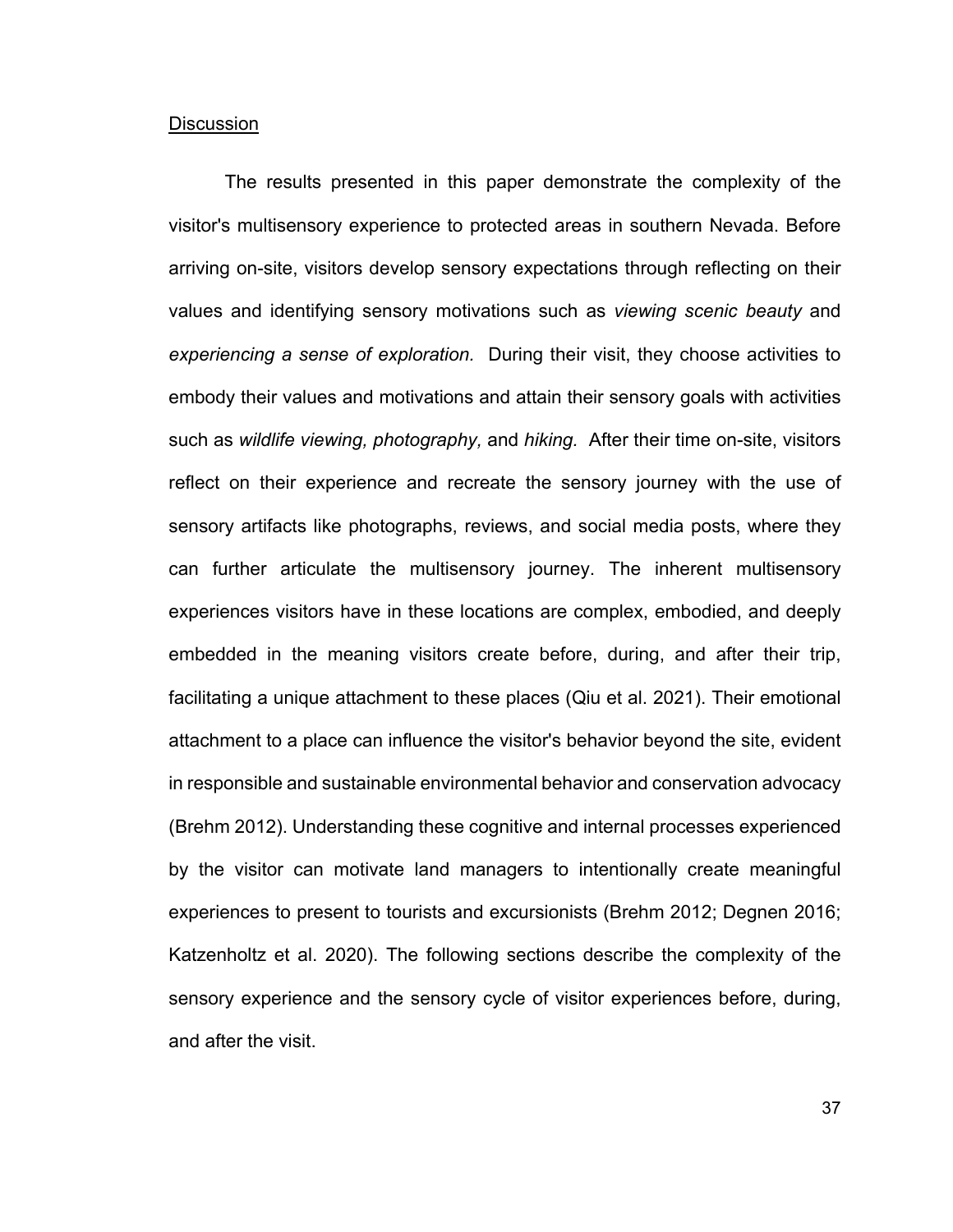#### **Discussion**

The results presented in this paper demonstrate the complexity of the visitor's multisensory experience to protected areas in southern Nevada. Before arriving on-site, visitors develop sensory expectations through reflecting on their values and identifying sensory motivations such as *viewing scenic beauty* and *experiencing a sense of exploration.* During their visit, they choose activities to embody their values and motivations and attain their sensory goals with activities such as *wildlife viewing, photography,* and *hiking.* After their time on-site, visitors reflect on their experience and recreate the sensory journey with the use of sensory artifacts like photographs, reviews, and social media posts, where they can further articulate the multisensory journey. The inherent multisensory experiences visitors have in these locations are complex, embodied, and deeply embedded in the meaning visitors create before, during, and after their trip, facilitating a unique attachment to these places (Qiu et al. 2021). Their emotional attachment to a place can influence the visitor's behavior beyond the site, evident in responsible and sustainable environmental behavior and conservation advocacy (Brehm 2012). Understanding these cognitive and internal processes experienced by the visitor can motivate land managers to intentionally create meaningful experiences to present to tourists and excursionists (Brehm 2012; Degnen 2016; Katzenholtz et al. 2020). The following sections describe the complexity of the sensory experience and the sensory cycle of visitor experiences before, during, and after the visit.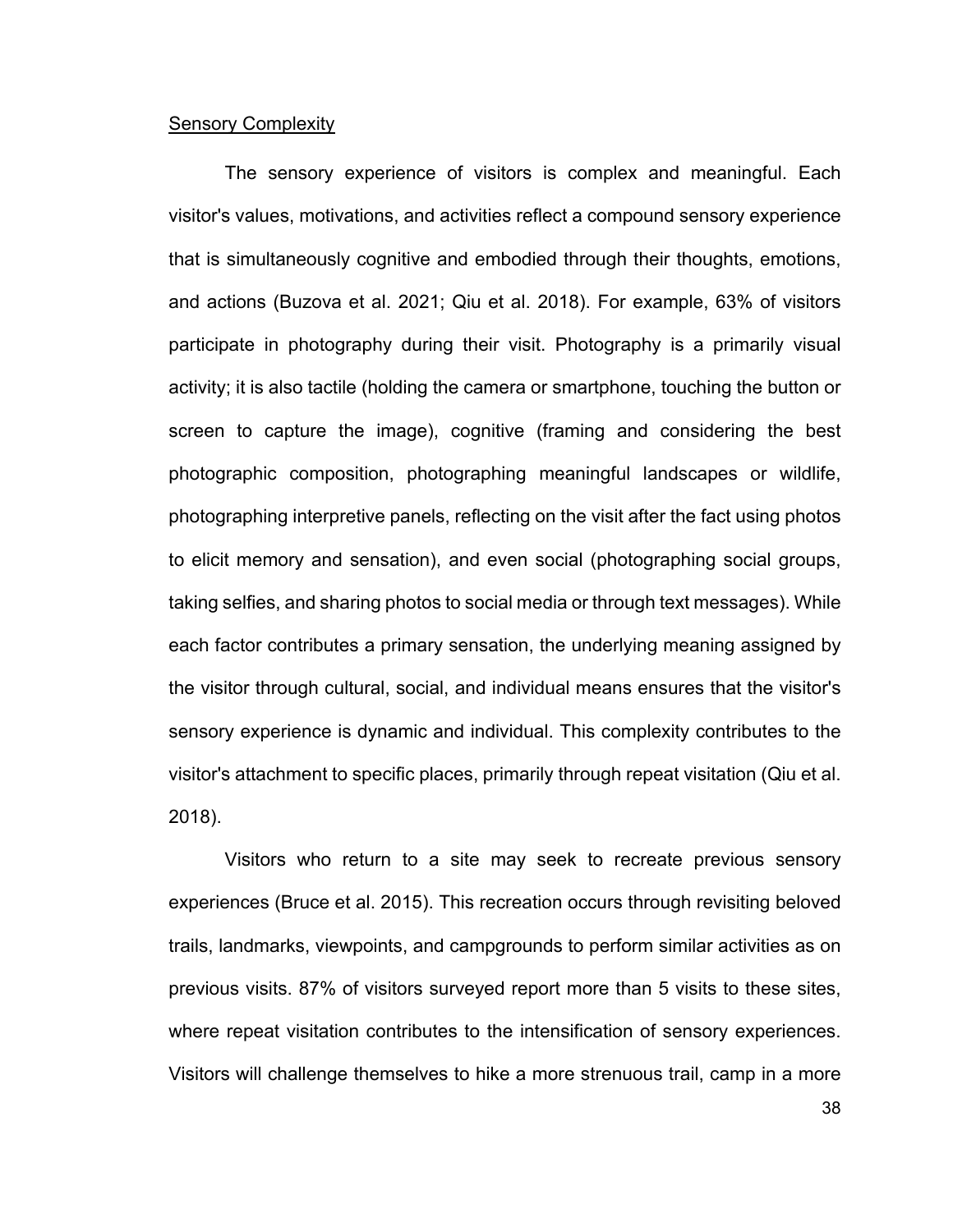#### **Sensory Complexity**

The sensory experience of visitors is complex and meaningful. Each visitor's values, motivations, and activities reflect a compound sensory experience that is simultaneously cognitive and embodied through their thoughts, emotions, and actions (Buzova et al. 2021; Qiu et al. 2018). For example, 63% of visitors participate in photography during their visit. Photography is a primarily visual activity; it is also tactile (holding the camera or smartphone, touching the button or screen to capture the image), cognitive (framing and considering the best photographic composition, photographing meaningful landscapes or wildlife, photographing interpretive panels, reflecting on the visit after the fact using photos to elicit memory and sensation), and even social (photographing social groups, taking selfies, and sharing photos to social media or through text messages). While each factor contributes a primary sensation, the underlying meaning assigned by the visitor through cultural, social, and individual means ensures that the visitor's sensory experience is dynamic and individual. This complexity contributes to the visitor's attachment to specific places, primarily through repeat visitation (Qiu et al. 2018).

Visitors who return to a site may seek to recreate previous sensory experiences (Bruce et al. 2015). This recreation occurs through revisiting beloved trails, landmarks, viewpoints, and campgrounds to perform similar activities as on previous visits. 87% of visitors surveyed report more than 5 visits to these sites, where repeat visitation contributes to the intensification of sensory experiences. Visitors will challenge themselves to hike a more strenuous trail, camp in a more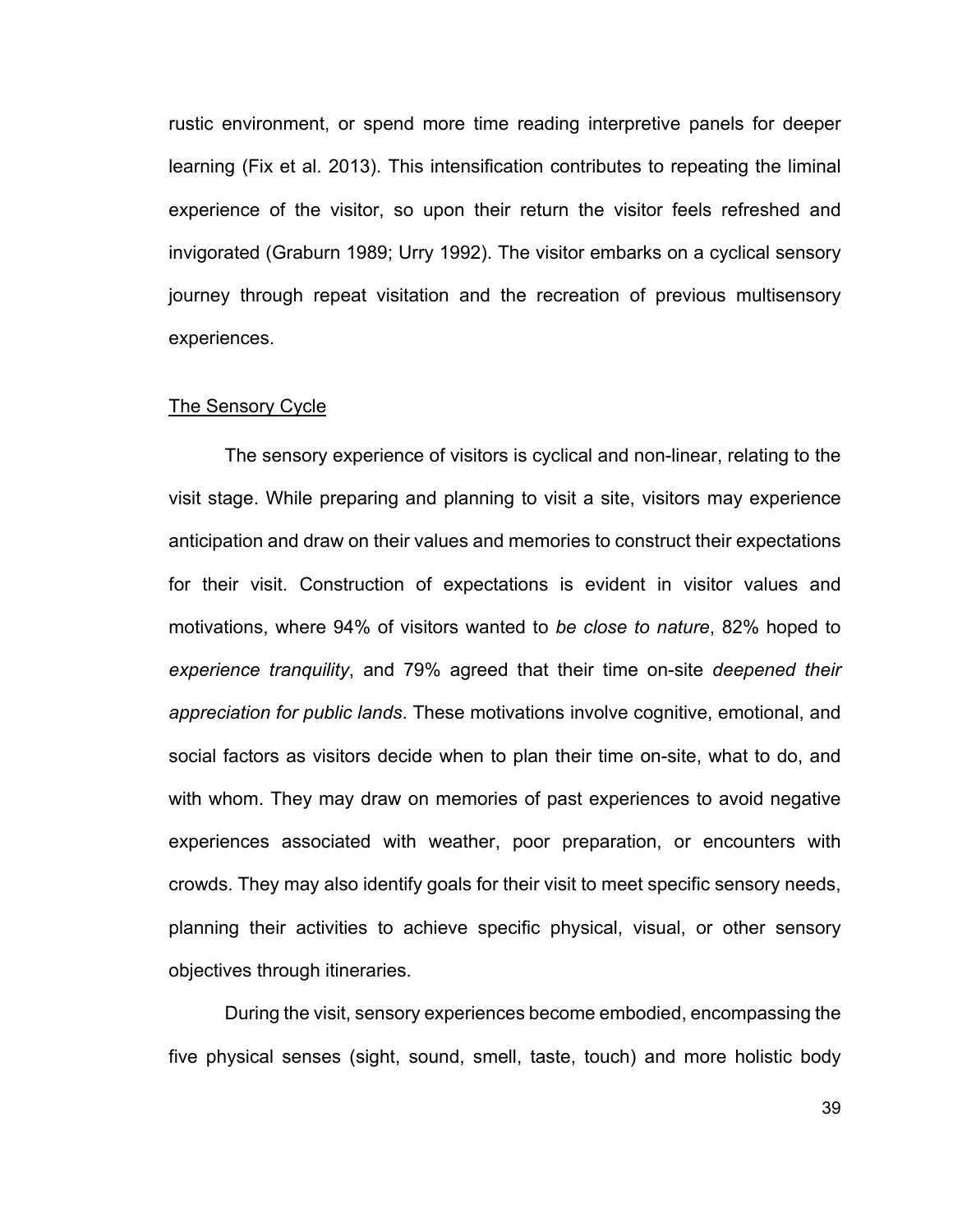rustic environment, or spend more time reading interpretive panels for deeper learning (Fix et al. 2013). This intensification contributes to repeating the liminal experience of the visitor, so upon their return the visitor feels refreshed and invigorated (Graburn 1989; Urry 1992). The visitor embarks on a cyclical sensory journey through repeat visitation and the recreation of previous multisensory experiences.

#### The Sensory Cycle

The sensory experience of visitors is cyclical and non-linear, relating to the visit stage. While preparing and planning to visit a site, visitors may experience anticipation and draw on their values and memories to construct their expectations for their visit. Construction of expectations is evident in visitor values and motivations, where 94% of visitors wanted to *be close to nature*, 82% hoped to *experience tranquility*, and 79% agreed that their time on-site *deepened their appreciation for public lands*. These motivations involve cognitive, emotional, and social factors as visitors decide when to plan their time on-site, what to do, and with whom. They may draw on memories of past experiences to avoid negative experiences associated with weather, poor preparation, or encounters with crowds. They may also identify goals for their visit to meet specific sensory needs, planning their activities to achieve specific physical, visual, or other sensory objectives through itineraries.

During the visit, sensory experiences become embodied, encompassing the five physical senses (sight, sound, smell, taste, touch) and more holistic body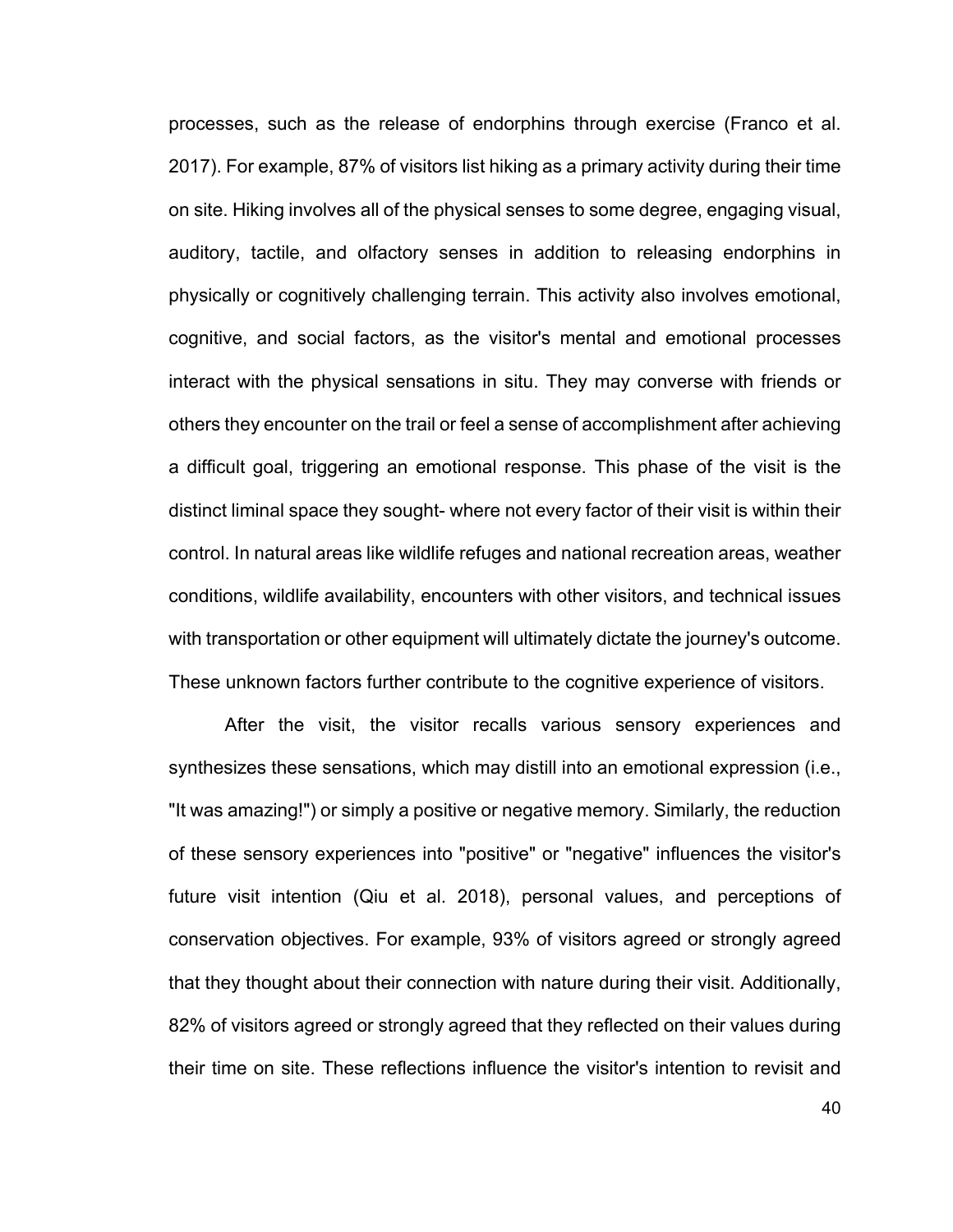processes, such as the release of endorphins through exercise (Franco et al. 2017). For example, 87% of visitors list hiking as a primary activity during their time on site. Hiking involves all of the physical senses to some degree, engaging visual, auditory, tactile, and olfactory senses in addition to releasing endorphins in physically or cognitively challenging terrain. This activity also involves emotional, cognitive, and social factors, as the visitor's mental and emotional processes interact with the physical sensations in situ. They may converse with friends or others they encounter on the trail or feel a sense of accomplishment after achieving a difficult goal, triggering an emotional response. This phase of the visit is the distinct liminal space they sought- where not every factor of their visit is within their control. In natural areas like wildlife refuges and national recreation areas, weather conditions, wildlife availability, encounters with other visitors, and technical issues with transportation or other equipment will ultimately dictate the journey's outcome. These unknown factors further contribute to the cognitive experience of visitors.

After the visit, the visitor recalls various sensory experiences and synthesizes these sensations, which may distill into an emotional expression (i.e., "It was amazing!") or simply a positive or negative memory. Similarly, the reduction of these sensory experiences into "positive" or "negative" influences the visitor's future visit intention (Qiu et al. 2018), personal values, and perceptions of conservation objectives. For example, 93% of visitors agreed or strongly agreed that they thought about their connection with nature during their visit. Additionally, 82% of visitors agreed or strongly agreed that they reflected on their values during their time on site. These reflections influence the visitor's intention to revisit and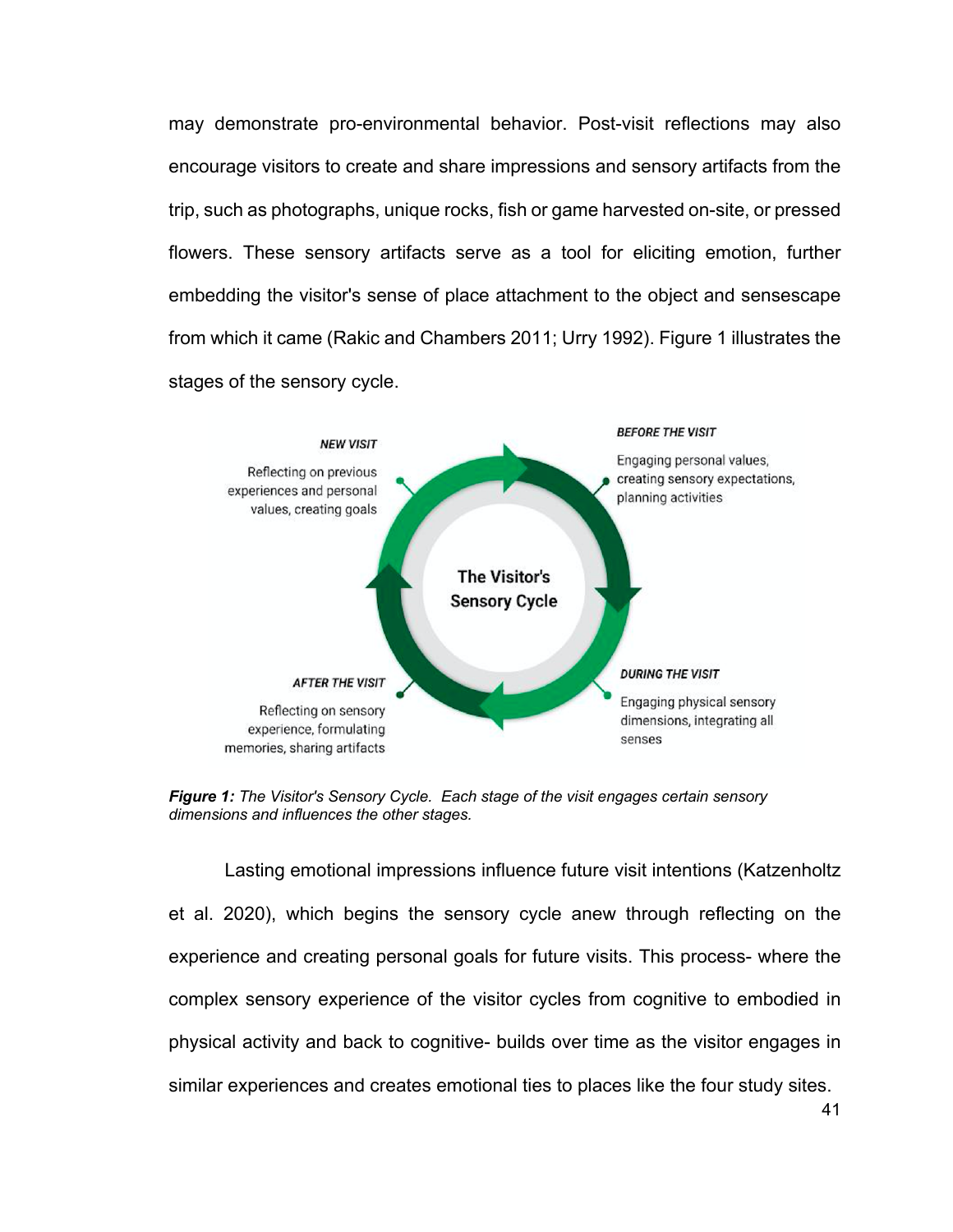may demonstrate pro-environmental behavior. Post-visit reflections may also encourage visitors to create and share impressions and sensory artifacts from the trip, such as photographs, unique rocks, fish or game harvested on-site, or pressed flowers. These sensory artifacts serve as a tool for eliciting emotion, further embedding the visitor's sense of place attachment to the object and sensescape from which it came (Rakic and Chambers 2011; Urry 1992). Figure 1 illustrates the stages of the sensory cycle.



*Figure 1: The Visitor's Sensory Cycle. Each stage of the visit engages certain sensory dimensions and influences the other stages.*

Lasting emotional impressions influence future visit intentions (Katzenholtz et al. 2020), which begins the sensory cycle anew through reflecting on the experience and creating personal goals for future visits. This process- where the complex sensory experience of the visitor cycles from cognitive to embodied in physical activity and back to cognitive- builds over time as the visitor engages in similar experiences and creates emotional ties to places like the four study sites.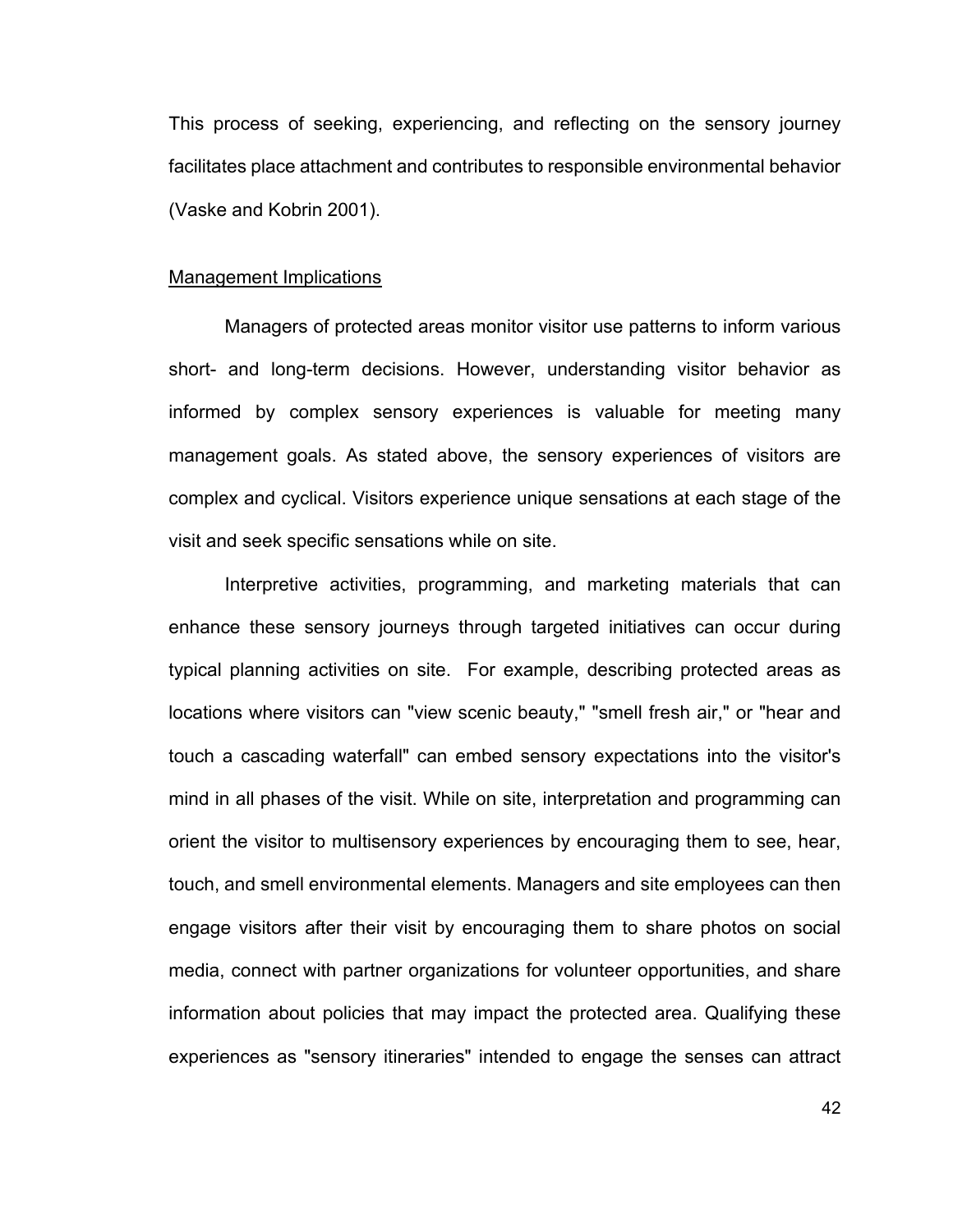This process of seeking, experiencing, and reflecting on the sensory journey facilitates place attachment and contributes to responsible environmental behavior (Vaske and Kobrin 2001).

#### Management Implications

Managers of protected areas monitor visitor use patterns to inform various short- and long-term decisions. However, understanding visitor behavior as informed by complex sensory experiences is valuable for meeting many management goals. As stated above, the sensory experiences of visitors are complex and cyclical. Visitors experience unique sensations at each stage of the visit and seek specific sensations while on site.

Interpretive activities, programming, and marketing materials that can enhance these sensory journeys through targeted initiatives can occur during typical planning activities on site. For example, describing protected areas as locations where visitors can "view scenic beauty," "smell fresh air," or "hear and touch a cascading waterfall" can embed sensory expectations into the visitor's mind in all phases of the visit. While on site, interpretation and programming can orient the visitor to multisensory experiences by encouraging them to see, hear, touch, and smell environmental elements. Managers and site employees can then engage visitors after their visit by encouraging them to share photos on social media, connect with partner organizations for volunteer opportunities, and share information about policies that may impact the protected area. Qualifying these experiences as "sensory itineraries" intended to engage the senses can attract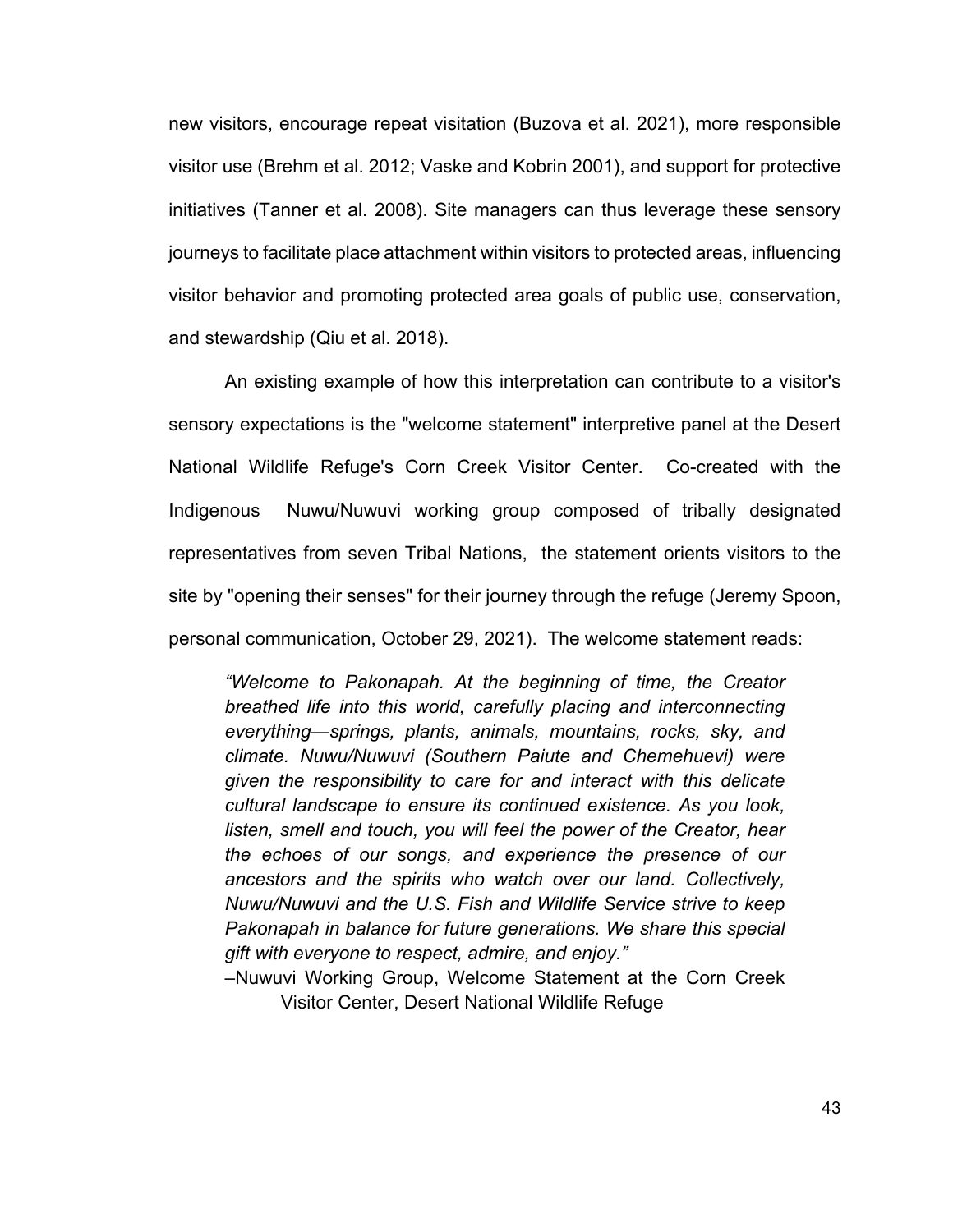new visitors, encourage repeat visitation (Buzova et al. 2021), more responsible visitor use (Brehm et al. 2012; Vaske and Kobrin 2001), and support for protective initiatives (Tanner et al. 2008). Site managers can thus leverage these sensory journeys to facilitate place attachment within visitors to protected areas, influencing visitor behavior and promoting protected area goals of public use, conservation, and stewardship (Qiu et al. 2018).

An existing example of how this interpretation can contribute to a visitor's sensory expectations is the "welcome statement" interpretive panel at the Desert National Wildlife Refuge's Corn Creek Visitor Center. Co-created with the Indigenous Nuwu/Nuwuvi working group composed of tribally designated representatives from seven Tribal Nations, the statement orients visitors to the site by "opening their senses" for their journey through the refuge (Jeremy Spoon, personal communication, October 29, 2021). The welcome statement reads:

*"Welcome to Pakonapah. At the beginning of time, the Creator breathed life into this world, carefully placing and interconnecting everything—springs, plants, animals, mountains, rocks, sky, and climate. Nuwu/Nuwuvi (Southern Paiute and Chemehuevi) were given the responsibility to care for and interact with this delicate cultural landscape to ensure its continued existence. As you look, listen, smell and touch, you will feel the power of the Creator, hear the echoes of our songs, and experience the presence of our ancestors and the spirits who watch over our land. Collectively, Nuwu/Nuwuvi and the U.S. Fish and Wildlife Service strive to keep Pakonapah in balance for future generations. We share this special gift with everyone to respect, admire, and enjoy."*

–Nuwuvi Working Group, Welcome Statement at the Corn Creek Visitor Center, Desert National Wildlife Refuge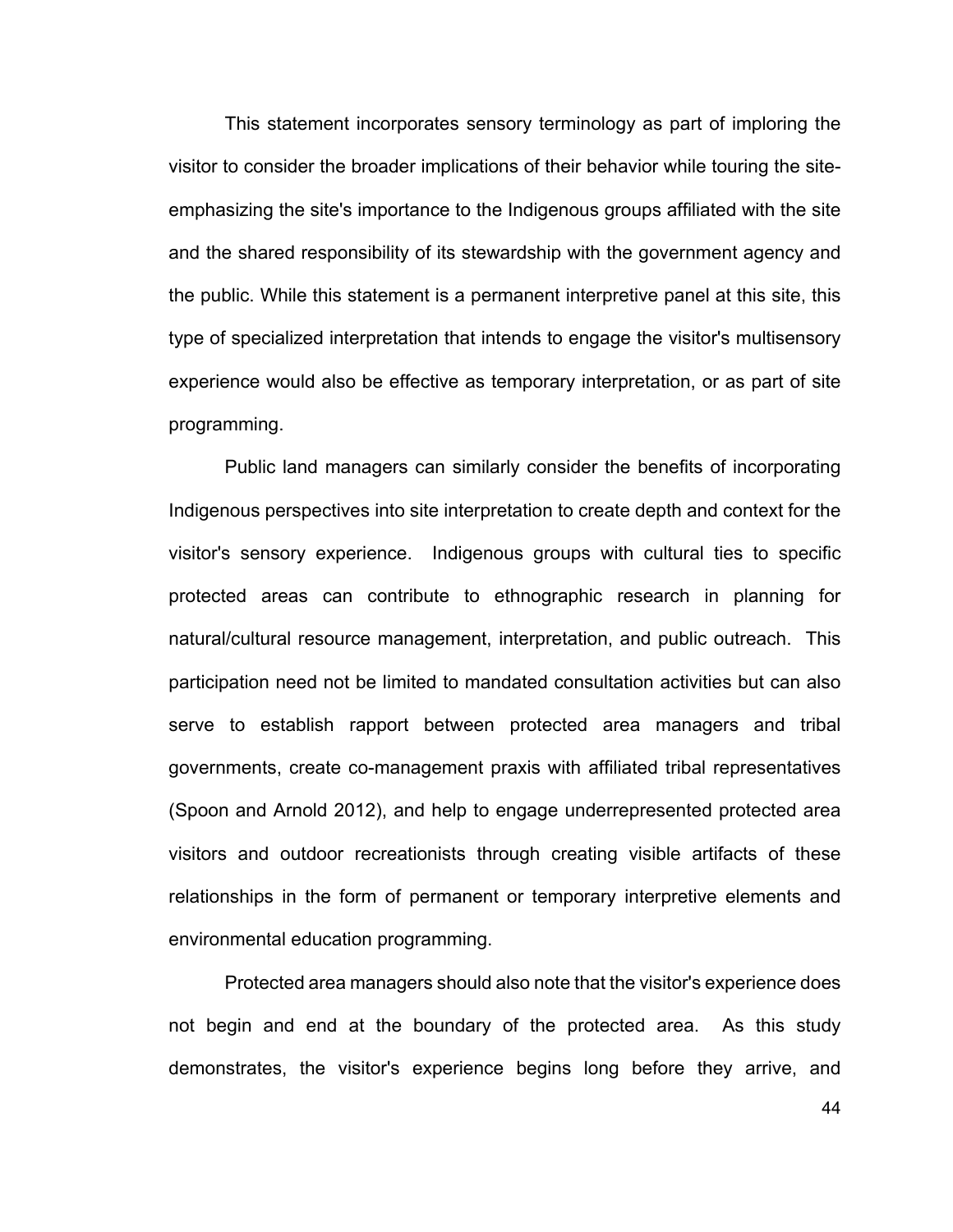This statement incorporates sensory terminology as part of imploring the visitor to consider the broader implications of their behavior while touring the siteemphasizing the site's importance to the Indigenous groups affiliated with the site and the shared responsibility of its stewardship with the government agency and the public. While this statement is a permanent interpretive panel at this site, this type of specialized interpretation that intends to engage the visitor's multisensory experience would also be effective as temporary interpretation, or as part of site programming.

Public land managers can similarly consider the benefits of incorporating Indigenous perspectives into site interpretation to create depth and context for the visitor's sensory experience. Indigenous groups with cultural ties to specific protected areas can contribute to ethnographic research in planning for natural/cultural resource management, interpretation, and public outreach. This participation need not be limited to mandated consultation activities but can also serve to establish rapport between protected area managers and tribal governments, create co-management praxis with affiliated tribal representatives (Spoon and Arnold 2012), and help to engage underrepresented protected area visitors and outdoor recreationists through creating visible artifacts of these relationships in the form of permanent or temporary interpretive elements and environmental education programming.

Protected area managers should also note that the visitor's experience does not begin and end at the boundary of the protected area. As this study demonstrates, the visitor's experience begins long before they arrive, and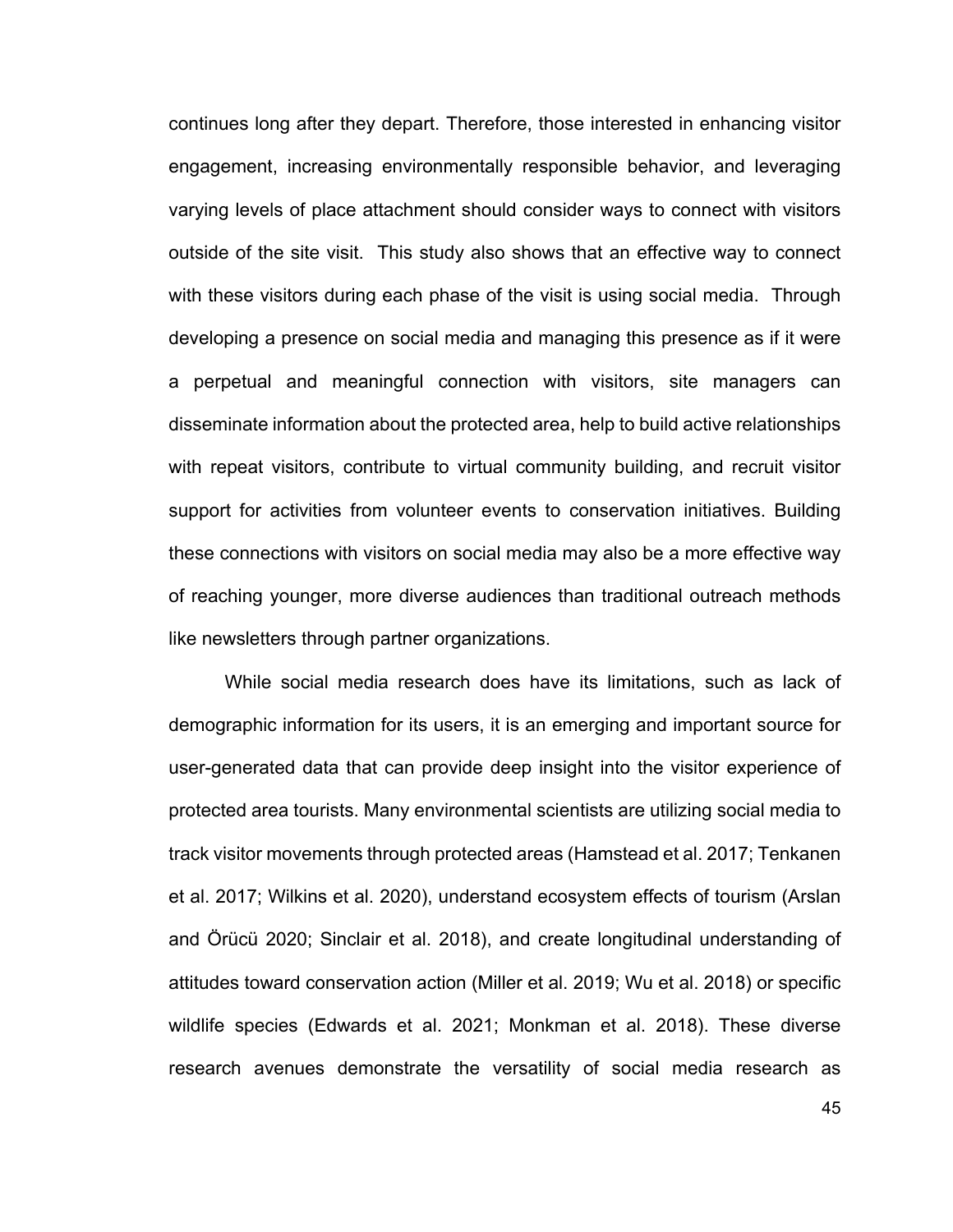continues long after they depart. Therefore, those interested in enhancing visitor engagement, increasing environmentally responsible behavior, and leveraging varying levels of place attachment should consider ways to connect with visitors outside of the site visit. This study also shows that an effective way to connect with these visitors during each phase of the visit is using social media. Through developing a presence on social media and managing this presence as if it were a perpetual and meaningful connection with visitors, site managers can disseminate information about the protected area, help to build active relationships with repeat visitors, contribute to virtual community building, and recruit visitor support for activities from volunteer events to conservation initiatives. Building these connections with visitors on social media may also be a more effective way of reaching younger, more diverse audiences than traditional outreach methods like newsletters through partner organizations.

While social media research does have its limitations, such as lack of demographic information for its users, it is an emerging and important source for user-generated data that can provide deep insight into the visitor experience of protected area tourists. Many environmental scientists are utilizing social media to track visitor movements through protected areas (Hamstead et al. 2017; Tenkanen et al. 2017; Wilkins et al. 2020), understand ecosystem effects of tourism (Arslan and Örücü 2020; Sinclair et al. 2018), and create longitudinal understanding of attitudes toward conservation action (Miller et al. 2019; Wu et al. 2018) or specific wildlife species (Edwards et al. 2021; Monkman et al. 2018). These diverse research avenues demonstrate the versatility of social media research as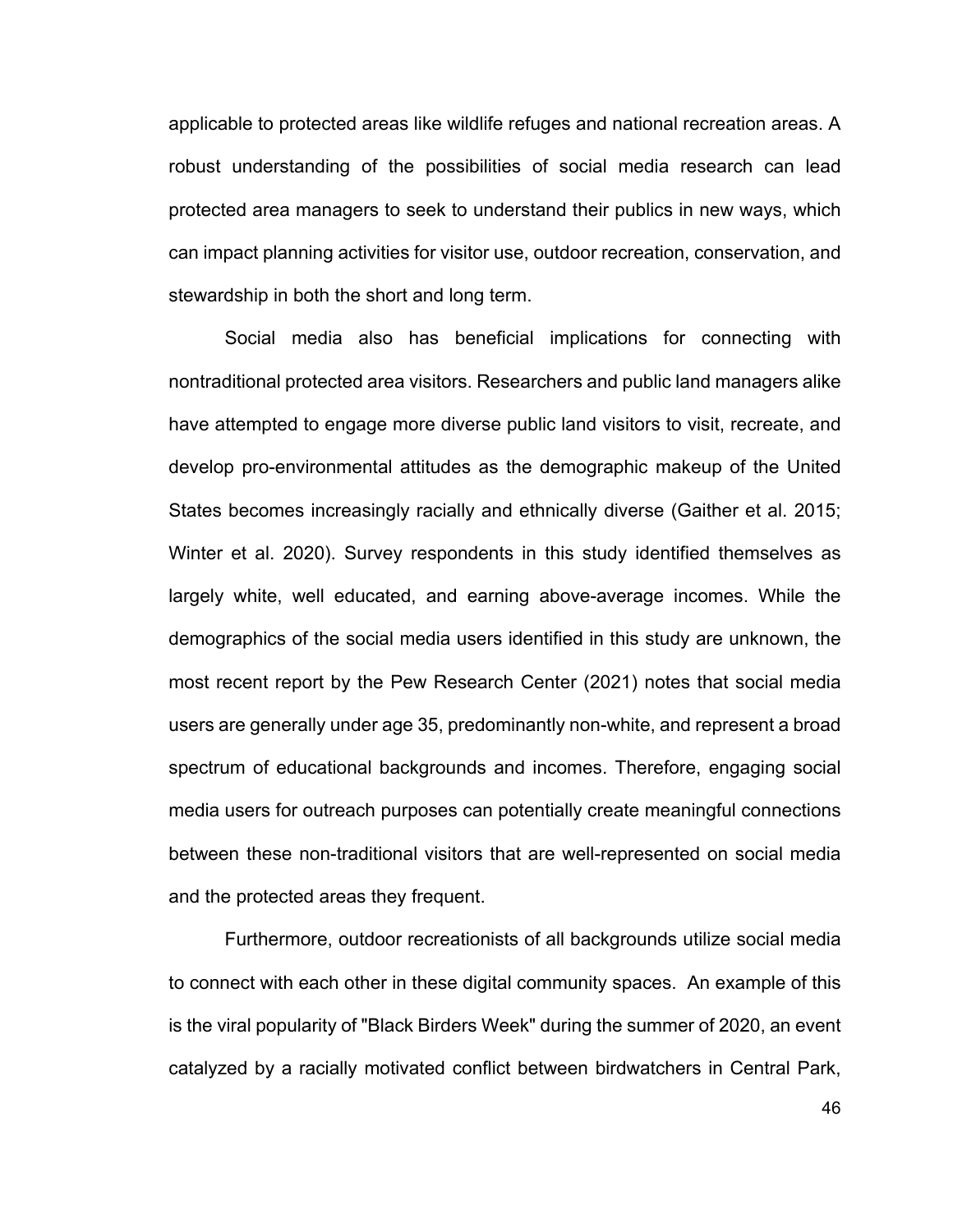applicable to protected areas like wildlife refuges and national recreation areas. A robust understanding of the possibilities of social media research can lead protected area managers to seek to understand their publics in new ways, which can impact planning activities for visitor use, outdoor recreation, conservation, and stewardship in both the short and long term.

Social media also has beneficial implications for connecting with nontraditional protected area visitors. Researchers and public land managers alike have attempted to engage more diverse public land visitors to visit, recreate, and develop pro-environmental attitudes as the demographic makeup of the United States becomes increasingly racially and ethnically diverse (Gaither et al. 2015; Winter et al. 2020). Survey respondents in this study identified themselves as largely white, well educated, and earning above-average incomes. While the demographics of the social media users identified in this study are unknown, the most recent report by the Pew Research Center (2021) notes that social media users are generally under age 35, predominantly non-white, and represent a broad spectrum of educational backgrounds and incomes. Therefore, engaging social media users for outreach purposes can potentially create meaningful connections between these non-traditional visitors that are well-represented on social media and the protected areas they frequent.

Furthermore, outdoor recreationists of all backgrounds utilize social media to connect with each other in these digital community spaces. An example of this is the viral popularity of "Black Birders Week" during the summer of 2020, an event catalyzed by a racially motivated conflict between birdwatchers in Central Park,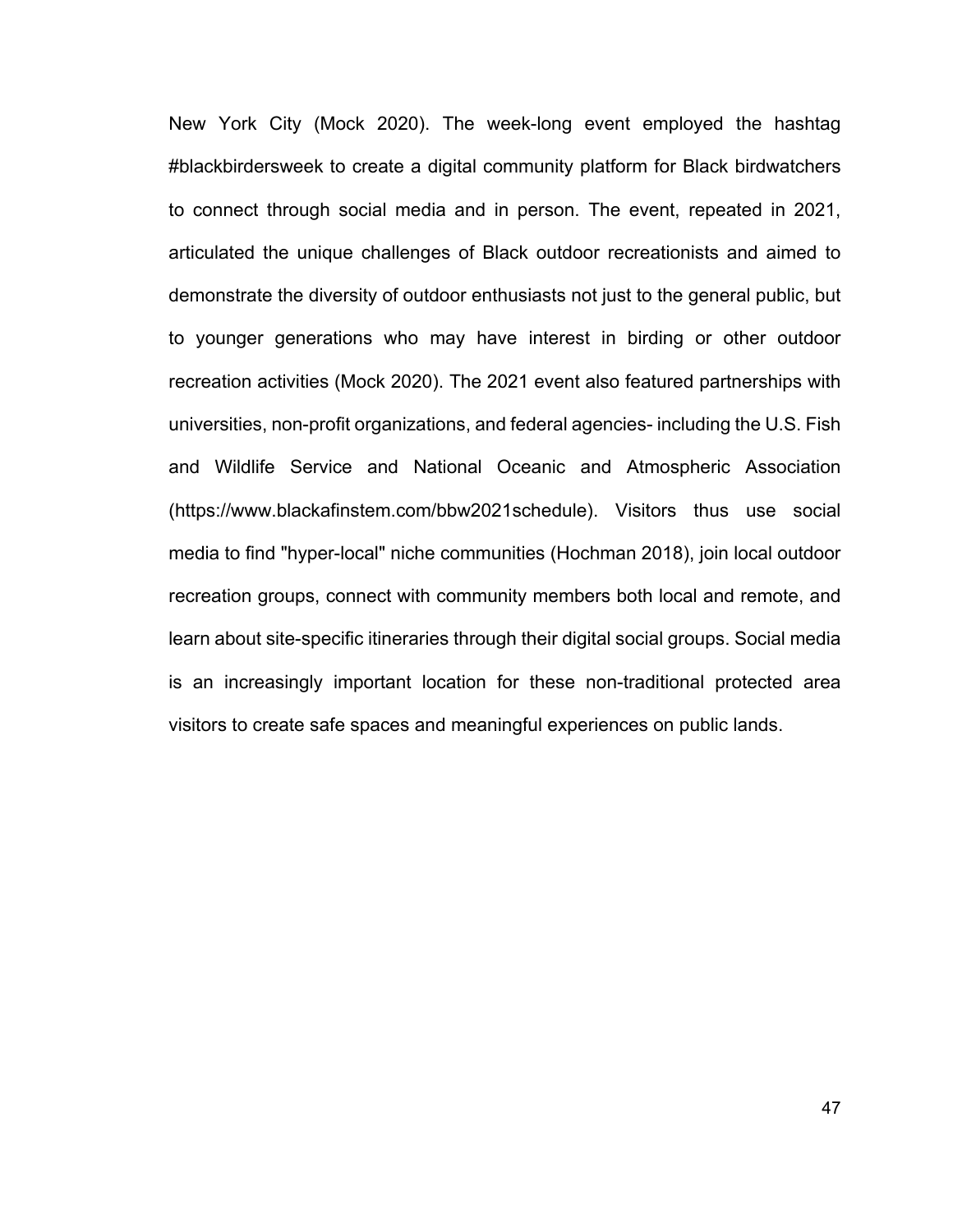New York City (Mock 2020). The week-long event employed the hashtag #blackbirdersweek to create a digital community platform for Black birdwatchers to connect through social media and in person. The event, repeated in 2021, articulated the unique challenges of Black outdoor recreationists and aimed to demonstrate the diversity of outdoor enthusiasts not just to the general public, but to younger generations who may have interest in birding or other outdoor recreation activities (Mock 2020). The 2021 event also featured partnerships with universities, non-profit organizations, and federal agencies- including the U.S. Fish and Wildlife Service and National Oceanic and Atmospheric Association (https://www.blackafinstem.com/bbw2021schedule). Visitors thus use social media to find "hyper-local" niche communities (Hochman 2018), join local outdoor recreation groups, connect with community members both local and remote, and learn about site-specific itineraries through their digital social groups. Social media is an increasingly important location for these non-traditional protected area visitors to create safe spaces and meaningful experiences on public lands.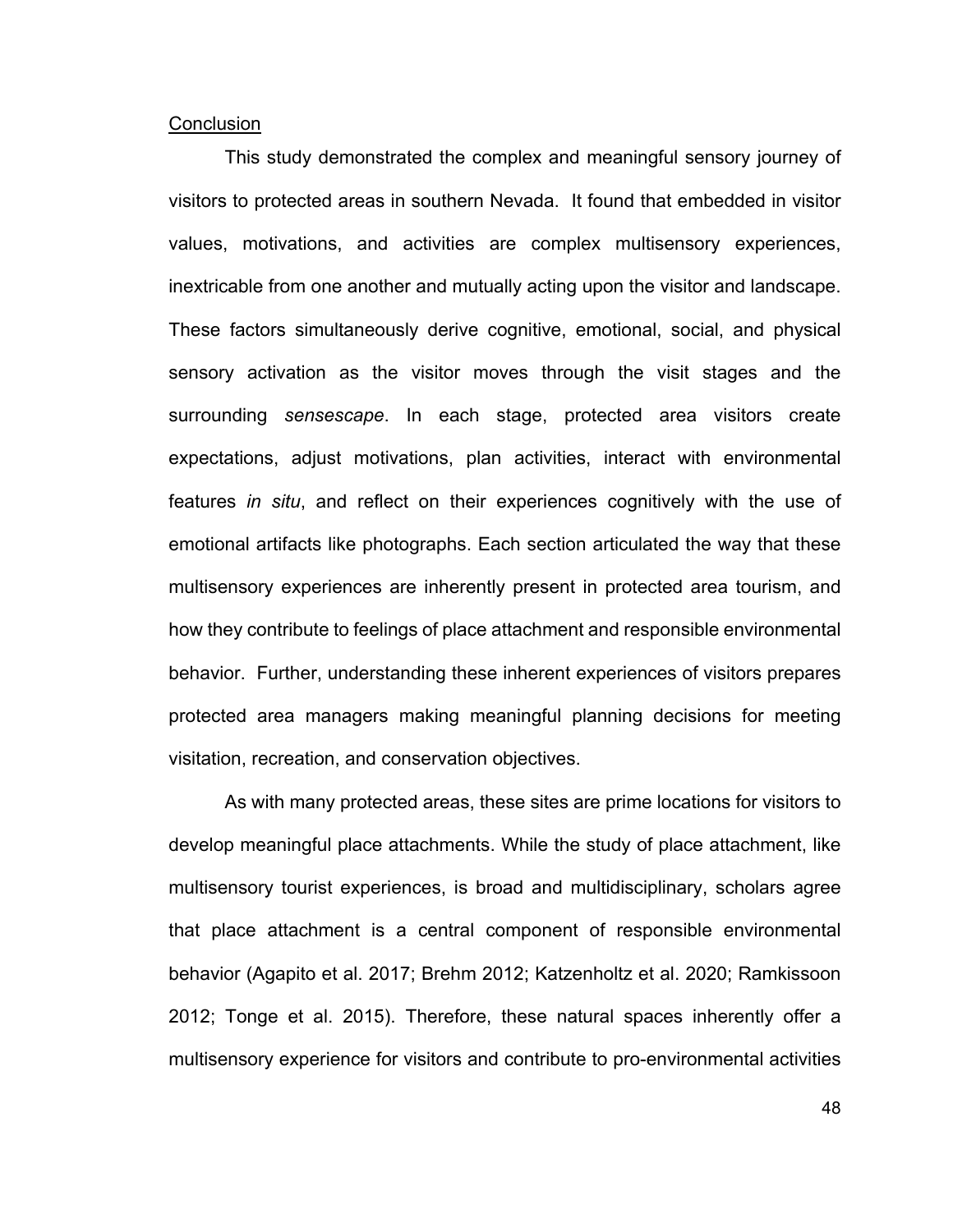#### **Conclusion**

This study demonstrated the complex and meaningful sensory journey of visitors to protected areas in southern Nevada. It found that embedded in visitor values, motivations, and activities are complex multisensory experiences, inextricable from one another and mutually acting upon the visitor and landscape. These factors simultaneously derive cognitive, emotional, social, and physical sensory activation as the visitor moves through the visit stages and the surrounding *sensescape*. In each stage, protected area visitors create expectations, adjust motivations, plan activities, interact with environmental features *in situ*, and reflect on their experiences cognitively with the use of emotional artifacts like photographs. Each section articulated the way that these multisensory experiences are inherently present in protected area tourism, and how they contribute to feelings of place attachment and responsible environmental behavior. Further, understanding these inherent experiences of visitors prepares protected area managers making meaningful planning decisions for meeting visitation, recreation, and conservation objectives.

As with many protected areas, these sites are prime locations for visitors to develop meaningful place attachments. While the study of place attachment, like multisensory tourist experiences, is broad and multidisciplinary, scholars agree that place attachment is a central component of responsible environmental behavior (Agapito et al. 2017; Brehm 2012; Katzenholtz et al. 2020; Ramkissoon 2012; Tonge et al. 2015). Therefore, these natural spaces inherently offer a multisensory experience for visitors and contribute to pro-environmental activities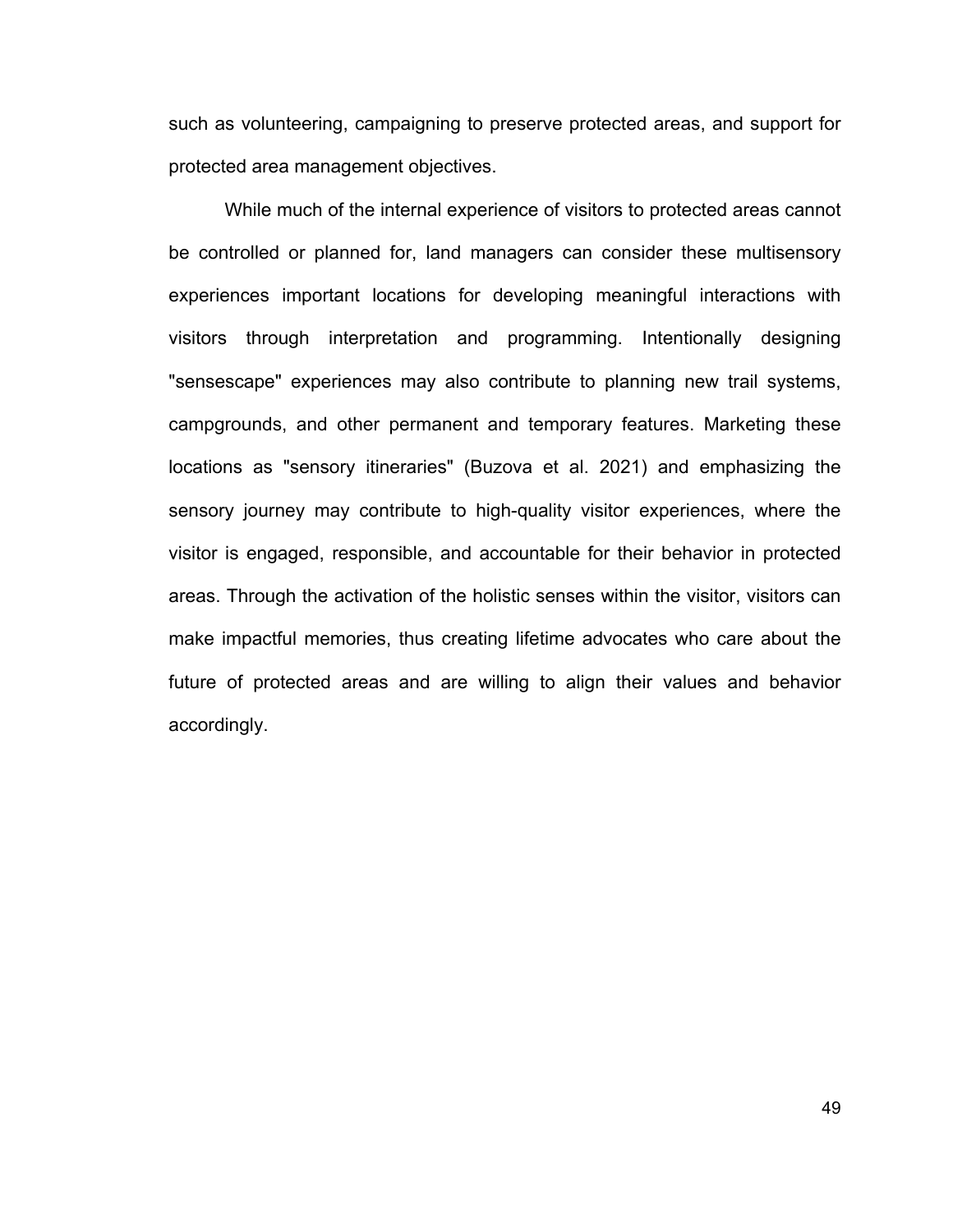such as volunteering, campaigning to preserve protected areas, and support for protected area management objectives.

While much of the internal experience of visitors to protected areas cannot be controlled or planned for, land managers can consider these multisensory experiences important locations for developing meaningful interactions with visitors through interpretation and programming. Intentionally designing "sensescape" experiences may also contribute to planning new trail systems, campgrounds, and other permanent and temporary features. Marketing these locations as "sensory itineraries" (Buzova et al. 2021) and emphasizing the sensory journey may contribute to high-quality visitor experiences, where the visitor is engaged, responsible, and accountable for their behavior in protected areas. Through the activation of the holistic senses within the visitor, visitors can make impactful memories, thus creating lifetime advocates who care about the future of protected areas and are willing to align their values and behavior accordingly.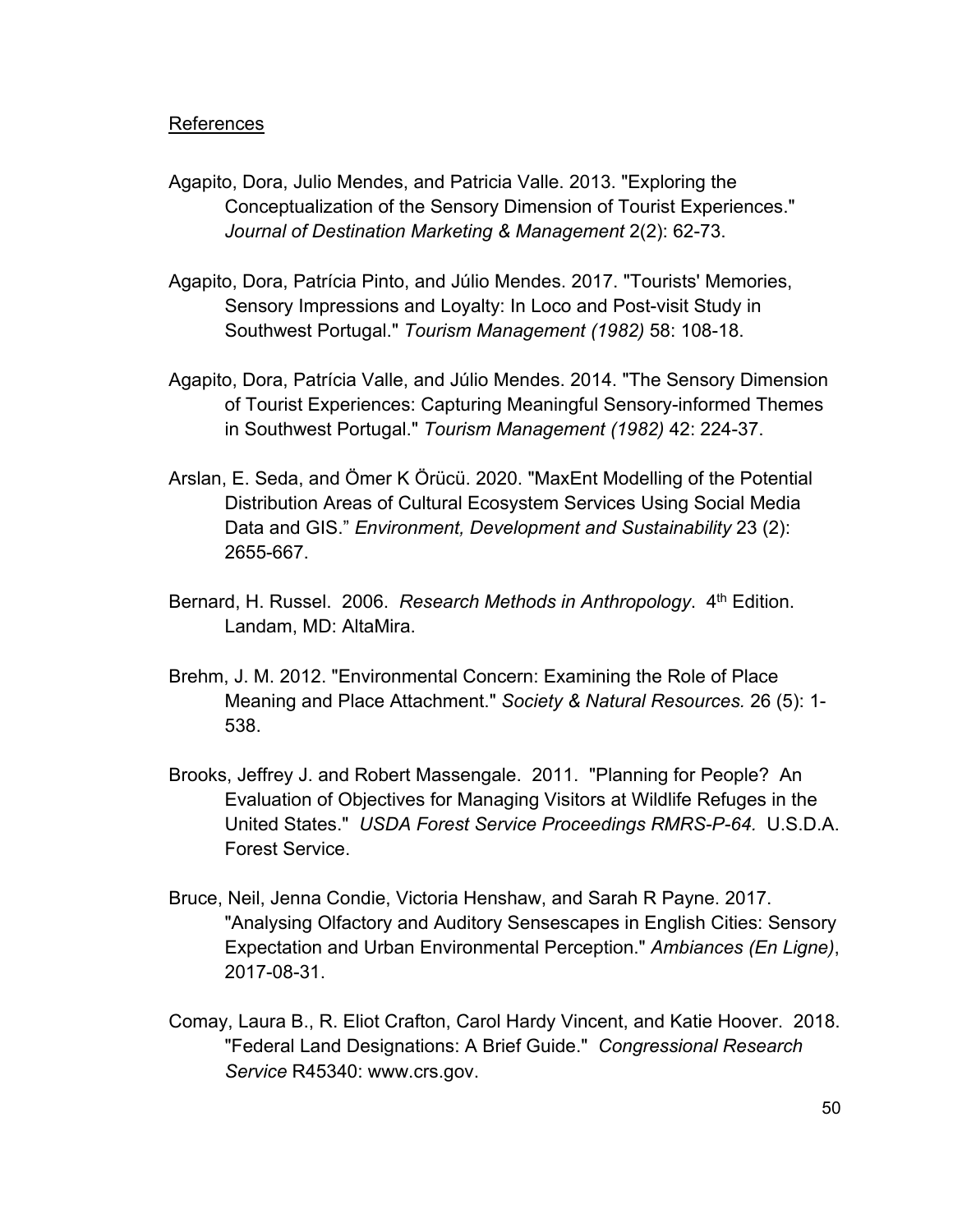#### References

- Agapito, Dora, Julio Mendes, and Patricia Valle. 2013. "Exploring the Conceptualization of the Sensory Dimension of Tourist Experiences." *Journal of Destination Marketing & Management* 2(2): 62-73.
- Agapito, Dora, Patrícia Pinto, and Júlio Mendes. 2017. "Tourists' Memories, Sensory Impressions and Loyalty: In Loco and Post-visit Study in Southwest Portugal." *Tourism Management (1982)* 58: 108-18.
- Agapito, Dora, Patrícia Valle, and Júlio Mendes. 2014. "The Sensory Dimension of Tourist Experiences: Capturing Meaningful Sensory-informed Themes in Southwest Portugal." *Tourism Management (1982)* 42: 224-37.
- Arslan, E. Seda, and Ömer K Örücü. 2020. "MaxEnt Modelling of the Potential Distribution Areas of Cultural Ecosystem Services Using Social Media Data and GIS." *Environment, Development and Sustainability* 23 (2): 2655-667.
- Bernard, H. Russel. 2006. *Research Methods in Anthropology*. 4<sup>th</sup> Edition. Landam, MD: AltaMira.
- Brehm, J. M. 2012. "Environmental Concern: Examining the Role of Place Meaning and Place Attachment." *Society & Natural Resources.* 26 (5): 1- 538.
- Brooks, Jeffrey J. and Robert Massengale. 2011. "Planning for People? An Evaluation of Objectives for Managing Visitors at Wildlife Refuges in the United States." *USDA Forest Service Proceedings RMRS-P-64.* U.S.D.A. Forest Service.
- Bruce, Neil, Jenna Condie, Victoria Henshaw, and Sarah R Payne. 2017. "Analysing Olfactory and Auditory Sensescapes in English Cities: Sensory Expectation and Urban Environmental Perception." *Ambiances (En Ligne)*, 2017-08-31.
- Comay, Laura B., R. Eliot Crafton, Carol Hardy Vincent, and Katie Hoover. 2018. "Federal Land Designations: A Brief Guide." *Congressional Research Service* R45340: www.crs.gov.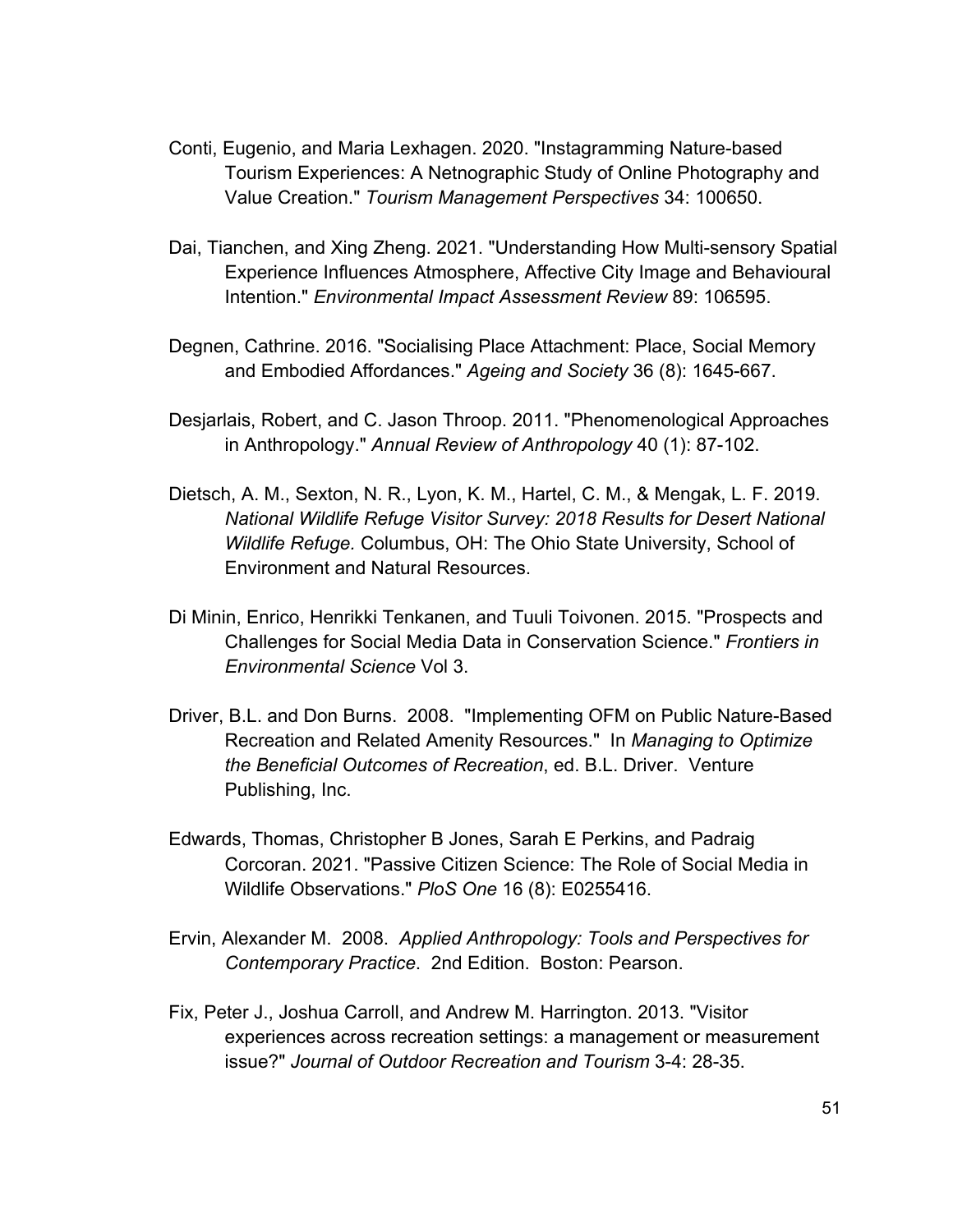- Conti, Eugenio, and Maria Lexhagen. 2020. "Instagramming Nature-based Tourism Experiences: A Netnographic Study of Online Photography and Value Creation." *Tourism Management Perspectives* 34: 100650.
- Dai, Tianchen, and Xing Zheng. 2021. "Understanding How Multi-sensory Spatial Experience Influences Atmosphere, Affective City Image and Behavioural Intention." *Environmental Impact Assessment Review* 89: 106595.
- Degnen, Cathrine. 2016. "Socialising Place Attachment: Place, Social Memory and Embodied Affordances." *Ageing and Society* 36 (8): 1645-667.
- Desjarlais, Robert, and C. Jason Throop. 2011. "Phenomenological Approaches in Anthropology." *Annual Review of Anthropology* 40 (1): 87-102.
- Dietsch, A. M., Sexton, N. R., Lyon, K. M., Hartel, C. M., & Mengak, L. F. 2019. *National Wildlife Refuge Visitor Survey: 2018 Results for Desert National Wildlife Refuge.* Columbus, OH: The Ohio State University, School of Environment and Natural Resources.
- Di Minin, Enrico, Henrikki Tenkanen, and Tuuli Toivonen. 2015. "Prospects and Challenges for Social Media Data in Conservation Science." *Frontiers in Environmental Science* Vol 3.
- Driver, B.L. and Don Burns. 2008. "Implementing OFM on Public Nature-Based Recreation and Related Amenity Resources." In *Managing to Optimize the Beneficial Outcomes of Recreation*, ed. B.L. Driver. Venture Publishing, Inc.
- Edwards, Thomas, Christopher B Jones, Sarah E Perkins, and Padraig Corcoran. 2021. "Passive Citizen Science: The Role of Social Media in Wildlife Observations." *PloS One* 16 (8): E0255416.
- Ervin, Alexander M. 2008. *Applied Anthropology: Tools and Perspectives for Contemporary Practice*. 2nd Edition. Boston: Pearson.
- Fix, Peter J., Joshua Carroll, and Andrew M. Harrington. 2013. "Visitor experiences across recreation settings: a management or measurement issue?" *Journal of Outdoor Recreation and Tourism* 3-4: 28-35.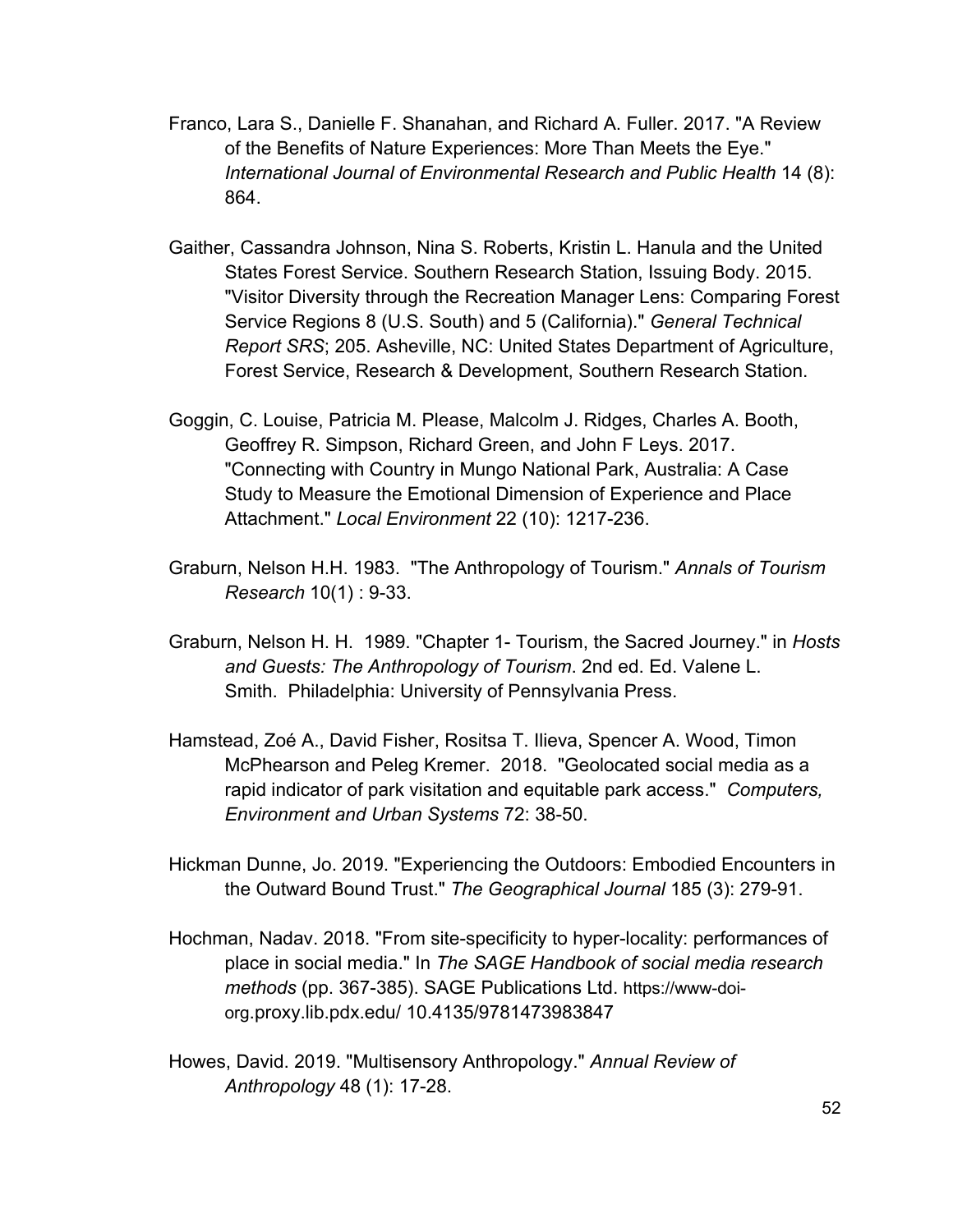- Franco, Lara S., Danielle F. Shanahan, and Richard A. Fuller. 2017. "A Review of the Benefits of Nature Experiences: More Than Meets the Eye." *International Journal of Environmental Research and Public Health* 14 (8): 864.
- Gaither, Cassandra Johnson, Nina S. Roberts, Kristin L. Hanula and the United States Forest Service. Southern Research Station, Issuing Body. 2015. "Visitor Diversity through the Recreation Manager Lens: Comparing Forest Service Regions 8 (U.S. South) and 5 (California)." *General Technical Report SRS*; 205. Asheville, NC: United States Department of Agriculture, Forest Service, Research & Development, Southern Research Station.
- Goggin, C. Louise, Patricia M. Please, Malcolm J. Ridges, Charles A. Booth, Geoffrey R. Simpson, Richard Green, and John F Leys. 2017. "Connecting with Country in Mungo National Park, Australia: A Case Study to Measure the Emotional Dimension of Experience and Place Attachment." *Local Environment* 22 (10): 1217-236.
- Graburn, Nelson H.H. 1983. "The Anthropology of Tourism." *Annals of Tourism Research* 10(1) : 9-33.
- Graburn, Nelson H. H. 1989. "Chapter 1- Tourism, the Sacred Journey." in *Hosts and Guests: The Anthropology of Tourism*. 2nd ed. Ed. Valene L. Smith. Philadelphia: University of Pennsylvania Press.
- Hamstead, Zoé A., David Fisher, Rositsa T. Ilieva, Spencer A. Wood, Timon McPhearson and Peleg Kremer. 2018. "Geolocated social media as a rapid indicator of park visitation and equitable park access." *Computers, Environment and Urban Systems* 72: 38-50.
- Hickman Dunne, Jo. 2019. "Experiencing the Outdoors: Embodied Encounters in the Outward Bound Trust." *The Geographical Journal* 185 (3): 279-91.
- Hochman, Nadav. 2018. "From site-specificity to hyper-locality: performances of place in social media." In *The SAGE Handbook of social media research methods* (pp. 367-385). SAGE Publications Ltd. https://www-doiorg.proxy.lib.pdx.edu/ 10.4135/9781473983847
- Howes, David. 2019. "Multisensory Anthropology." *Annual Review of Anthropology* 48 (1): 17-28.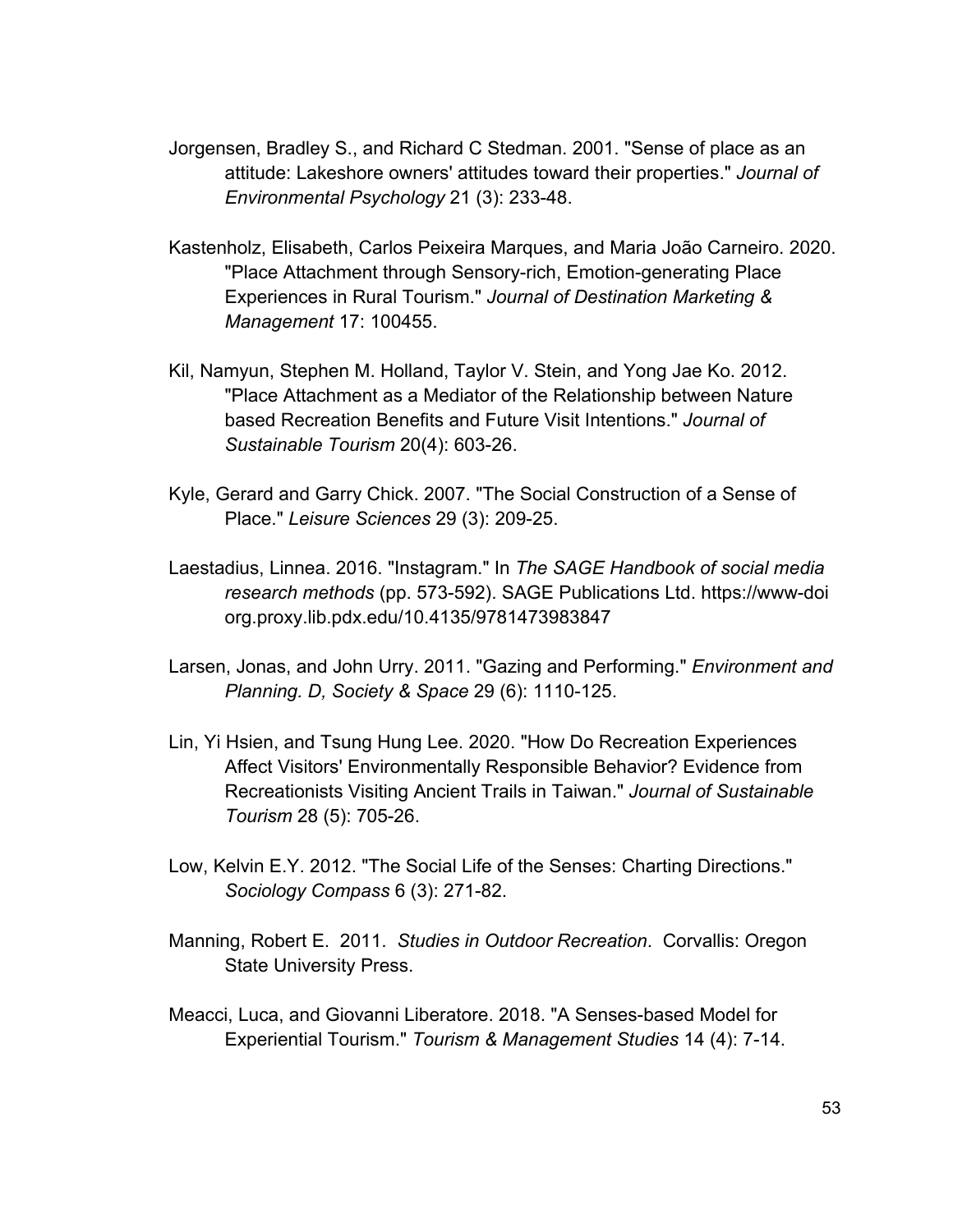- Jorgensen, Bradley S., and Richard C Stedman. 2001. "Sense of place as an attitude: Lakeshore owners' attitudes toward their properties." *Journal of Environmental Psychology* 21 (3): 233-48.
- Kastenholz, Elisabeth, Carlos Peixeira Marques, and Maria João Carneiro. 2020. "Place Attachment through Sensory-rich, Emotion-generating Place Experiences in Rural Tourism." *Journal of Destination Marketing & Management* 17: 100455.
- Kil, Namyun, Stephen M. Holland, Taylor V. Stein, and Yong Jae Ko. 2012. "Place Attachment as a Mediator of the Relationship between Nature based Recreation Benefits and Future Visit Intentions." *Journal of Sustainable Tourism* 20(4): 603-26.
- Kyle, Gerard and Garry Chick. 2007. "The Social Construction of a Sense of Place." *Leisure Sciences* 29 (3): 209-25.
- Laestadius, Linnea. 2016. "Instagram." In *The SAGE Handbook of social media research methods* (pp. 573-592). SAGE Publications Ltd. https://www-doi org.proxy.lib.pdx.edu/10.4135/9781473983847
- Larsen, Jonas, and John Urry. 2011. "Gazing and Performing." *Environment and Planning. D, Society & Space* 29 (6): 1110-125.
- Lin, Yi Hsien, and Tsung Hung Lee. 2020. "How Do Recreation Experiences Affect Visitors' Environmentally Responsible Behavior? Evidence from Recreationists Visiting Ancient Trails in Taiwan." *Journal of Sustainable Tourism* 28 (5): 705-26.
- Low, Kelvin E.Y. 2012. "The Social Life of the Senses: Charting Directions." *Sociology Compass* 6 (3): 271-82.
- Manning, Robert E. 2011. *Studies in Outdoor Recreation*. Corvallis: Oregon State University Press.
- Meacci, Luca, and Giovanni Liberatore. 2018. "A Senses-based Model for Experiential Tourism." *Tourism & Management Studies* 14 (4): 7-14.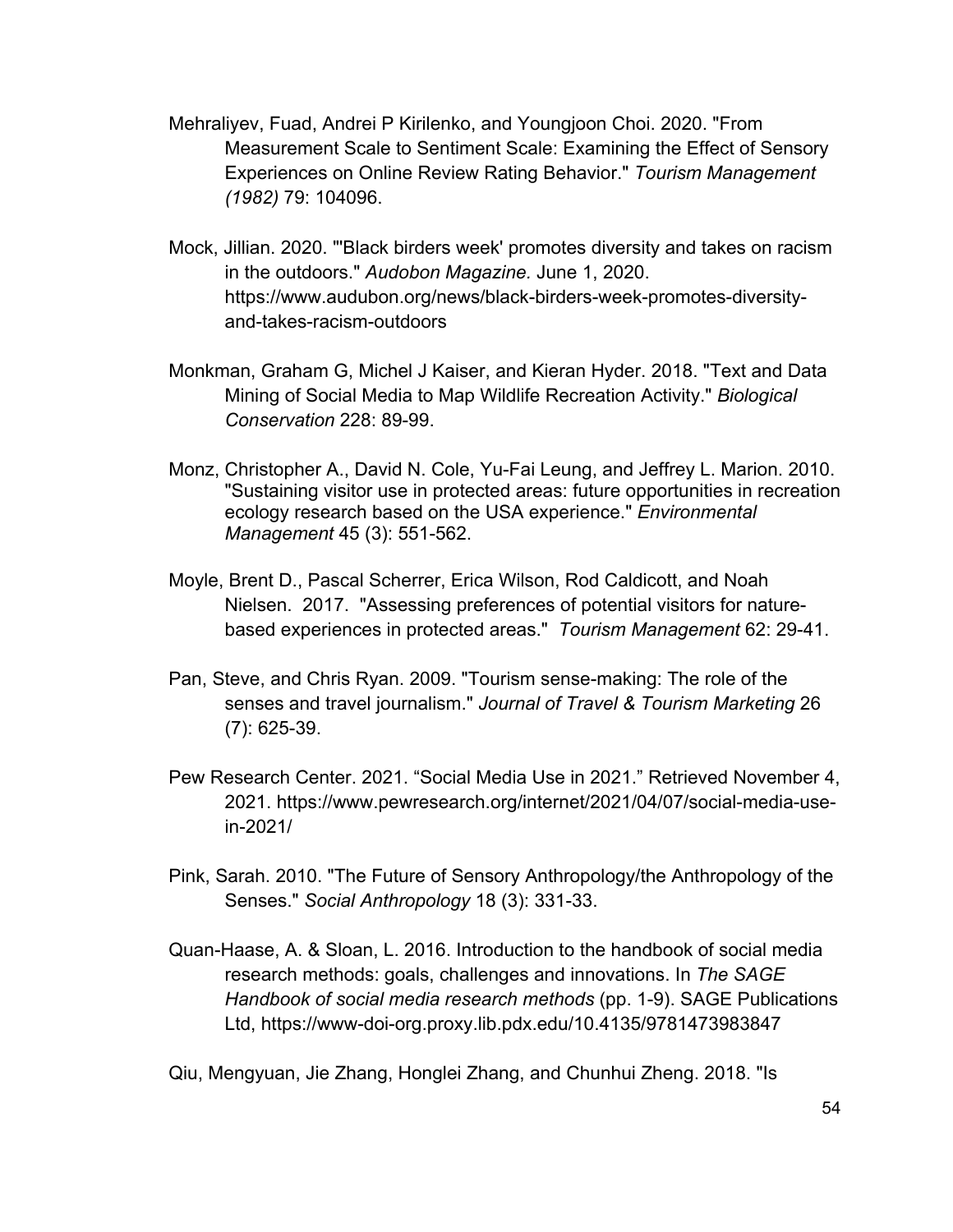- Mehraliyev, Fuad, Andrei P Kirilenko, and Youngjoon Choi. 2020. "From Measurement Scale to Sentiment Scale: Examining the Effect of Sensory Experiences on Online Review Rating Behavior." *Tourism Management (1982)* 79: 104096.
- Mock, Jillian. 2020. "'Black birders week' promotes diversity and takes on racism in the outdoors." *Audobon Magazine.* June 1, 2020. https://www.audubon.org/news/black-birders-week-promotes-diversityand-takes-racism-outdoors
- Monkman, Graham G, Michel J Kaiser, and Kieran Hyder. 2018. "Text and Data Mining of Social Media to Map Wildlife Recreation Activity." *Biological Conservation* 228: 89-99.
- Monz, Christopher A., David N. Cole, Yu-Fai Leung, and Jeffrey L. Marion. 2010. "Sustaining visitor use in protected areas: future opportunities in recreation ecology research based on the USA experience." *Environmental Management* 45 (3): 551-562.
- Moyle, Brent D., Pascal Scherrer, Erica Wilson, Rod Caldicott, and Noah Nielsen. 2017. "Assessing preferences of potential visitors for naturebased experiences in protected areas." *Tourism Management* 62: 29-41.
- Pan, Steve, and Chris Ryan. 2009. "Tourism sense-making: The role of the senses and travel journalism." *Journal of Travel & Tourism Marketing* 26 (7): 625-39.
- Pew Research Center. 2021. "Social Media Use in 2021." Retrieved November 4, 2021. https://www.pewresearch.org/internet/2021/04/07/social-media-usein-2021/
- Pink, Sarah. 2010. "The Future of Sensory Anthropology/the Anthropology of the Senses." *Social Anthropology* 18 (3): 331-33.
- Quan-Haase, A. & Sloan, L. 2016. Introduction to the handbook of social media research methods: goals, challenges and innovations. In *The SAGE Handbook of social media research methods* (pp. 1-9). SAGE Publications Ltd, https://www-doi-org.proxy.lib.pdx.edu/10.4135/9781473983847

Qiu, Mengyuan, Jie Zhang, Honglei Zhang, and Chunhui Zheng. 2018. "Is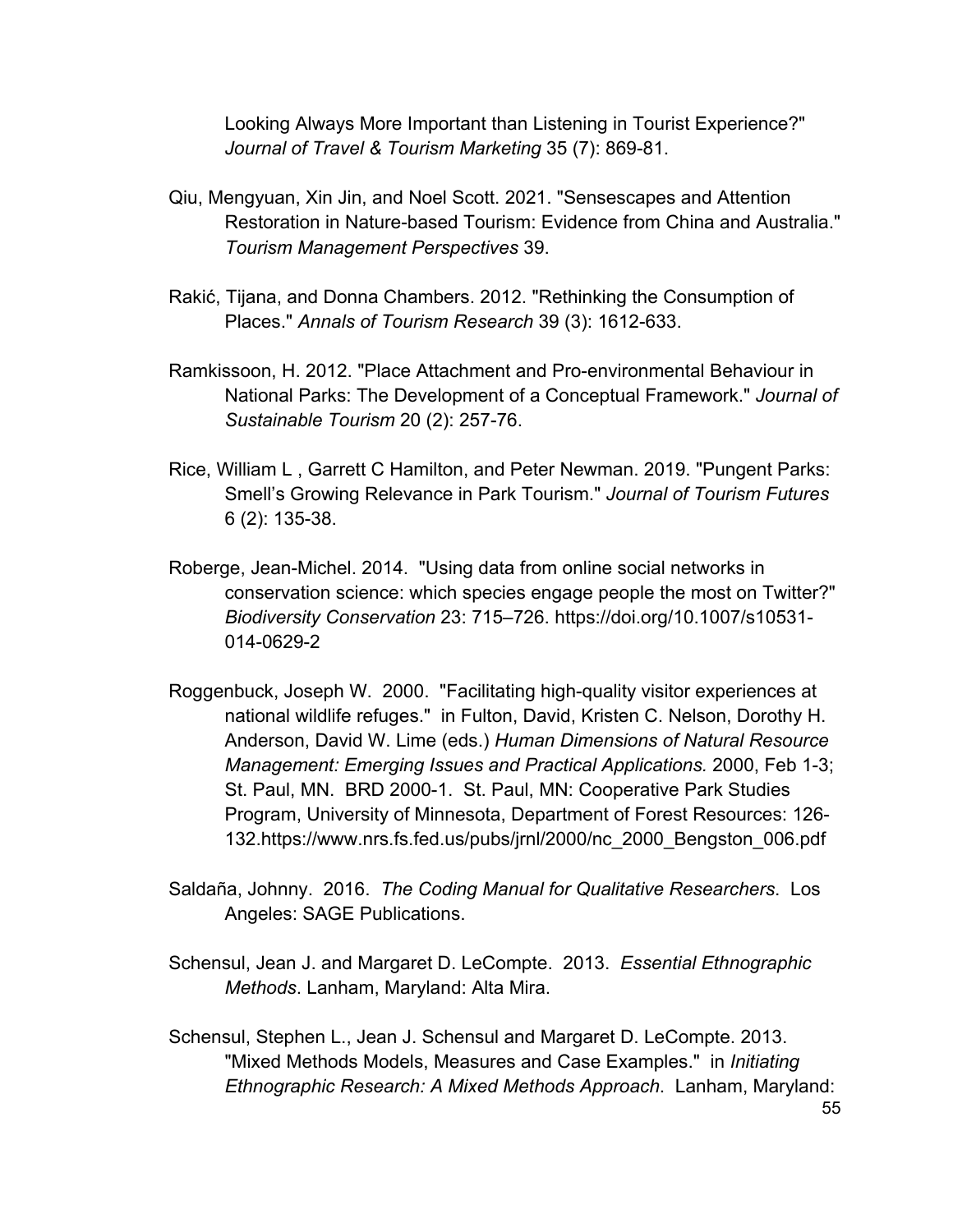Looking Always More Important than Listening in Tourist Experience?" *Journal of Travel & Tourism Marketing* 35 (7): 869-81.

- Qiu, Mengyuan, Xin Jin, and Noel Scott. 2021. "Sensescapes and Attention Restoration in Nature-based Tourism: Evidence from China and Australia." *Tourism Management Perspectives* 39.
- Rakić, Tijana, and Donna Chambers. 2012. "Rethinking the Consumption of Places." *Annals of Tourism Research* 39 (3): 1612-633.
- Ramkissoon, H. 2012. "Place Attachment and Pro-environmental Behaviour in National Parks: The Development of a Conceptual Framework." *Journal of Sustainable Tourism* 20 (2): 257-76.
- Rice, William L , Garrett C Hamilton, and Peter Newman. 2019. "Pungent Parks: Smell's Growing Relevance in Park Tourism." *Journal of Tourism Futures* 6 (2): 135-38.
- Roberge, Jean-Michel. 2014. "Using data from online social networks in conservation science: which species engage people the most on Twitter?" *Biodiversity Conservation* 23: 715–726. https://doi.org/10.1007/s10531- 014-0629-2
- Roggenbuck, Joseph W. 2000. "Facilitating high-quality visitor experiences at national wildlife refuges." in Fulton, David, Kristen C. Nelson, Dorothy H. Anderson, David W. Lime (eds.) *Human Dimensions of Natural Resource Management: Emerging Issues and Practical Applications.* 2000, Feb 1-3; St. Paul, MN. BRD 2000-1. St. Paul, MN: Cooperative Park Studies Program, University of Minnesota, Department of Forest Resources: 126- 132.https://www.nrs.fs.fed.us/pubs/jrnl/2000/nc\_2000\_Bengston\_006.pdf
- Saldaña, Johnny. 2016. *The Coding Manual for Qualitative Researchers*. Los Angeles: SAGE Publications.
- Schensul, Jean J. and Margaret D. LeCompte. 2013. *Essential Ethnographic Methods*. Lanham, Maryland: Alta Mira.
- Schensul, Stephen L., Jean J. Schensul and Margaret D. LeCompte. 2013. "Mixed Methods Models, Measures and Case Examples." in *Initiating Ethnographic Research: A Mixed Methods Approach*. Lanham, Maryland: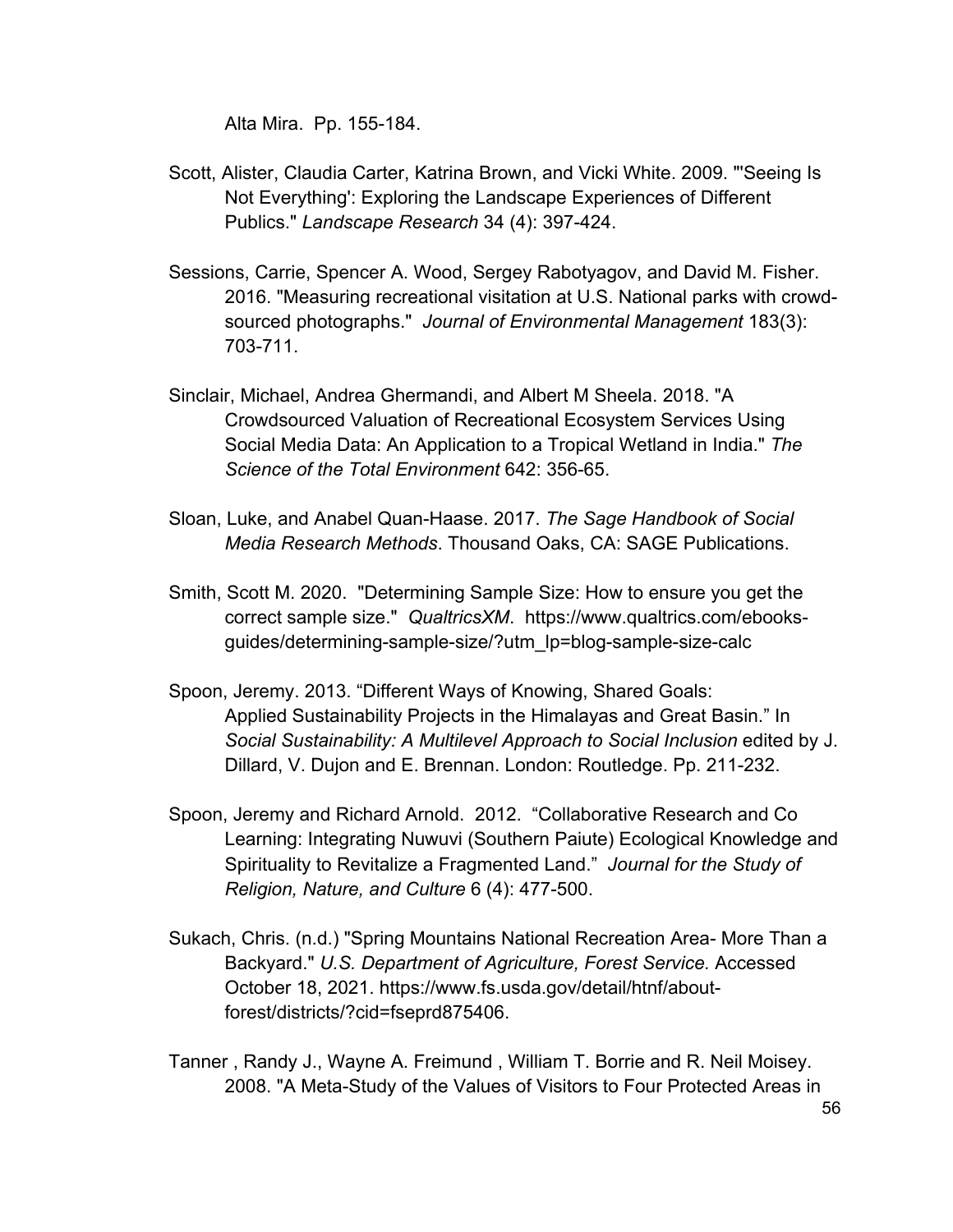Alta Mira. Pp. 155-184.

- Scott, Alister, Claudia Carter, Katrina Brown, and Vicki White. 2009. "'Seeing Is Not Everything': Exploring the Landscape Experiences of Different Publics." *Landscape Research* 34 (4): 397-424.
- Sessions, Carrie, Spencer A. Wood, Sergey Rabotyagov, and David M. Fisher. 2016. "Measuring recreational visitation at U.S. National parks with crowdsourced photographs." *Journal of Environmental Management* 183(3): 703-711.
- Sinclair, Michael, Andrea Ghermandi, and Albert M Sheela. 2018. "A Crowdsourced Valuation of Recreational Ecosystem Services Using Social Media Data: An Application to a Tropical Wetland in India." *The Science of the Total Environment* 642: 356-65.
- Sloan, Luke, and Anabel Quan-Haase. 2017. *The Sage Handbook of Social Media Research Methods*. Thousand Oaks, CA: SAGE Publications.
- Smith, Scott M. 2020. "Determining Sample Size: How to ensure you get the correct sample size." *QualtricsXM*. https://www.qualtrics.com/ebooksguides/determining-sample-size/?utm\_lp=blog-sample-size-calc
- Spoon, Jeremy. 2013. "Different Ways of Knowing, Shared Goals: Applied Sustainability Projects in the Himalayas and Great Basin." In *Social Sustainability: A Multilevel Approach to Social Inclusion* edited by J. Dillard, V. Dujon and E. Brennan. London: Routledge. Pp. 211-232.
- Spoon, Jeremy and Richard Arnold. 2012. "Collaborative Research and Co Learning: Integrating Nuwuvi (Southern Paiute) Ecological Knowledge and Spirituality to Revitalize a Fragmented Land." *Journal for the Study of Religion, Nature, and Culture* 6 (4): 477-500.
- Sukach, Chris. (n.d.) "Spring Mountains National Recreation Area- More Than a Backyard." *U.S. Department of Agriculture, Forest Service.* Accessed October 18, 2021. https://www.fs.usda.gov/detail/htnf/aboutforest/districts/?cid=fseprd875406.
- Tanner , Randy J., Wayne A. Freimund , William T. Borrie and R. Neil Moisey. 2008. "A Meta-Study of the Values of Visitors to Four Protected Areas in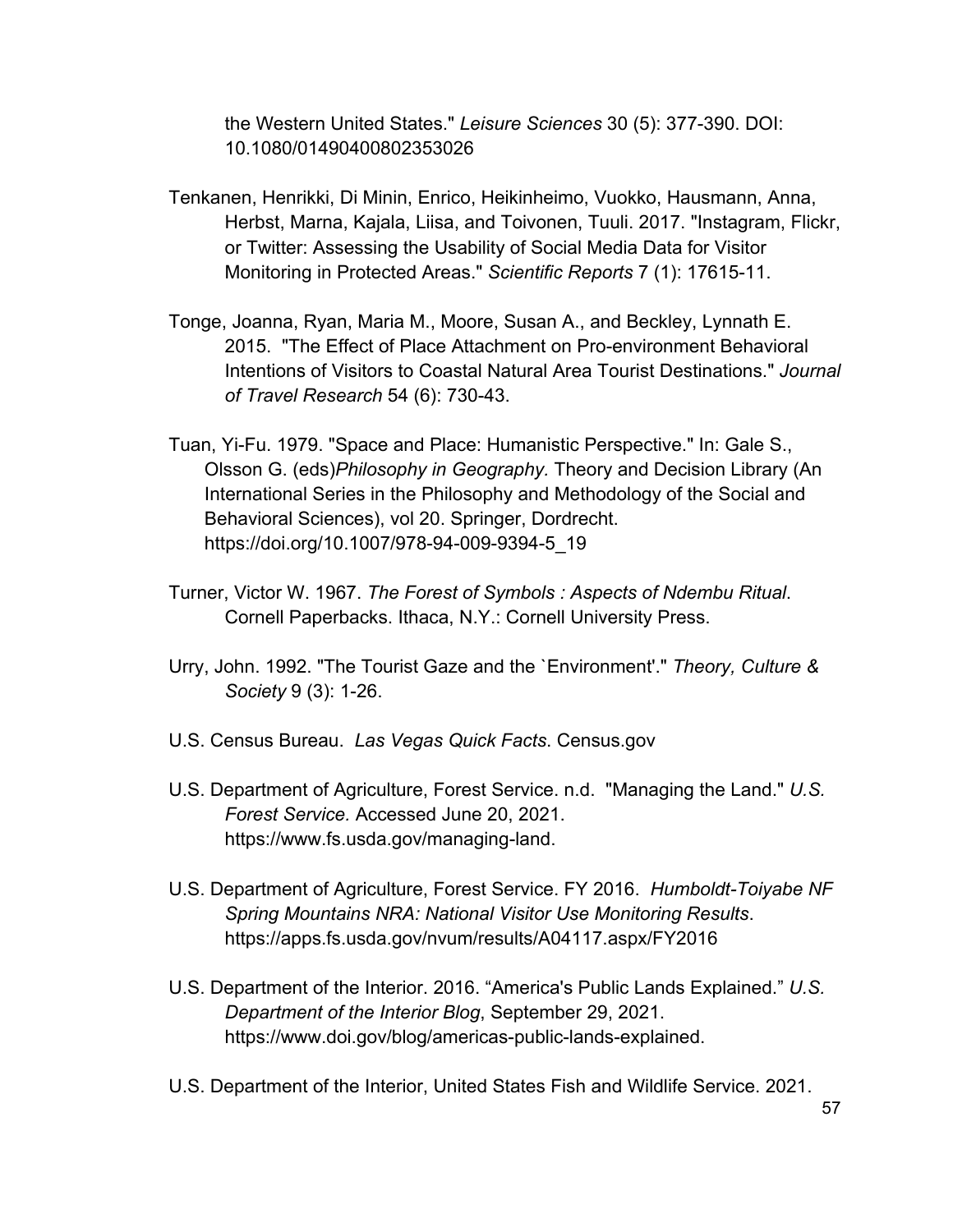the Western United States." *Leisure Sciences* 30 (5): 377-390. DOI: 10.1080/01490400802353026

- Tenkanen, Henrikki, Di Minin, Enrico, Heikinheimo, Vuokko, Hausmann, Anna, Herbst, Marna, Kajala, Liisa, and Toivonen, Tuuli. 2017. "Instagram, Flickr, or Twitter: Assessing the Usability of Social Media Data for Visitor Monitoring in Protected Areas." *Scientific Reports* 7 (1): 17615-11.
- Tonge, Joanna, Ryan, Maria M., Moore, Susan A., and Beckley, Lynnath E. 2015. "The Effect of Place Attachment on Pro-environment Behavioral Intentions of Visitors to Coastal Natural Area Tourist Destinations." *Journal of Travel Research* 54 (6): 730-43.
- Tuan, Yi-Fu. 1979. "Space and Place: Humanistic Perspective." In: Gale S., Olsson G. (eds)*Philosophy in Geography.* Theory and Decision Library (An International Series in the Philosophy and Methodology of the Social and Behavioral Sciences), vol 20. Springer, Dordrecht. https://doi.org/10.1007/978-94-009-9394-5\_19
- Turner, Victor W. 1967. *The Forest of Symbols : Aspects of Ndembu Ritual*. Cornell Paperbacks. Ithaca, N.Y.: Cornell University Press.
- Urry, John. 1992. "The Tourist Gaze and the `Environment'." *Theory, Culture & Society* 9 (3): 1-26.
- U.S. Census Bureau. *Las Vegas Quick Facts*. Census.gov
- U.S. Department of Agriculture, Forest Service. n.d. "Managing the Land." *U.S. Forest Service.* Accessed June 20, 2021. https://www.fs.usda.gov/managing-land.
- U.S. Department of Agriculture, Forest Service. FY 2016. *Humboldt-Toiyabe NF Spring Mountains NRA: National Visitor Use Monitoring Results*. https://apps.fs.usda.gov/nvum/results/A04117.aspx/FY2016
- U.S. Department of the Interior. 2016. "America's Public Lands Explained." *U.S. Department of the Interior Blog*, September 29, 2021. https://www.doi.gov/blog/americas-public-lands-explained.
- U.S. Department of the Interior, United States Fish and Wildlife Service. 2021.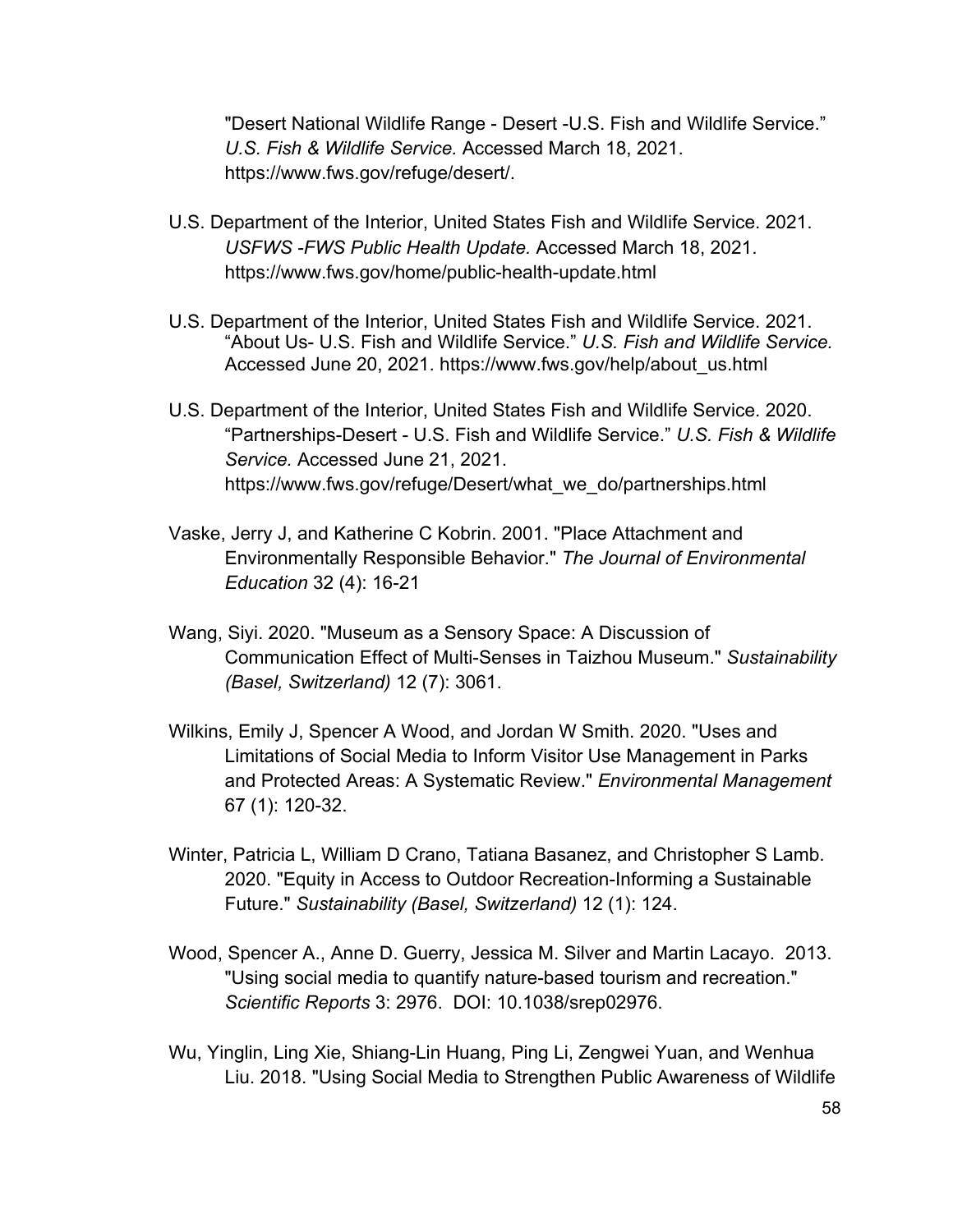"Desert National Wildlife Range - Desert -U.S. Fish and Wildlife Service." *U.S. Fish & Wildlife Service.* Accessed March 18, 2021. https://www.fws.gov/refuge/desert/.

- U.S. Department of the Interior, United States Fish and Wildlife Service. 2021. *USFWS -FWS Public Health Update.* Accessed March 18, 2021. https://www.fws.gov/home/public-health-update.html
- U.S. Department of the Interior, United States Fish and Wildlife Service. 2021. "About Us- U.S. Fish and Wildlife Service." *U.S. Fish and Wildlife Service.* Accessed June 20, 2021. https://www.fws.gov/help/about\_us.html
- U.S. Department of the Interior, United States Fish and Wildlife Service. 2020. "Partnerships-Desert - U.S. Fish and Wildlife Service." *U.S. Fish & Wildlife Service.* Accessed June 21, 2021. https://www.fws.gov/refuge/Desert/what\_we\_do/partnerships.html
- Vaske, Jerry J, and Katherine C Kobrin. 2001. "Place Attachment and Environmentally Responsible Behavior." *The Journal of Environmental Education* 32 (4): 16-21
- Wang, Siyi. 2020. "Museum as a Sensory Space: A Discussion of Communication Effect of Multi-Senses in Taizhou Museum." *Sustainability (Basel, Switzerland)* 12 (7): 3061.
- Wilkins, Emily J, Spencer A Wood, and Jordan W Smith. 2020. "Uses and Limitations of Social Media to Inform Visitor Use Management in Parks and Protected Areas: A Systematic Review." *Environmental Management* 67 (1): 120-32.
- Winter, Patricia L, William D Crano, Tatiana Basanez, and Christopher S Lamb. 2020. "Equity in Access to Outdoor Recreation-Informing a Sustainable Future." *Sustainability (Basel, Switzerland)* 12 (1): 124.
- Wood, Spencer A., Anne D. Guerry, Jessica M. Silver and Martin Lacayo. 2013. "Using social media to quantify nature-based tourism and recreation." *Scientific Reports* 3: 2976. DOI: 10.1038/srep02976.
- Wu, Yinglin, Ling Xie, Shiang-Lin Huang, Ping Li, Zengwei Yuan, and Wenhua Liu. 2018. "Using Social Media to Strengthen Public Awareness of Wildlife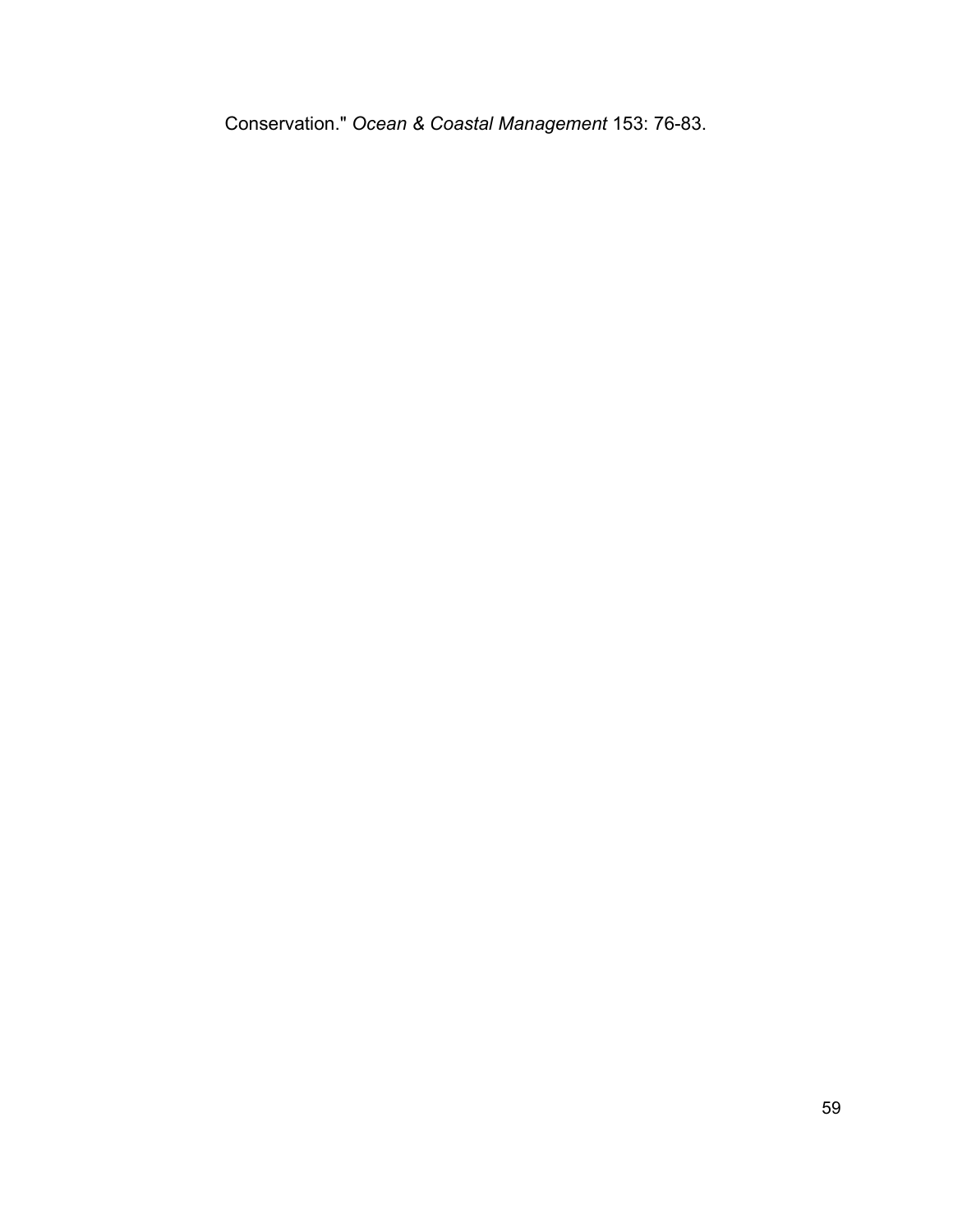Conservation." *Ocean & Coastal Management* 153: 76-83.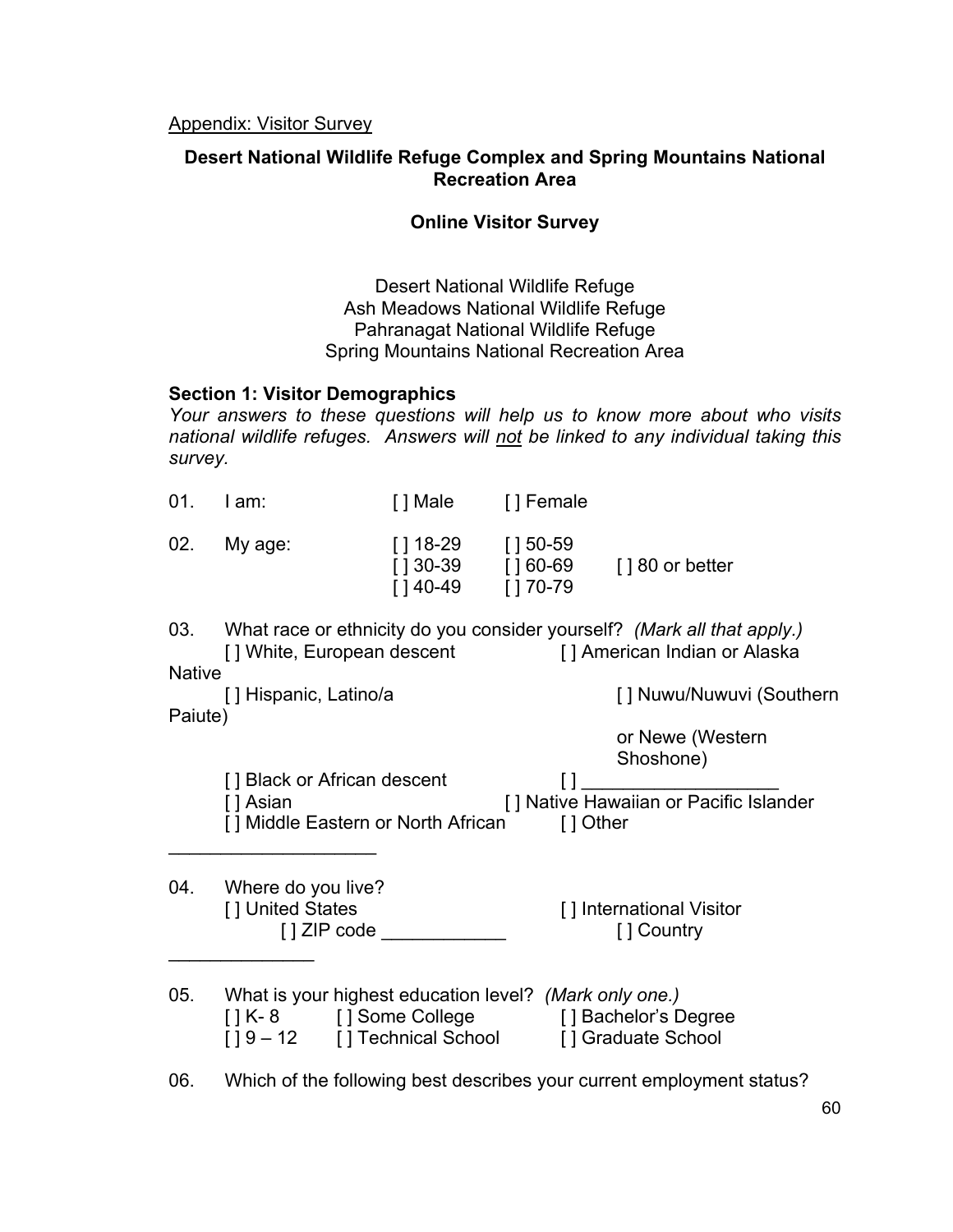# **Desert National Wildlife Refuge Complex and Spring Mountains National Recreation Area**

## **Online Visitor Survey**

Desert National Wildlife Refuge Ash Meadows National Wildlife Refuge Pahranagat National Wildlife Refuge Spring Mountains National Recreation Area

## **Section 1: Visitor Demographics**

*Your answers to these questions will help us to know more about who visits national wildlife refuges. Answers will not be linked to any individual taking this survey.*

| 01.           | I am:                                                                                                                                                   | [ ] Male                          | [] Female           |                                                                                                                                        |
|---------------|---------------------------------------------------------------------------------------------------------------------------------------------------------|-----------------------------------|---------------------|----------------------------------------------------------------------------------------------------------------------------------------|
| 02.           | My age:                                                                                                                                                 | [ ] 18-29<br>$[140-49$ $[170-79]$ | $[150-59]$          | [] 30-39 [] 60-69 [] 80 or better                                                                                                      |
|               |                                                                                                                                                         |                                   |                     | 03. What race or ethnicity do you consider yourself? (Mark all that apply.)<br>[] White, European descent [] American Indian or Alaska |
| <b>Native</b> |                                                                                                                                                         |                                   |                     |                                                                                                                                        |
| Paiute)       | [] Hispanic, Latino/a                                                                                                                                   |                                   |                     | [] Nuwu/Nuwuvi (Southern                                                                                                               |
|               |                                                                                                                                                         |                                   |                     | or Newe (Western<br>Shoshone)                                                                                                          |
|               | [ ] Black or African descent<br>[ ] Asian<br>[ ] Middle Eastern or North African                                                                        |                                   | $[ \ ]$<br>[] Other | [] Native Hawaiian or Pacific Islander                                                                                                 |
| 04.           | Where do you live?<br>[] United States                                                                                                                  | [ ] ZIP code                      |                     | [] International Visitor<br>[] Country                                                                                                 |
| 05.           | What is your highest education level? (Mark only one.)<br>[] K-8 [] Some College [] Bachelor's Degree<br>[] 9-12 [] Technical School [] Graduate School |                                   |                     |                                                                                                                                        |
|               |                                                                                                                                                         |                                   |                     |                                                                                                                                        |

06. Which of the following best describes your current employment status?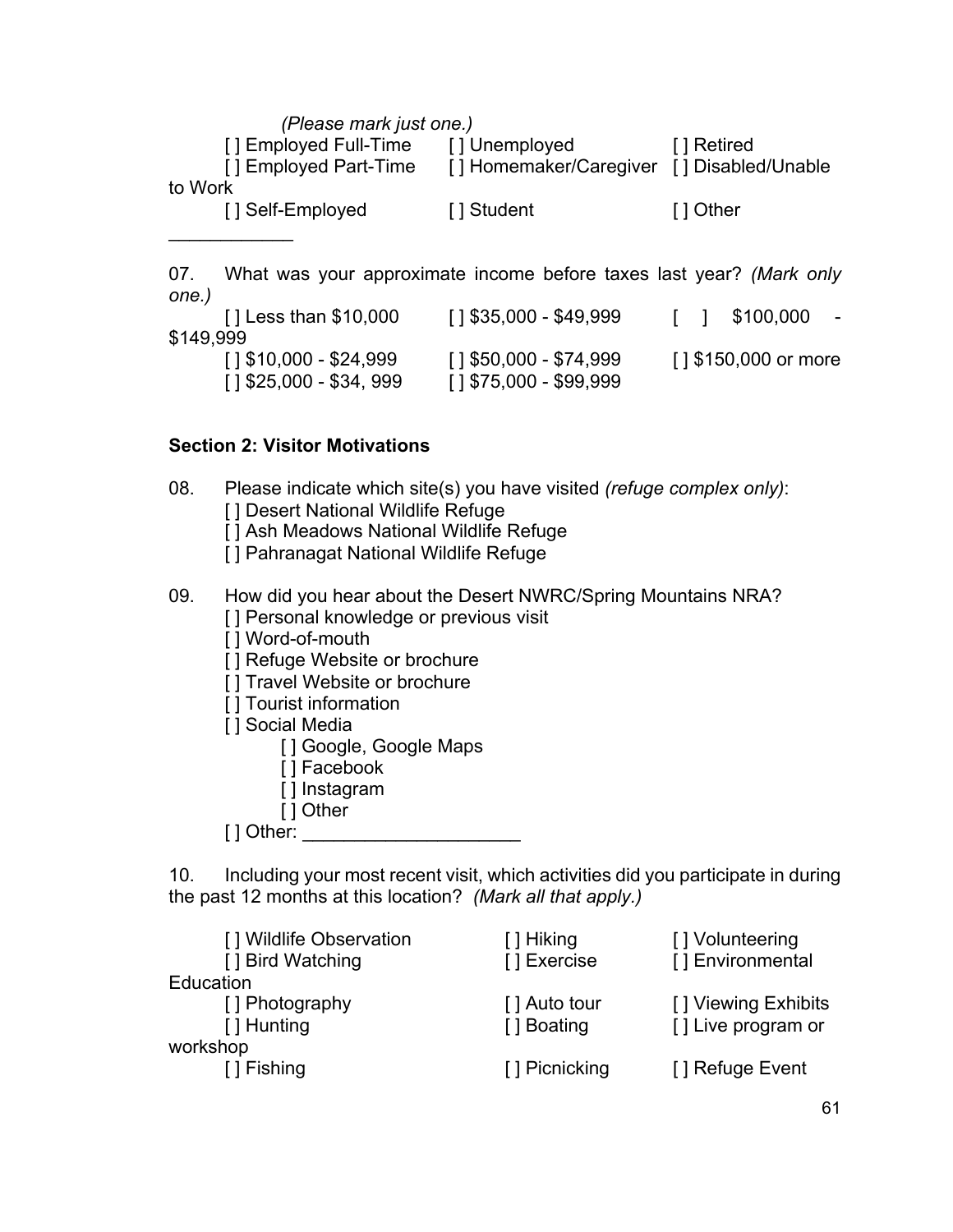| (Please mark just one.) |                                           |             |  |  |  |  |  |  |
|-------------------------|-------------------------------------------|-------------|--|--|--|--|--|--|
| [] Employed Full-Time   | [] Unemployed                             | [ ] Retired |  |  |  |  |  |  |
| [] Employed Part-Time   | [] Homemaker/Caregiver [] Disabled/Unable |             |  |  |  |  |  |  |
| to Work                 |                                           |             |  |  |  |  |  |  |
| [] Self-Employed        | [] Student                                | [ ] Other   |  |  |  |  |  |  |
|                         |                                           |             |  |  |  |  |  |  |

07. What was your approximate income before taxes last year? *(Mark only one.)*

| $\lceil$   Less than \$10,000 | $[1$ \$35,000 - \$49,999 | \$100,000<br>$\sim$   |
|-------------------------------|--------------------------|-----------------------|
| \$149,999                     |                          |                       |
| [1\$10,000 - \$24,999         | [1\$50,000 - \$74,999    | [ ] \$150,000 or more |
| [1\$25,000 - \$34, 999]       | [1\$75,000 - \$99,999    |                       |

# **Section 2: Visitor Motivations**

08. Please indicate which site(s) you have visited *(refuge complex only)*: [] Desert National Wildlife Refuge

[] Ash Meadows National Wildlife Refuge

[ ] Pahranagat National Wildlife Refuge

09. How did you hear about the Desert NWRC/Spring Mountains NRA?

[] Personal knowledge or previous visit

[] Word-of-mouth

[] Refuge Website or brochure

 $\overline{1}$ ] Travel Website or brochure

[] Tourist information

[ ] Social Media

[] Google, Google Maps

- [ ] Facebook
- [] Instagram
- [ ] Other

[ ] Other: \_\_\_\_\_\_\_\_\_\_\_\_\_\_\_

10. Including your most recent visit, which activities did you participate in during the past 12 months at this location? *(Mark all that apply.)*

| [] Wildlife Observation<br>[] Bird Watching | [ ] Hiking<br>[] Exercise   | [] Volunteering<br>[] Environmental       |
|---------------------------------------------|-----------------------------|-------------------------------------------|
| Education                                   |                             |                                           |
| [] Photography<br>[ ] Hunting               | [] Auto tour<br>[ ] Boating | [] Viewing Exhibits<br>[] Live program or |
| workshop                                    |                             |                                           |
| [ ] Fishing                                 | [] Picnicking               | [] Refuge Event                           |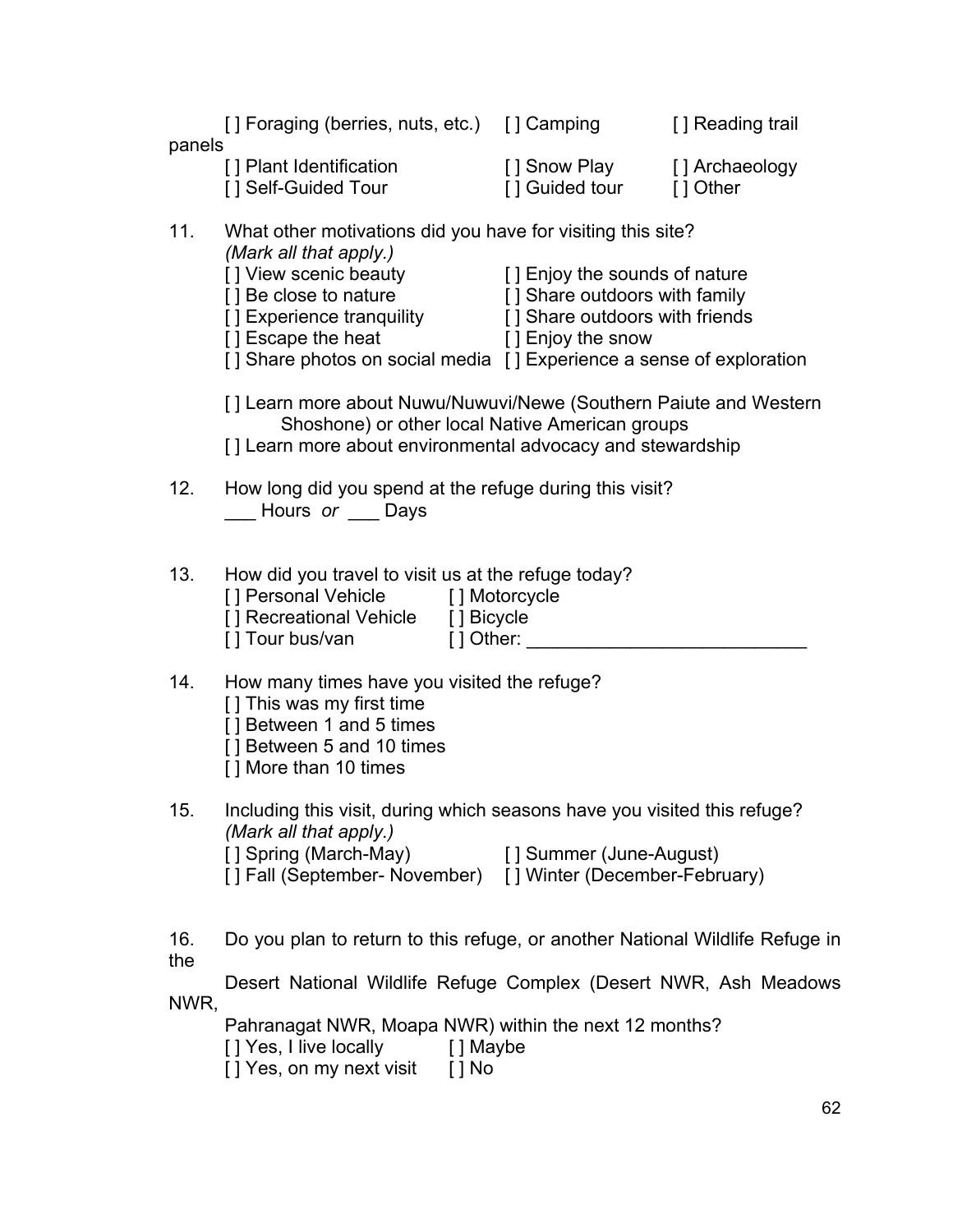| panels     | [] Foraging (berries, nuts, etc.) [] Camping                                                                                                                                                                              |                                                                                                                                                                | [] Reading trail |  |  |  |  |  |  |
|------------|---------------------------------------------------------------------------------------------------------------------------------------------------------------------------------------------------------------------------|----------------------------------------------------------------------------------------------------------------------------------------------------------------|------------------|--|--|--|--|--|--|
|            | [] Plant Identification<br>[] Self-Guided Tour                                                                                                                                                                            | [] Snow Play [] Archaeology<br>[] Guided tour [] Other                                                                                                         |                  |  |  |  |  |  |  |
| 11.        | What other motivations did you have for visiting this site?<br>(Mark all that apply.)<br>[] View scenic beauty<br>[] Be close to nature<br>[] Experience tranquility [] Share outdoors with friends<br>[] Escape the heat | [ ] Enjoy the sounds of nature<br>[ ] Share outdoors with family<br>[ ] Enjoy the snow<br>[] Share photos on social media [] Experience a sense of exploration |                  |  |  |  |  |  |  |
|            | [] Learn more about Nuwu/Nuwuvi/Newe (Southern Paiute and Western<br>Shoshone) or other local Native American groups<br>[] Learn more about environmental advocacy and stewardship                                        |                                                                                                                                                                |                  |  |  |  |  |  |  |
| 12.        | How long did you spend at the refuge during this visit?<br>___ Hours or ___ Days                                                                                                                                          |                                                                                                                                                                |                  |  |  |  |  |  |  |
| 13.        | How did you travel to visit us at the refuge today?<br>[] Personal Vehicle [] Motorcycle<br>[] Recreational Vehicle [] Bicycle                                                                                            |                                                                                                                                                                |                  |  |  |  |  |  |  |
| 14.        | How many times have you visited the refuge?<br>[] This was my first time<br>[] Between 1 and 5 times<br>[] Between 5 and 10 times<br>[] More than 10 times                                                                |                                                                                                                                                                |                  |  |  |  |  |  |  |
| 15.        | Including this visit, during which seasons have you visited this refuge?<br>(Mark all that apply.)<br>[] Spring (March-May)<br>[] Fall (September- November) [] Winter (December-February)                                | [ ] Summer (June-August)                                                                                                                                       |                  |  |  |  |  |  |  |
| 16.<br>the | Do you plan to return to this refuge, or another National Wildlife Refuge in                                                                                                                                              |                                                                                                                                                                |                  |  |  |  |  |  |  |
| NWR,       | Desert National Wildlife Refuge Complex (Desert NWR, Ash Meadows                                                                                                                                                          |                                                                                                                                                                |                  |  |  |  |  |  |  |
|            | Pahranagat NWR, Moapa NWR) within the next 12 months?<br>[ ] Yes, I live locally<br>[] Maybe<br>[] Yes, on my next visit [] No                                                                                            |                                                                                                                                                                |                  |  |  |  |  |  |  |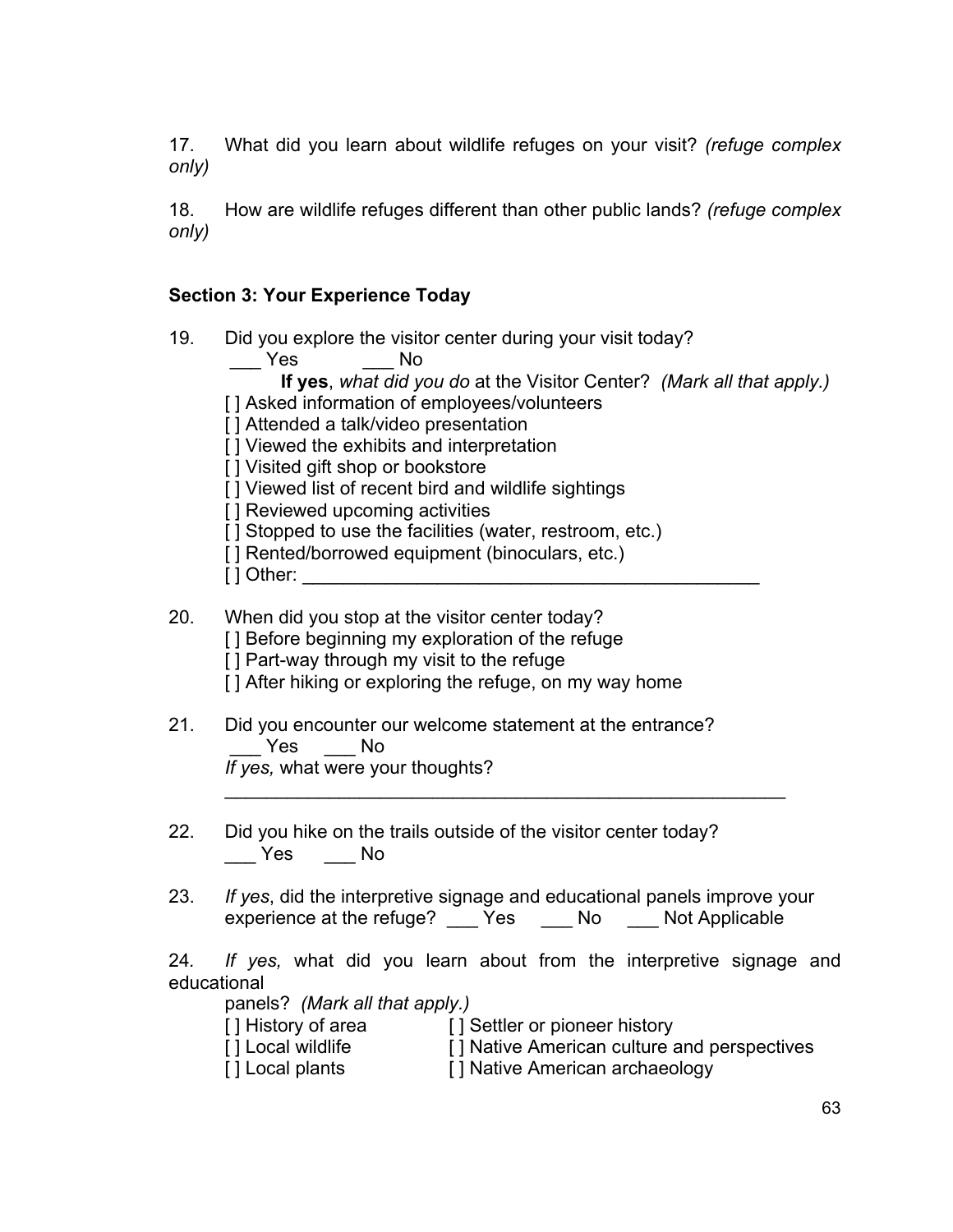17. What did you learn about wildlife refuges on your visit? *(refuge complex only)*

18. How are wildlife refuges different than other public lands? *(refuge complex only)*

# **Section 3: Your Experience Today**

| 19. | Did you explore the visitor center during your visit today? |  |  |  |  |  |  |
|-----|-------------------------------------------------------------|--|--|--|--|--|--|
|-----|-------------------------------------------------------------|--|--|--|--|--|--|

\_\_\_ Yes \_\_\_ No **If yes**, *what did you do* at the Visitor Center? *(Mark all that apply.)* [] Asked information of employees/volunteers [ ] Attended a talk/video presentation [ ] Viewed the exhibits and interpretation [ ] Visited gift shop or bookstore [ ] Viewed list of recent bird and wildlife sightings [ ] Reviewed upcoming activities [] Stopped to use the facilities (water, restroom, etc.) [] Rented/borrowed equipment (binoculars, etc.)  $\lceil$  ] Other: 20. When did you stop at the visitor center today? [] Before beginning my exploration of the refuge [ ] Part-way through my visit to the refuge [] After hiking or exploring the refuge, on my way home 21. Did you encounter our welcome statement at the entrance? \_\_\_ Yes \_\_\_ No *If yes,* what were your thoughts?  $\mathcal{L}_\text{max}$  , and the contract of the contract of the contract of the contract of the contract of the contract of the contract of the contract of the contract of the contract of the contract of the contract of the contr 22. Did you hike on the trails outside of the visitor center today?  $\frac{1}{2}$  Yes  $\frac{1}{2}$  No 23. *If yes*, did the interpretive signage and educational panels improve your experience at the refuge? The Sanglet Show Not Applicable

24*. If yes,* what did you learn about from the interpretive signage and educational

panels? *(Mark all that apply.)*

[] History of area [] Settler or pioneer history

- [] Local wildlife [] Native American culture and perspectives
- [ ] Local plants [ ] Native American archaeology